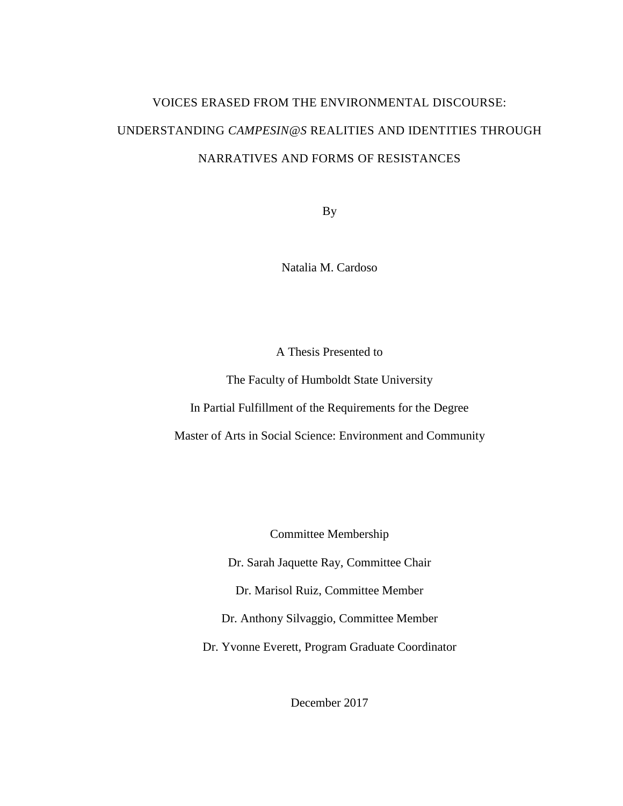# VOICES ERASED FROM THE ENVIRONMENTAL DISCOURSE: UNDERSTANDING *CAMPESIN@S* REALITIES AND IDENTITIES THROUGH NARRATIVES AND FORMS OF RESISTANCES

By

Natalia M. Cardoso

A Thesis Presented to

The Faculty of Humboldt State University

In Partial Fulfillment of the Requirements for the Degree

Master of Arts in Social Science: Environment and Community

Committee Membership

Dr. Sarah Jaquette Ray, Committee Chair

Dr. Marisol Ruiz, Committee Member

Dr. Anthony Silvaggio, Committee Member

Dr. Yvonne Everett, Program Graduate Coordinator

December 2017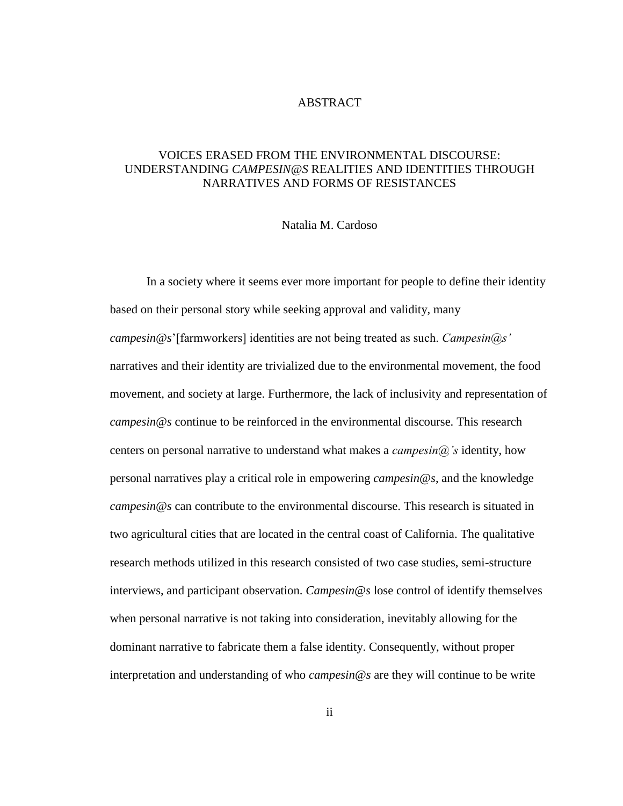#### ABSTRACT

## <span id="page-1-0"></span>VOICES ERASED FROM THE ENVIRONMENTAL DISCOURSE: UNDERSTANDING *CAMPESIN@S* REALITIES AND IDENTITIES THROUGH NARRATIVES AND FORMS OF RESISTANCES

#### Natalia M. Cardoso

In a society where it seems ever more important for people to define their identity based on their personal story while seeking approval and validity, many *campesin@s*'[farmworkers] identities are not being treated as such. *Campesin@s'* narratives and their identity are trivialized due to the environmental movement, the food movement, and society at large. Furthermore, the lack of inclusivity and representation of *campesin@s* continue to be reinforced in the environmental discourse. This research centers on personal narrative to understand what makes a *campesin@'s* identity, how personal narratives play a critical role in empowering *campesin@s*, and the knowledge *campesin@s* can contribute to the environmental discourse. This research is situated in two agricultural cities that are located in the central coast of California. The qualitative research methods utilized in this research consisted of two case studies, semi-structure interviews, and participant observation. *Campesin@s* lose control of identify themselves when personal narrative is not taking into consideration, inevitably allowing for the dominant narrative to fabricate them a false identity. Consequently, without proper interpretation and understanding of who *campesin@s* are they will continue to be write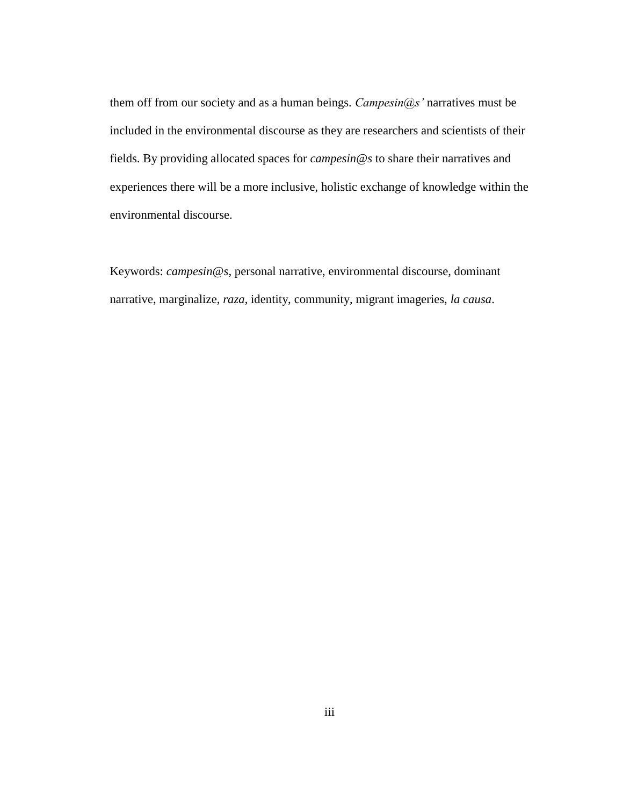them off from our society and as a human beings. *Campesin@s'* narratives must be included in the environmental discourse as they are researchers and scientists of their fields. By providing allocated spaces for *campesin@s* to share their narratives and experiences there will be a more inclusive, holistic exchange of knowledge within the environmental discourse.

Keywords: *campesin@s*, personal narrative, environmental discourse, dominant narrative, marginalize, *raza*, identity, community, migrant imageries, *la causa*.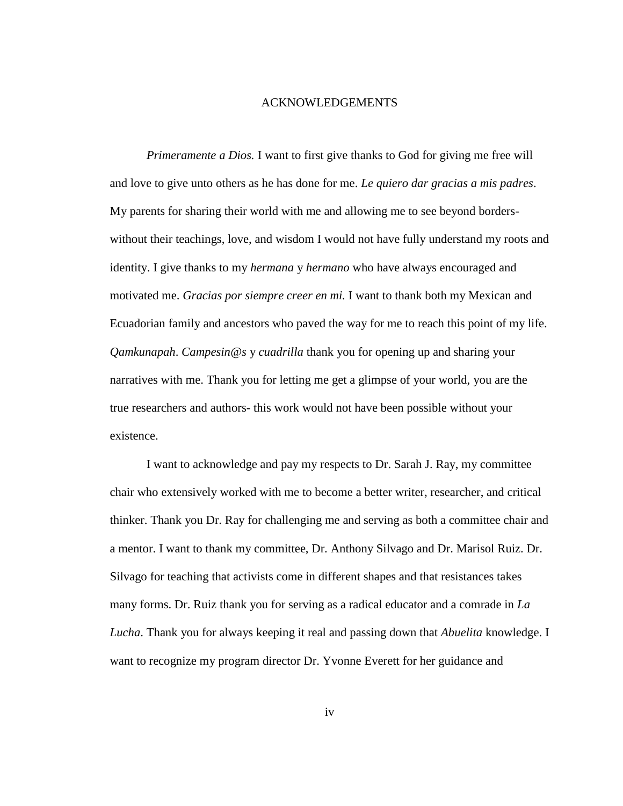#### ACKNOWLEDGEMENTS

<span id="page-3-0"></span>*Primeramente a Dios.* I want to first give thanks to God for giving me free will and love to give unto others as he has done for me. *Le quiero dar gracias a mis padres*. My parents for sharing their world with me and allowing me to see beyond borderswithout their teachings, love, and wisdom I would not have fully understand my roots and identity. I give thanks to my *hermana* y *hermano* who have always encouraged and motivated me. *Gracias por siempre creer en mi.* I want to thank both my Mexican and Ecuadorian family and ancestors who paved the way for me to reach this point of my life. *Qamkunapah*. *Campesin@s* y *cuadrilla* thank you for opening up and sharing your narratives with me. Thank you for letting me get a glimpse of your world, you are the true researchers and authors- this work would not have been possible without your existence.

I want to acknowledge and pay my respects to Dr. Sarah J. Ray, my committee chair who extensively worked with me to become a better writer, researcher, and critical thinker. Thank you Dr. Ray for challenging me and serving as both a committee chair and a mentor. I want to thank my committee, Dr. Anthony Silvago and Dr. Marisol Ruiz. Dr. Silvago for teaching that activists come in different shapes and that resistances takes many forms. Dr. Ruiz thank you for serving as a radical educator and a comrade in *La Lucha*. Thank you for always keeping it real and passing down that *Abuelita* knowledge. I want to recognize my program director Dr. Yvonne Everett for her guidance and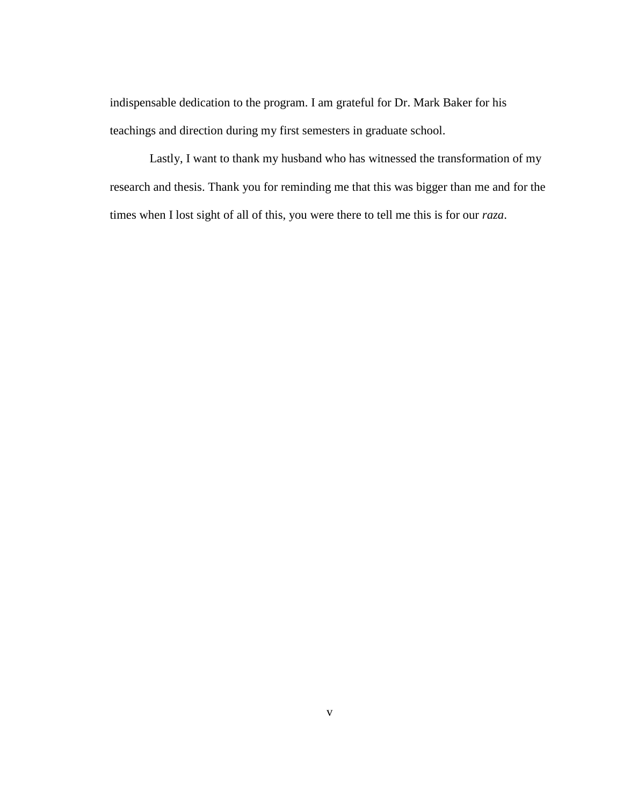indispensable dedication to the program. I am grateful for Dr. Mark Baker for his teachings and direction during my first semesters in graduate school.

Lastly, I want to thank my husband who has witnessed the transformation of my research and thesis. Thank you for reminding me that this was bigger than me and for the times when I lost sight of all of this, you were there to tell me this is for our *raza*.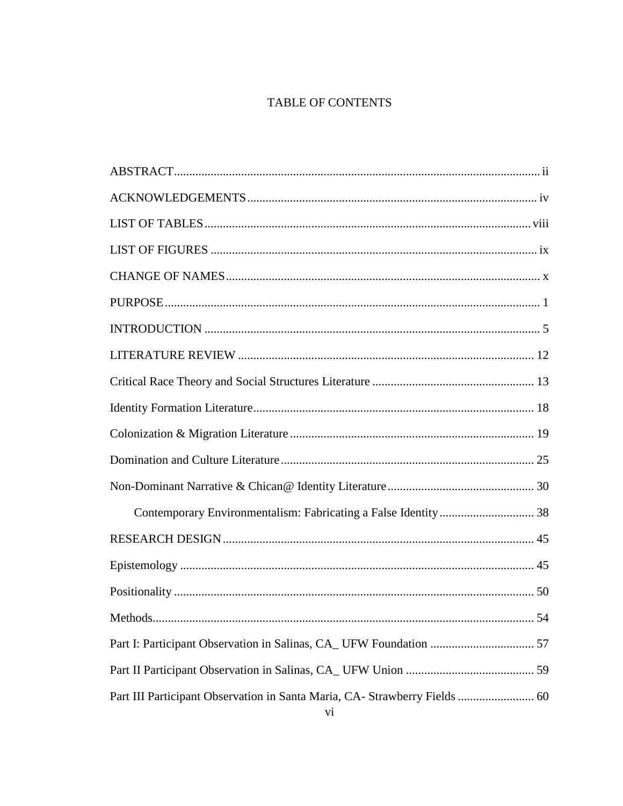# TABLE OF CONTENTS

| Part III Participant Observation in Santa Maria, CA- Strawberry Fields  60 |
|----------------------------------------------------------------------------|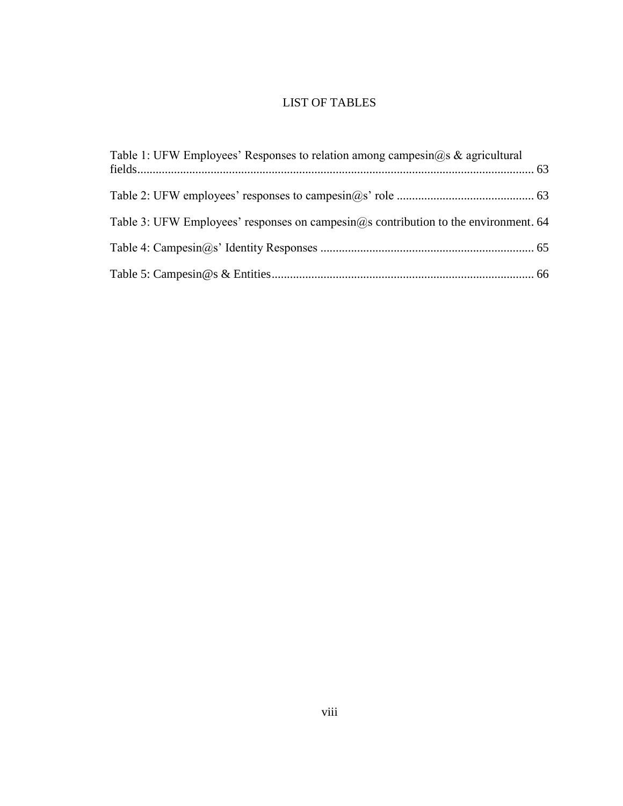# LIST OF TABLES

<span id="page-7-0"></span>

| Table 1: UFW Employees' Responses to relation among campesin@s & agricultural       |  |
|-------------------------------------------------------------------------------------|--|
|                                                                                     |  |
| Table 3: UFW Employees' responses on campesin@s contribution to the environment. 64 |  |
|                                                                                     |  |
|                                                                                     |  |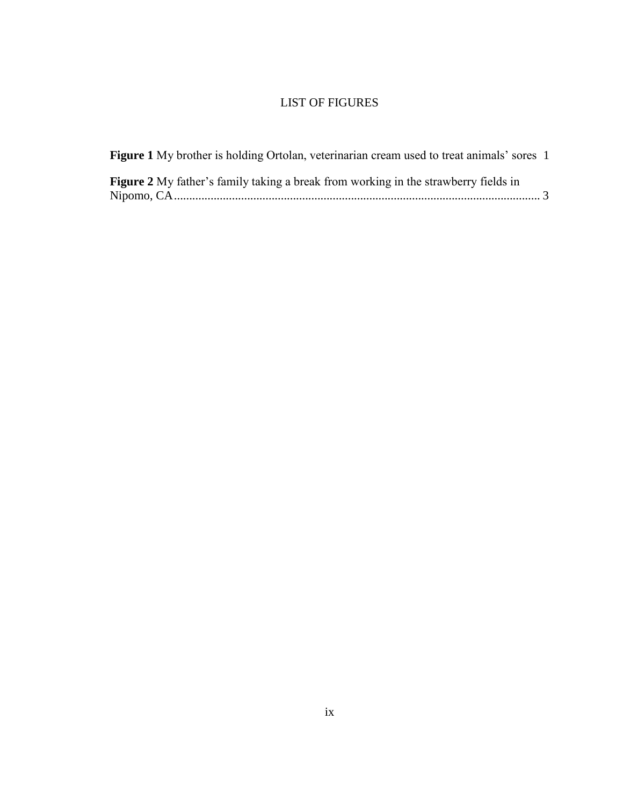# LIST OF FIGURES

<span id="page-8-0"></span>

| <b>Figure 1</b> My brother is holding Ortolan, veterinarian cream used to treat animals' sores 1 |  |
|--------------------------------------------------------------------------------------------------|--|
| <b>Figure 2</b> My father's family taking a break from working in the strawberry fields in       |  |
|                                                                                                  |  |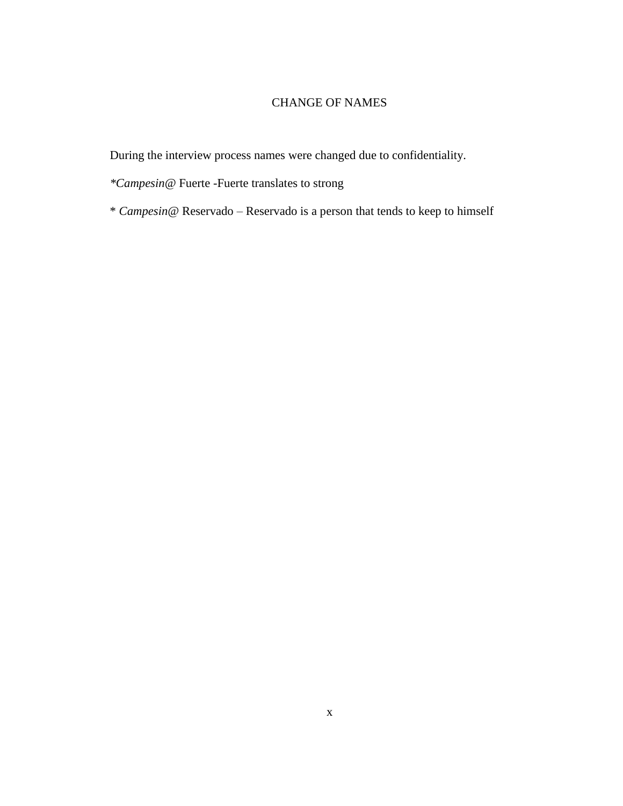## CHANGE OF NAMES

<span id="page-9-0"></span>During the interview process names were changed due to confidentiality.

- *\*Campesin@* Fuerte -Fuerte translates to strong
- \* *Campesin@* Reservado Reservado is a person that tends to keep to himself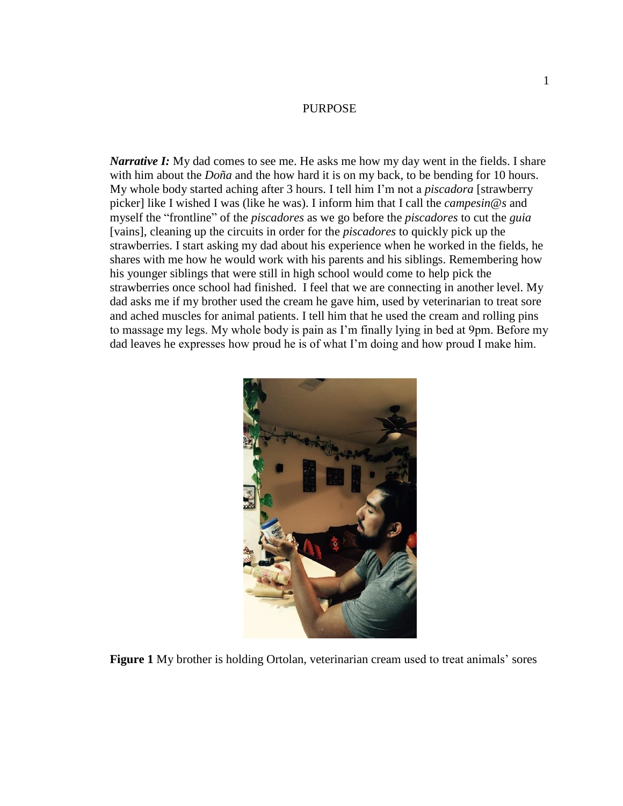#### PURPOSE

<span id="page-10-0"></span>*Narrative I:* My dad comes to see me. He asks me how my day went in the fields. I share with him about the *Doña* and the how hard it is on my back, to be bending for 10 hours. My whole body started aching after 3 hours. I tell him I'm not a *piscadora* [strawberry picker] like I wished I was (like he was). I inform him that I call the *campesin@s* and myself the "frontline" of the *piscadores* as we go before the *piscadores* to cut the *guia* [vains], cleaning up the circuits in order for the *piscadores* to quickly pick up the strawberries. I start asking my dad about his experience when he worked in the fields, he shares with me how he would work with his parents and his siblings. Remembering how his younger siblings that were still in high school would come to help pick the strawberries once school had finished. I feel that we are connecting in another level. My dad asks me if my brother used the cream he gave him, used by veterinarian to treat sore and ached muscles for animal patients. I tell him that he used the cream and rolling pins to massage my legs. My whole body is pain as I'm finally lying in bed at 9pm. Before my dad leaves he expresses how proud he is of what I'm doing and how proud I make him.

<span id="page-10-1"></span>

**Figure 1** My brother is holding Ortolan, veterinarian cream used to treat animals' sores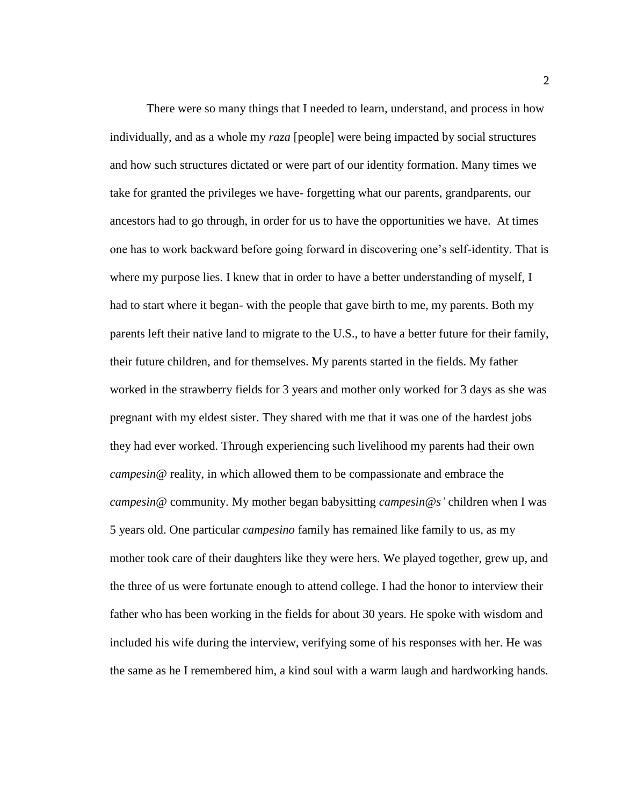There were so many things that I needed to learn, understand, and process in how individually, and as a whole my *raza* [people] were being impacted by social structures and how such structures dictated or were part of our identity formation. Many times we take for granted the privileges we have- forgetting what our parents, grandparents, our ancestors had to go through, in order for us to have the opportunities we have. At times one has to work backward before going forward in discovering one's self-identity. That is where my purpose lies. I knew that in order to have a better understanding of myself, I had to start where it began- with the people that gave birth to me, my parents. Both my parents left their native land to migrate to the U.S., to have a better future for their family, their future children, and for themselves. My parents started in the fields. My father worked in the strawberry fields for 3 years and mother only worked for 3 days as she was pregnant with my eldest sister. They shared with me that it was one of the hardest jobs they had ever worked. Through experiencing such livelihood my parents had their own *campesin@* reality, in which allowed them to be compassionate and embrace the *campesin@* community. My mother began babysitting *campesin@s'* children when I was 5 years old. One particular *campesino* family has remained like family to us, as my mother took care of their daughters like they were hers. We played together, grew up, and the three of us were fortunate enough to attend college. I had the honor to interview their father who has been working in the fields for about 30 years. He spoke with wisdom and included his wife during the interview, verifying some of his responses with her. He was the same as he I remembered him, a kind soul with a warm laugh and hardworking hands.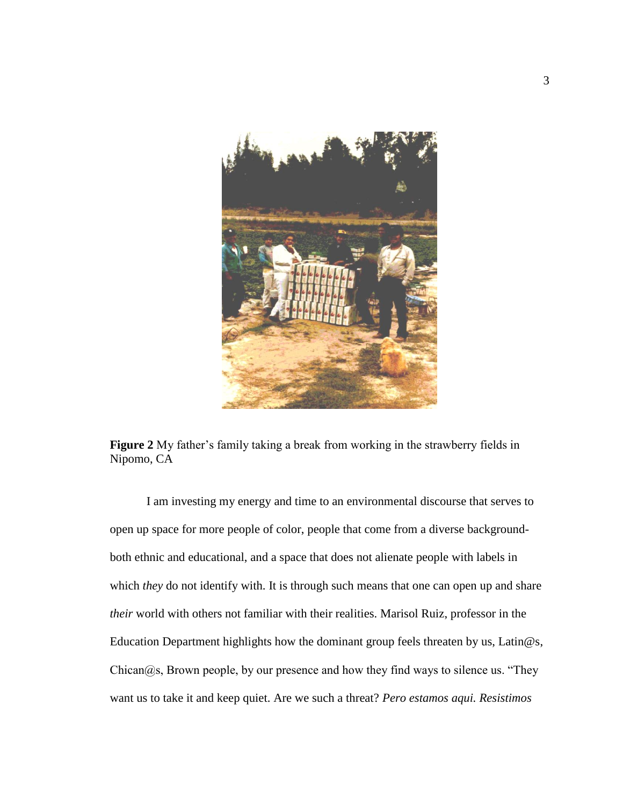

**Figure 2** My father's family taking a break from working in the strawberry fields in Nipomo, CA

<span id="page-12-0"></span>I am investing my energy and time to an environmental discourse that serves to open up space for more people of color, people that come from a diverse backgroundboth ethnic and educational, and a space that does not alienate people with labels in which *they* do not identify with. It is through such means that one can open up and share *their* world with others not familiar with their realities. Marisol Ruiz, professor in the Education Department highlights how the dominant group feels threaten by us, Latin@s,  $Chican@s$ , Brown people, by our presence and how they find ways to silence us. "They want us to take it and keep quiet. Are we such a threat? *Pero estamos aqui. Resistimos*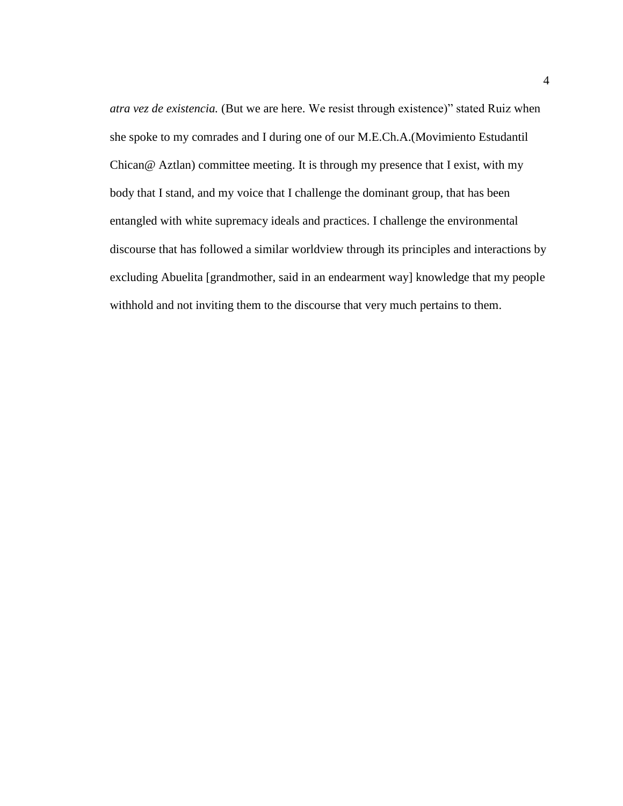*atra vez de existencia.* (But we are here. We resist through existence)" stated Ruiz when she spoke to my comrades and I during one of our M.E.Ch.A.(Movimiento Estudantil Chican@ Aztlan) committee meeting. It is through my presence that I exist, with my body that I stand, and my voice that I challenge the dominant group, that has been entangled with white supremacy ideals and practices. I challenge the environmental discourse that has followed a similar worldview through its principles and interactions by excluding Abuelita [grandmother, said in an endearment way] knowledge that my people withhold and not inviting them to the discourse that very much pertains to them.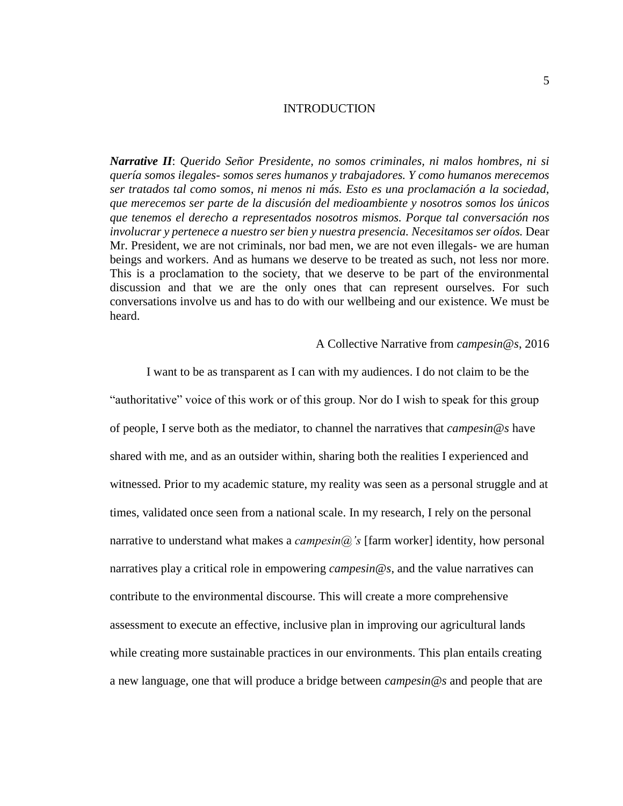#### INTRODUCTION

<span id="page-14-0"></span>*Narrative II*: *Querido Señor Presidente, no somos criminales, ni malos hombres, ni si quería somos ilegales- somos seres humanos y trabajadores. Y como humanos merecemos ser tratados tal como somos, ni menos ni más. Esto es una proclamación a la sociedad, que merecemos ser parte de la discusión del medioambiente y nosotros somos los únicos que tenemos el derecho a representados nosotros mismos. Porque tal conversación nos involucrar y pertenece a nuestro ser bien y nuestra presencia. Necesitamos ser oídos.* Dear Mr. President, we are not criminals, nor bad men, we are not even illegals- we are human beings and workers. And as humans we deserve to be treated as such, not less nor more. This is a proclamation to the society, that we deserve to be part of the environmental discussion and that we are the only ones that can represent ourselves. For such conversations involve us and has to do with our wellbeing and our existence. We must be heard.

#### A Collective Narrative from *campesin@s*, 2016

I want to be as transparent as I can with my audiences. I do not claim to be the "authoritative" voice of this work or of this group. Nor do I wish to speak for this group of people, I serve both as the mediator, to channel the narratives that *campesin@s* have shared with me, and as an outsider within, sharing both the realities I experienced and witnessed. Prior to my academic stature, my reality was seen as a personal struggle and at times, validated once seen from a national scale. In my research, I rely on the personal narrative to understand what makes a *campesin@'s* [farm worker] identity, how personal narratives play a critical role in empowering *campesin@s*, and the value narratives can contribute to the environmental discourse. This will create a more comprehensive assessment to execute an effective, inclusive plan in improving our agricultural lands while creating more sustainable practices in our environments. This plan entails creating a new language, one that will produce a bridge between *campesin@s* and people that are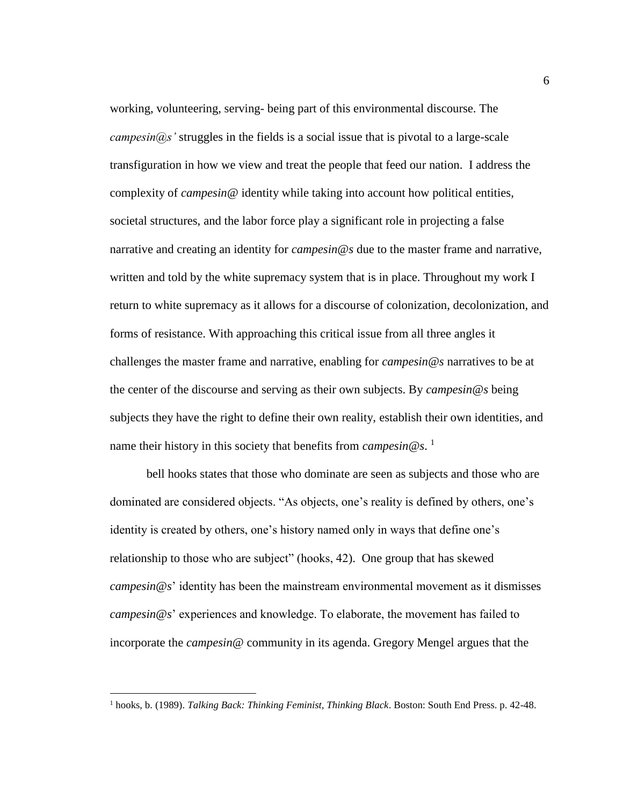working, volunteering, serving- being part of this environmental discourse. The *campesin@s'* struggles in the fields is a social issue that is pivotal to a large-scale transfiguration in how we view and treat the people that feed our nation. I address the complexity of *campesin@* identity while taking into account how political entities, societal structures, and the labor force play a significant role in projecting a false narrative and creating an identity for *campesin@s* due to the master frame and narrative, written and told by the white supremacy system that is in place. Throughout my work I return to white supremacy as it allows for a discourse of colonization, decolonization, and forms of resistance. With approaching this critical issue from all three angles it challenges the master frame and narrative, enabling for *campesin@s* narratives to be at the center of the discourse and serving as their own subjects. By *campesin@s* being subjects they have the right to define their own reality, establish their own identities, and name their history in this society that benefits from *campesin@s*. 1

bell hooks states that those who dominate are seen as subjects and those who are dominated are considered objects. "As objects, one's reality is defined by others, one's identity is created by others, one's history named only in ways that define one's relationship to those who are subject" (hooks, 42). One group that has skewed *campesin@s*' identity has been the mainstream environmental movement as it dismisses *campesin@s*' experiences and knowledge. To elaborate, the movement has failed to incorporate the *campesin@* community in its agenda. Gregory Mengel argues that the

<sup>1</sup> hooks, b. (1989). *Talking Back: Thinking Feminist, Thinking Black*. Boston: South End Press. p. 42-48.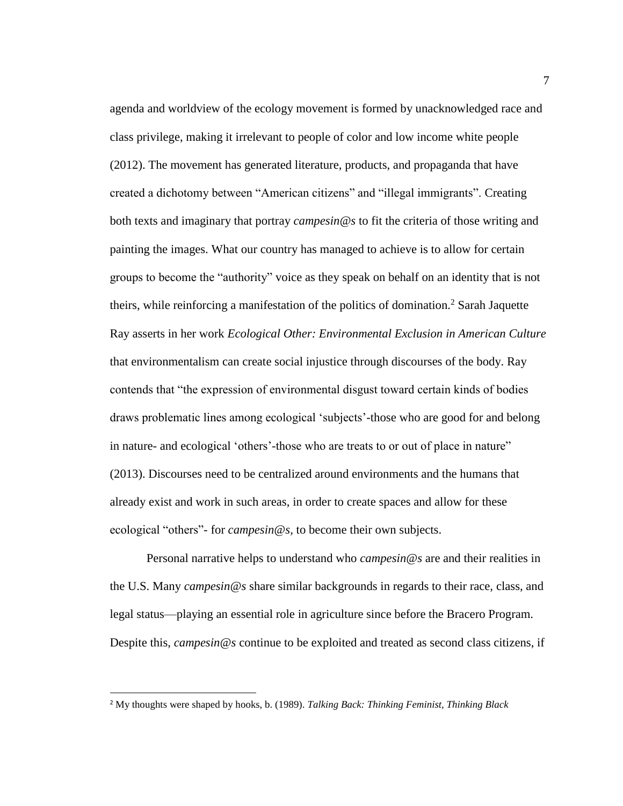agenda and worldview of the ecology movement is formed by unacknowledged race and class privilege, making it irrelevant to people of color and low income white people (2012). The movement has generated literature, products, and propaganda that have created a dichotomy between "American citizens" and "illegal immigrants". Creating both texts and imaginary that portray *campesin@s* to fit the criteria of those writing and painting the images. What our country has managed to achieve is to allow for certain groups to become the "authority" voice as they speak on behalf on an identity that is not theirs, while reinforcing a manifestation of the politics of domination.<sup>2</sup> Sarah Jaquette Ray asserts in her work *Ecological Other: Environmental Exclusion in American Culture* that environmentalism can create social injustice through discourses of the body. Ray contends that "the expression of environmental disgust toward certain kinds of bodies draws problematic lines among ecological 'subjects'-those who are good for and belong in nature- and ecological 'others'-those who are treats to or out of place in nature" (2013). Discourses need to be centralized around environments and the humans that already exist and work in such areas, in order to create spaces and allow for these ecological "others"- for *campesin@s,* to become their own subjects.

Personal narrative helps to understand who *campesin@s* are and their realities in the U.S. Many *campesin@s* share similar backgrounds in regards to their race, class, and legal status—playing an essential role in agriculture since before the Bracero Program. Despite this, *campesin@s* continue to be exploited and treated as second class citizens, if

<sup>2</sup> My thoughts were shaped by hooks, b. (1989). *Talking Back: Thinking Feminist, Thinking Black*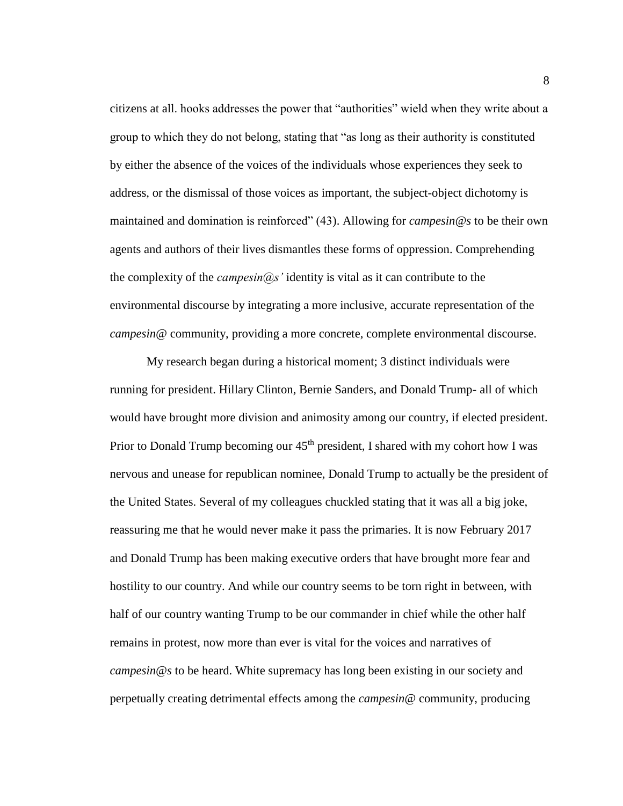citizens at all. hooks addresses the power that "authorities" wield when they write about a group to which they do not belong, stating that "as long as their authority is constituted by either the absence of the voices of the individuals whose experiences they seek to address, or the dismissal of those voices as important, the subject-object dichotomy is maintained and domination is reinforced" (43). Allowing for *campesin@s* to be their own agents and authors of their lives dismantles these forms of oppression. Comprehending the complexity of the *campesin@s'* identity is vital as it can contribute to the environmental discourse by integrating a more inclusive, accurate representation of the *campesin@* community, providing a more concrete, complete environmental discourse.

My research began during a historical moment; 3 distinct individuals were running for president. Hillary Clinton, Bernie Sanders, and Donald Trump- all of which would have brought more division and animosity among our country, if elected president. Prior to Donald Trump becoming our 45<sup>th</sup> president, I shared with my cohort how I was nervous and unease for republican nominee, Donald Trump to actually be the president of the United States. Several of my colleagues chuckled stating that it was all a big joke, reassuring me that he would never make it pass the primaries. It is now February 2017 and Donald Trump has been making executive orders that have brought more fear and hostility to our country. And while our country seems to be torn right in between, with half of our country wanting Trump to be our commander in chief while the other half remains in protest, now more than ever is vital for the voices and narratives of *campesin@s* to be heard. White supremacy has long been existing in our society and perpetually creating detrimental effects among the *campesin@* community, producing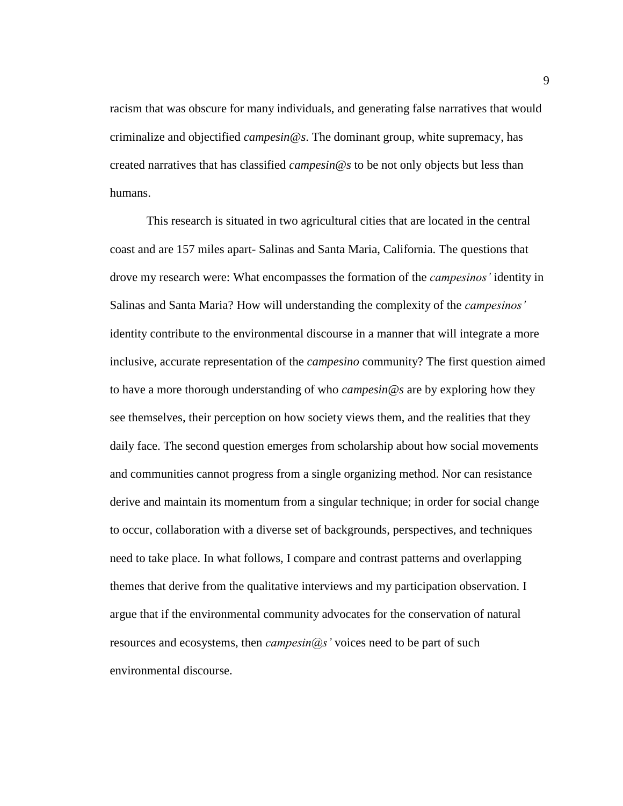racism that was obscure for many individuals, and generating false narratives that would criminalize and objectified *campesin@s*. The dominant group, white supremacy, has created narratives that has classified *campesin@s* to be not only objects but less than humans.

This research is situated in two agricultural cities that are located in the central coast and are 157 miles apart- Salinas and Santa Maria, California. The questions that drove my research were: What encompasses the formation of the *campesinos'* identity in Salinas and Santa Maria? How will understanding the complexity of the *campesinos'* identity contribute to the environmental discourse in a manner that will integrate a more inclusive, accurate representation of the *campesino* community? The first question aimed to have a more thorough understanding of who *campesin@s* are by exploring how they see themselves, their perception on how society views them, and the realities that they daily face. The second question emerges from scholarship about how social movements and communities cannot progress from a single organizing method. Nor can resistance derive and maintain its momentum from a singular technique; in order for social change to occur, collaboration with a diverse set of backgrounds, perspectives, and techniques need to take place. In what follows, I compare and contrast patterns and overlapping themes that derive from the qualitative interviews and my participation observation. I argue that if the environmental community advocates for the conservation of natural resources and ecosystems, then *campesin@s'* voices need to be part of such environmental discourse.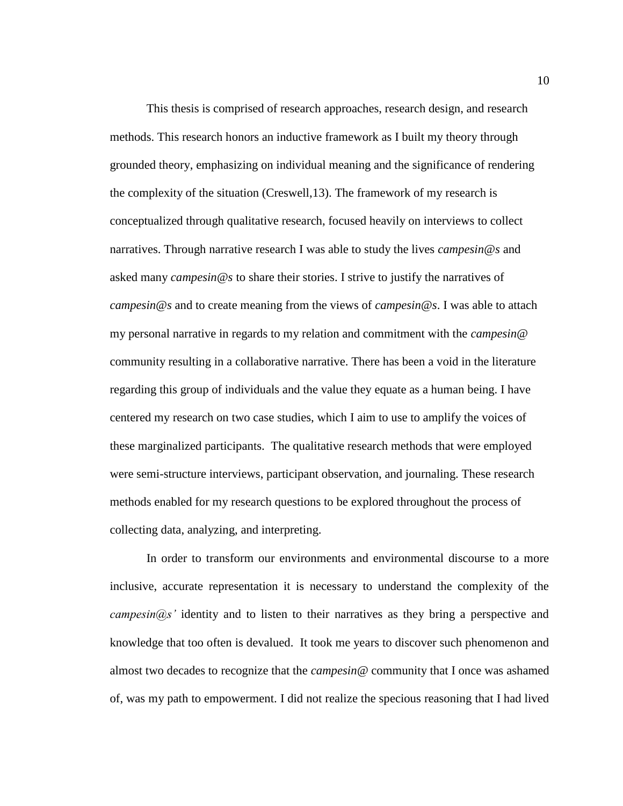This thesis is comprised of research approaches, research design, and research methods. This research honors an inductive framework as I built my theory through grounded theory, emphasizing on individual meaning and the significance of rendering the complexity of the situation (Creswell,13). The framework of my research is conceptualized through qualitative research, focused heavily on interviews to collect narratives. Through narrative research I was able to study the lives *campesin@s* and asked many *campesin@s* to share their stories. I strive to justify the narratives of *campesin@s* and to create meaning from the views of *campesin@s*. I was able to attach my personal narrative in regards to my relation and commitment with the *campesin@* community resulting in a collaborative narrative. There has been a void in the literature regarding this group of individuals and the value they equate as a human being. I have centered my research on two case studies, which I aim to use to amplify the voices of these marginalized participants. The qualitative research methods that were employed were semi-structure interviews, participant observation, and journaling. These research methods enabled for my research questions to be explored throughout the process of collecting data, analyzing, and interpreting.

In order to transform our environments and environmental discourse to a more inclusive, accurate representation it is necessary to understand the complexity of the *campesin@s'* identity and to listen to their narratives as they bring a perspective and knowledge that too often is devalued. It took me years to discover such phenomenon and almost two decades to recognize that the *campesin@* community that I once was ashamed of, was my path to empowerment. I did not realize the specious reasoning that I had lived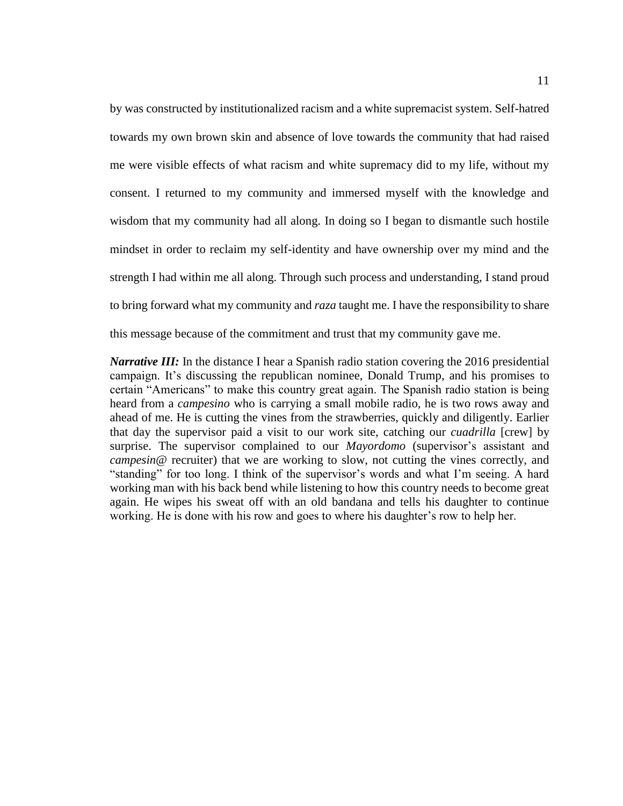by was constructed by institutionalized racism and a white supremacist system. Self-hatred towards my own brown skin and absence of love towards the community that had raised me were visible effects of what racism and white supremacy did to my life, without my consent. I returned to my community and immersed myself with the knowledge and wisdom that my community had all along. In doing so I began to dismantle such hostile mindset in order to reclaim my self-identity and have ownership over my mind and the strength I had within me all along. Through such process and understanding, I stand proud to bring forward what my community and *raza* taught me. I have the responsibility to share this message because of the commitment and trust that my community gave me.

*Narrative III:* In the distance I hear a Spanish radio station covering the 2016 presidential campaign. It's discussing the republican nominee, Donald Trump, and his promises to certain "Americans" to make this country great again. The Spanish radio station is being heard from a *campesino* who is carrying a small mobile radio, he is two rows away and ahead of me. He is cutting the vines from the strawberries, quickly and diligently. Earlier that day the supervisor paid a visit to our work site, catching our *cuadrilla* [crew] by surprise. The supervisor complained to our *Mayordomo* (supervisor's assistant and *campesin@* recruiter) that we are working to slow, not cutting the vines correctly, and "standing" for too long. I think of the supervisor's words and what I'm seeing. A hard working man with his back bend while listening to how this country needs to become great again. He wipes his sweat off with an old bandana and tells his daughter to continue working. He is done with his row and goes to where his daughter's row to help her.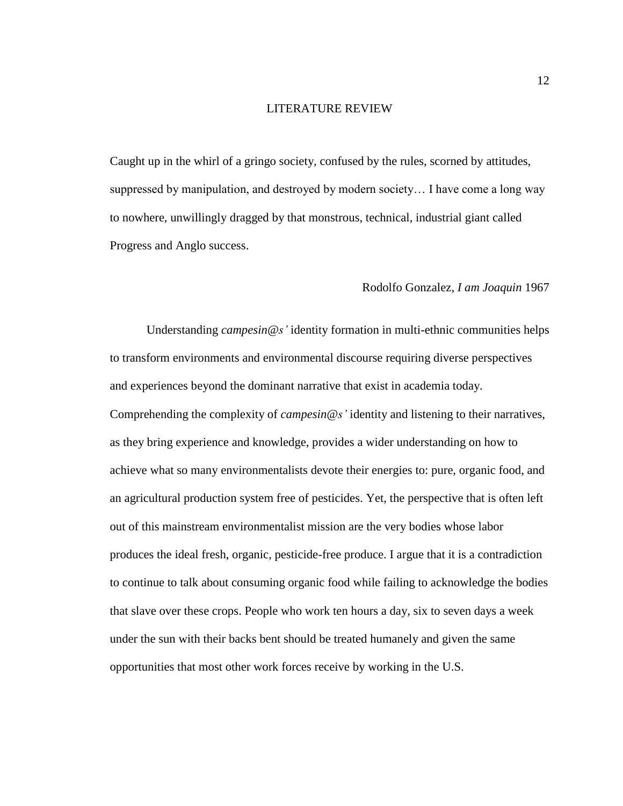#### LITERATURE REVIEW

<span id="page-21-0"></span>Caught up in the whirl of a gringo society, confused by the rules, scorned by attitudes, suppressed by manipulation, and destroyed by modern society… I have come a long way to nowhere, unwillingly dragged by that monstrous, technical, industrial giant called Progress and Anglo success.

#### Rodolfo Gonzalez, *I am Joaquin* 1967

Understanding *campesin@s'* identity formation in multi-ethnic communities helps to transform environments and environmental discourse requiring diverse perspectives and experiences beyond the dominant narrative that exist in academia today. Comprehending the complexity of *campesin@s'* identity and listening to their narratives, as they bring experience and knowledge, provides a wider understanding on how to achieve what so many environmentalists devote their energies to: pure, organic food, and an agricultural production system free of pesticides. Yet, the perspective that is often left out of this mainstream environmentalist mission are the very bodies whose labor produces the ideal fresh, organic, pesticide-free produce. I argue that it is a contradiction to continue to talk about consuming organic food while failing to acknowledge the bodies that slave over these crops. People who work ten hours a day, six to seven days a week under the sun with their backs bent should be treated humanely and given the same opportunities that most other work forces receive by working in the U.S.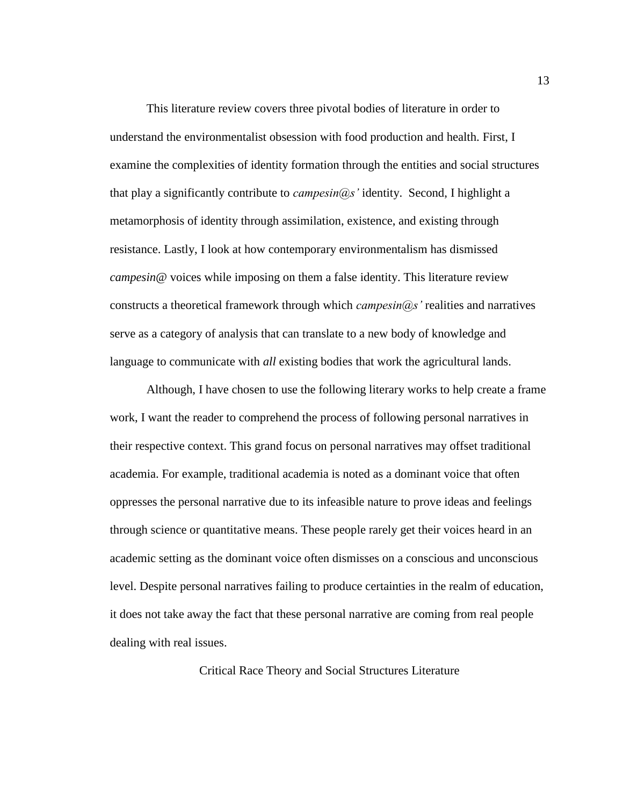This literature review covers three pivotal bodies of literature in order to understand the environmentalist obsession with food production and health. First, I examine the complexities of identity formation through the entities and social structures that play a significantly contribute to *campesin@s'* identity. Second, I highlight a metamorphosis of identity through assimilation, existence, and existing through resistance. Lastly, I look at how contemporary environmentalism has dismissed *campesin@* voices while imposing on them a false identity. This literature review constructs a theoretical framework through which *campesin@s'* realities and narratives serve as a category of analysis that can translate to a new body of knowledge and language to communicate with *all* existing bodies that work the agricultural lands.

Although, I have chosen to use the following literary works to help create a frame work, I want the reader to comprehend the process of following personal narratives in their respective context. This grand focus on personal narratives may offset traditional academia. For example, traditional academia is noted as a dominant voice that often oppresses the personal narrative due to its infeasible nature to prove ideas and feelings through science or quantitative means. These people rarely get their voices heard in an academic setting as the dominant voice often dismisses on a conscious and unconscious level. Despite personal narratives failing to produce certainties in the realm of education, it does not take away the fact that these personal narrative are coming from real people dealing with real issues.

<span id="page-22-0"></span>Critical Race Theory and Social Structures Literature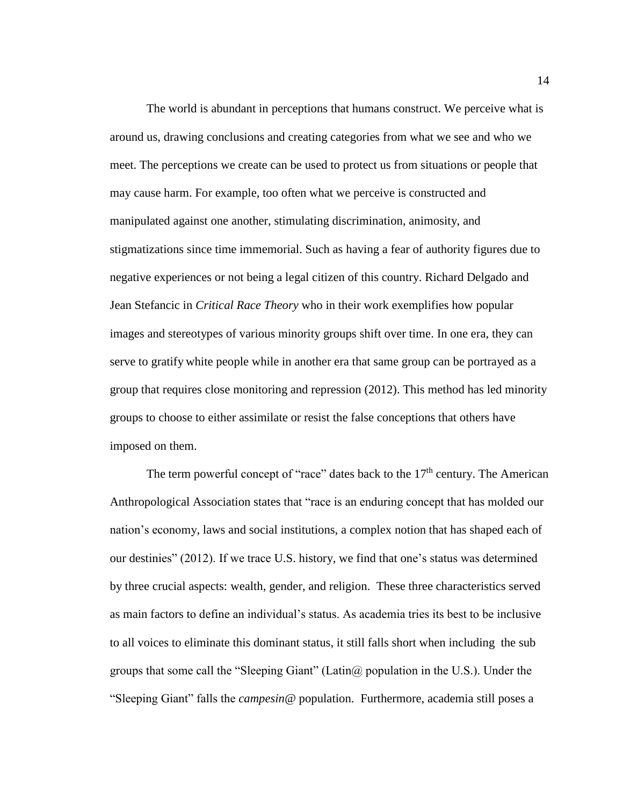The world is abundant in perceptions that humans construct. We perceive what is around us, drawing conclusions and creating categories from what we see and who we meet. The perceptions we create can be used to protect us from situations or people that may cause harm. For example, too often what we perceive is constructed and manipulated against one another, stimulating discrimination, animosity, and stigmatizations since time immemorial. Such as having a fear of authority figures due to negative experiences or not being a legal citizen of this country. Richard Delgado and Jean Stefancic in *Critical Race Theory* who in their work exemplifies how popular images and stereotypes of various minority groups shift over time. In one era, they can serve to gratify white people while in another era that same group can be portrayed as a group that requires close monitoring and repression (2012). This method has led minority groups to choose to either assimilate or resist the false conceptions that others have imposed on them.

The term powerful concept of "race" dates back to the  $17<sup>th</sup>$  century. The American Anthropological Association states that "race is an enduring concept that has molded our nation's economy, laws and social institutions, a complex notion that has shaped each of our destinies" (2012). If we trace U.S. history, we find that one's status was determined by three crucial aspects: wealth, gender, and religion. These three characteristics served as main factors to define an individual's status. As academia tries its best to be inclusive to all voices to eliminate this dominant status, it still falls short when including the sub groups that some call the "Sleeping Giant" (Latin $\omega$  population in the U.S.). Under the "Sleeping Giant" falls the *campesin@* population. Furthermore, academia still poses a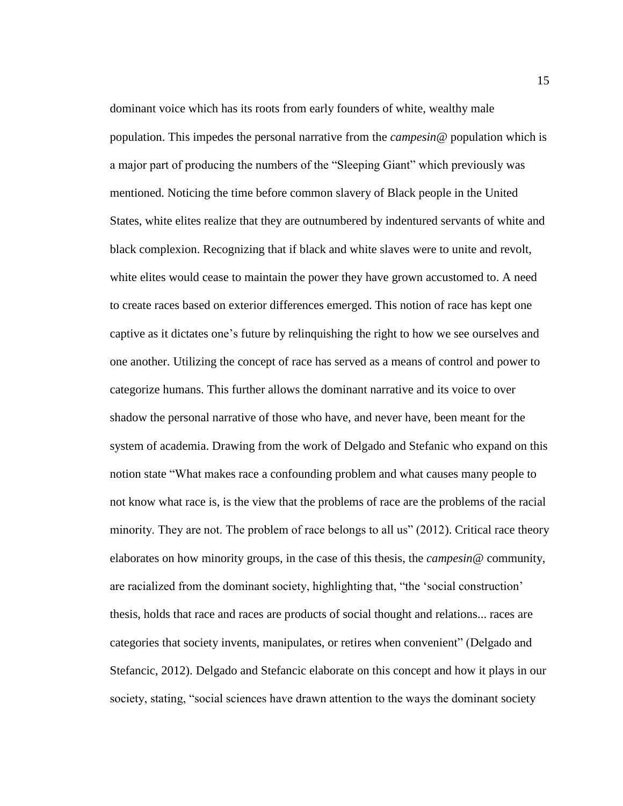dominant voice which has its roots from early founders of white, wealthy male population. This impedes the personal narrative from the *campesin@* population which is a major part of producing the numbers of the "Sleeping Giant" which previously was mentioned. Noticing the time before common slavery of Black people in the United States, white elites realize that they are outnumbered by indentured servants of white and black complexion. Recognizing that if black and white slaves were to unite and revolt, white elites would cease to maintain the power they have grown accustomed to. A need to create races based on exterior differences emerged. This notion of race has kept one captive as it dictates one's future by relinquishing the right to how we see ourselves and one another. Utilizing the concept of race has served as a means of control and power to categorize humans. This further allows the dominant narrative and its voice to over shadow the personal narrative of those who have, and never have, been meant for the system of academia. Drawing from the work of Delgado and Stefanic who expand on this notion state "What makes race a confounding problem and what causes many people to not know what race is, is the view that the problems of race are the problems of the racial minority. They are not. The problem of race belongs to all us" (2012). Critical race theory elaborates on how minority groups, in the case of this thesis, the *campesin@* community, are racialized from the dominant society, highlighting that, "the 'social construction' thesis, holds that race and races are products of social thought and relations... races are categories that society invents, manipulates, or retires when convenient" (Delgado and Stefancic, 2012). Delgado and Stefancic elaborate on this concept and how it plays in our society, stating, "social sciences have drawn attention to the ways the dominant society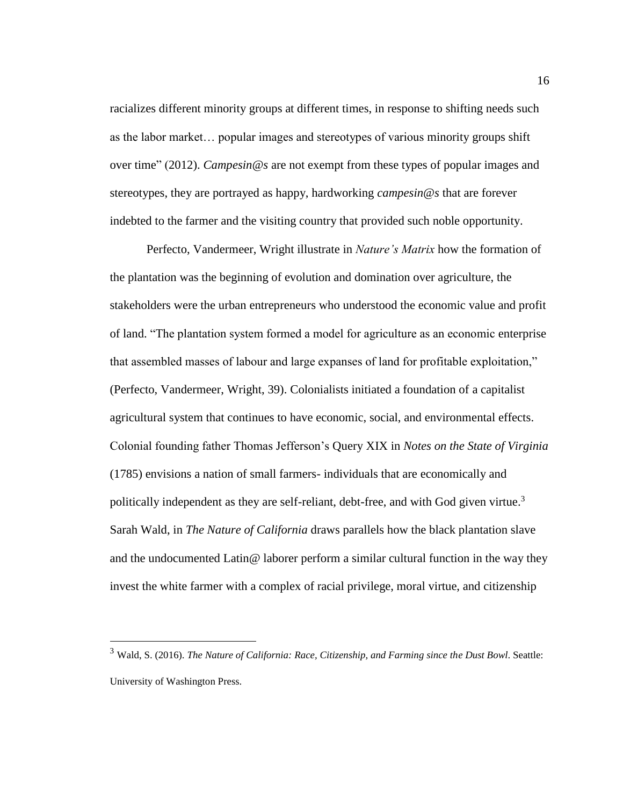racializes different minority groups at different times, in response to shifting needs such as the labor market… popular images and stereotypes of various minority groups shift over time" (2012). *Campesin@s* are not exempt from these types of popular images and stereotypes, they are portrayed as happy, hardworking *campesin@s* that are forever indebted to the farmer and the visiting country that provided such noble opportunity.

Perfecto, Vandermeer, Wright illustrate in *Nature's Matrix* how the formation of the plantation was the beginning of evolution and domination over agriculture, the stakeholders were the urban entrepreneurs who understood the economic value and profit of land. "The plantation system formed a model for agriculture as an economic enterprise that assembled masses of labour and large expanses of land for profitable exploitation," (Perfecto, Vandermeer, Wright, 39). Colonialists initiated a foundation of a capitalist agricultural system that continues to have economic, social, and environmental effects. Colonial founding father Thomas Jefferson's Query XIX in *Notes on the State of Virginia* (1785) envisions a nation of small farmers- individuals that are economically and politically independent as they are self-reliant, debt-free, and with God given virtue.<sup>3</sup> Sarah Wald, in *The Nature of California* draws parallels how the black plantation slave and the undocumented Latin  $\omega$  laborer perform a similar cultural function in the way they invest the white farmer with a complex of racial privilege, moral virtue, and citizenship

<sup>3</sup> Wald, S. (2016). *The Nature of California: Race, Citizenship, and Farming since the Dust Bowl*. Seattle: University of Washington Press.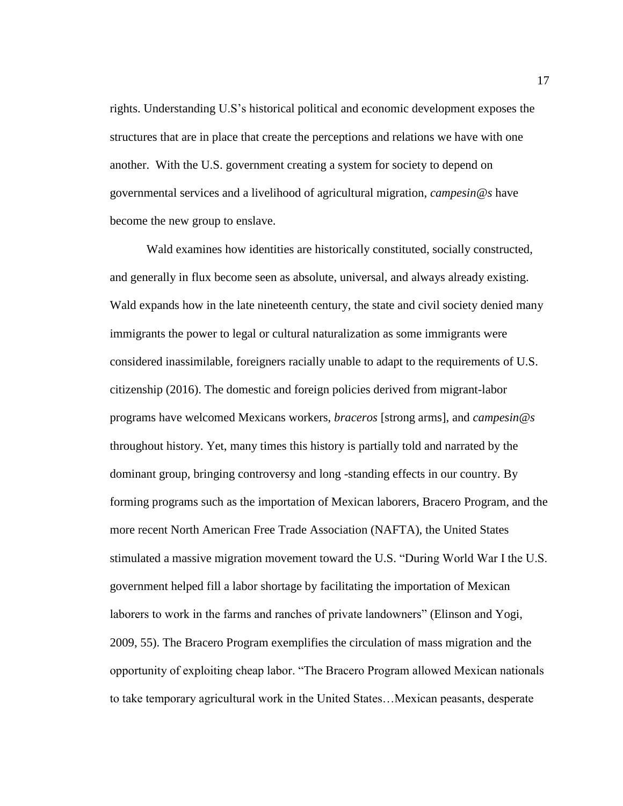rights. Understanding U.S's historical political and economic development exposes the structures that are in place that create the perceptions and relations we have with one another. With the U.S. government creating a system for society to depend on governmental services and a livelihood of agricultural migration, *campesin@s* have become the new group to enslave.

Wald examines how identities are historically constituted, socially constructed, and generally in flux become seen as absolute, universal, and always already existing. Wald expands how in the late nineteenth century, the state and civil society denied many immigrants the power to legal or cultural naturalization as some immigrants were considered inassimilable, foreigners racially unable to adapt to the requirements of U.S. citizenship (2016). The domestic and foreign policies derived from migrant-labor programs have welcomed Mexicans workers, *braceros* [strong arms], and *campesin@s* throughout history. Yet, many times this history is partially told and narrated by the dominant group, bringing controversy and long -standing effects in our country. By forming programs such as the importation of Mexican laborers, Bracero Program, and the more recent North American Free Trade Association (NAFTA), the United States stimulated a massive migration movement toward the U.S. "During World War I the U.S. government helped fill a labor shortage by facilitating the importation of Mexican laborers to work in the farms and ranches of private landowners" (Elinson and Yogi, 2009, 55). The Bracero Program exemplifies the circulation of mass migration and the opportunity of exploiting cheap labor. "The Bracero Program allowed Mexican nationals to take temporary agricultural work in the United States…Mexican peasants, desperate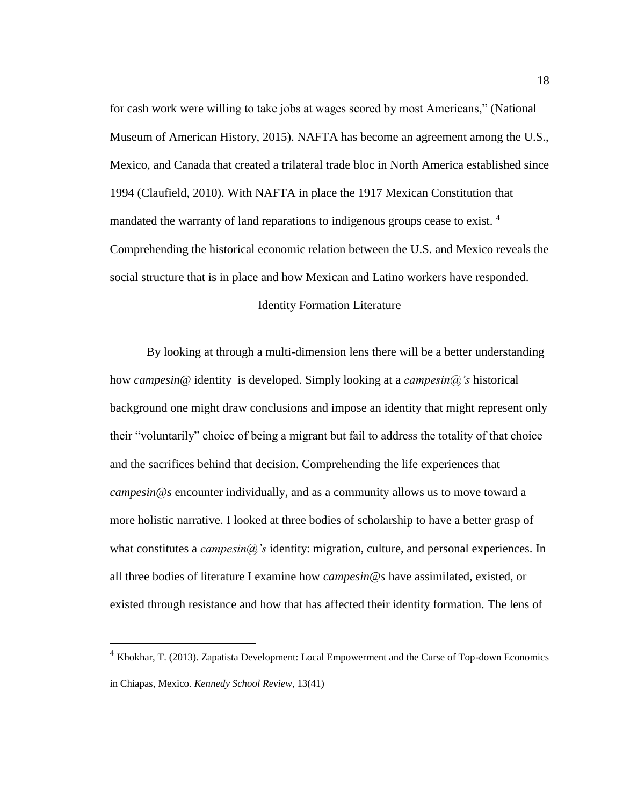for cash work were willing to take jobs at wages scored by most Americans," (National Museum of American History, 2015). NAFTA has become an agreement among the U.S., Mexico, and Canada that created a trilateral trade bloc in North America established since 1994 (Claufield, 2010). With NAFTA in place the 1917 Mexican Constitution that mandated the warranty of land reparations to indigenous groups cease to exist.<sup>4</sup> Comprehending the historical economic relation between the U.S. and Mexico reveals the social structure that is in place and how Mexican and Latino workers have responded.

## Identity Formation Literature

<span id="page-27-0"></span>By looking at through a multi-dimension lens there will be a better understanding how *campesin@* identity is developed. Simply looking at a *campesin@'s* historical background one might draw conclusions and impose an identity that might represent only their "voluntarily" choice of being a migrant but fail to address the totality of that choice and the sacrifices behind that decision. Comprehending the life experiences that *campesin@s* encounter individually, and as a community allows us to move toward a more holistic narrative. I looked at three bodies of scholarship to have a better grasp of what constitutes a *campesin*(a)'s identity: migration, culture, and personal experiences. In all three bodies of literature I examine how *campesin@s* have assimilated, existed, or existed through resistance and how that has affected their identity formation. The lens of

<sup>4</sup> Khokhar, T. (2013). Zapatista Development: Local Empowerment and the Curse of Top-down Economics in Chiapas, Mexico. *Kennedy School Review,* 13(41)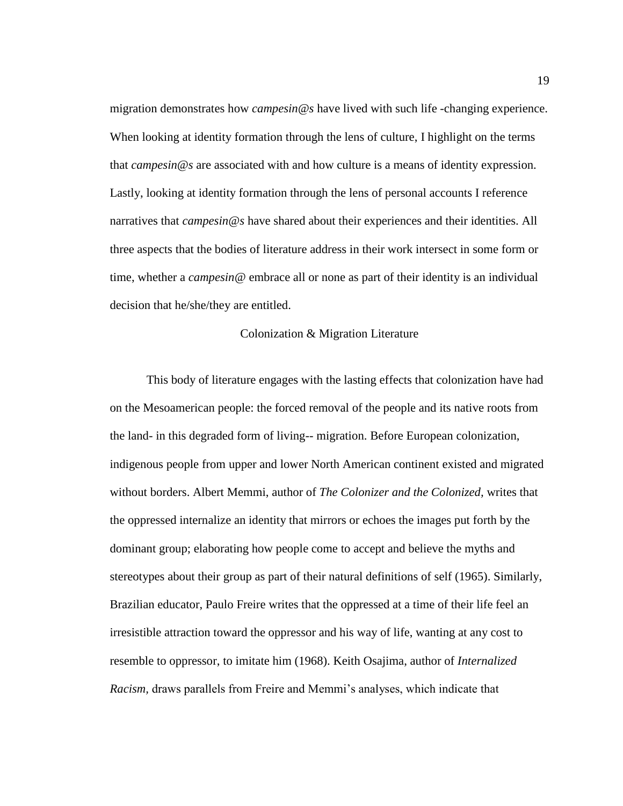migration demonstrates how *campesin@s* have lived with such life -changing experience. When looking at identity formation through the lens of culture, I highlight on the terms that *campesin@s* are associated with and how culture is a means of identity expression. Lastly, looking at identity formation through the lens of personal accounts I reference narratives that *campesin@s* have shared about their experiences and their identities. All three aspects that the bodies of literature address in their work intersect in some form or time, whether a *campesin@* embrace all or none as part of their identity is an individual decision that he/she/they are entitled.

#### Colonization & Migration Literature

<span id="page-28-0"></span>This body of literature engages with the lasting effects that colonization have had on the Mesoamerican people: the forced removal of the people and its native roots from the land- in this degraded form of living-- migration. Before European colonization, indigenous people from upper and lower North American continent existed and migrated without borders. Albert Memmi, author of *The Colonizer and the Colonized,* writes that the oppressed internalize an identity that mirrors or echoes the images put forth by the dominant group; elaborating how people come to accept and believe the myths and stereotypes about their group as part of their natural definitions of self (1965). Similarly, Brazilian educator, Paulo Freire writes that the oppressed at a time of their life feel an irresistible attraction toward the oppressor and his way of life, wanting at any cost to resemble to oppressor, to imitate him (1968). Keith Osajima, author of *Internalized Racism,* draws parallels from Freire and Memmi's analyses, which indicate that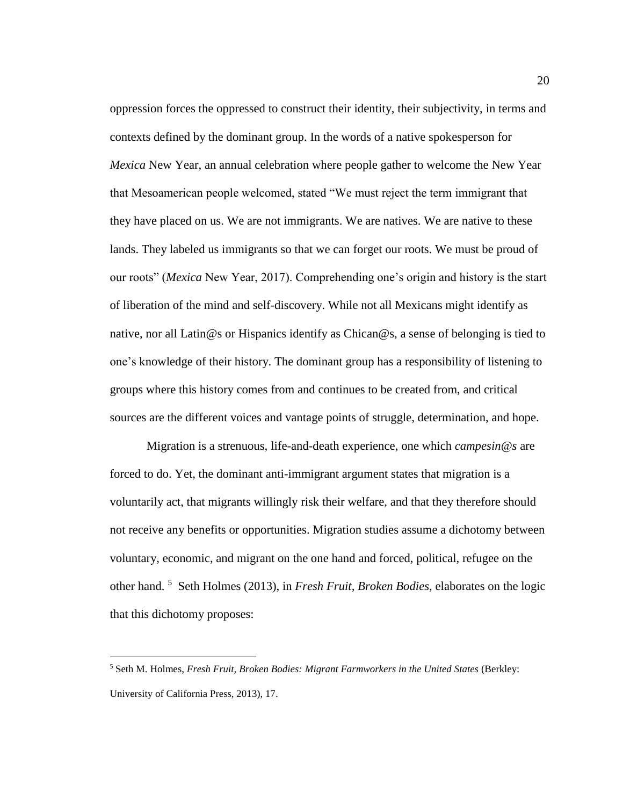oppression forces the oppressed to construct their identity, their subjectivity, in terms and contexts defined by the dominant group. In the words of a native spokesperson for *Mexica* New Year, an annual celebration where people gather to welcome the New Year that Mesoamerican people welcomed, stated "We must reject the term immigrant that they have placed on us. We are not immigrants. We are natives. We are native to these lands. They labeled us immigrants so that we can forget our roots. We must be proud of our roots" (*Mexica* New Year, 2017). Comprehending one's origin and history is the start of liberation of the mind and self-discovery. While not all Mexicans might identify as native, nor all Latin@s or Hispanics identify as Chican@s, a sense of belonging is tied to one's knowledge of their history. The dominant group has a responsibility of listening to groups where this history comes from and continues to be created from, and critical sources are the different voices and vantage points of struggle, determination, and hope.

Migration is a strenuous, life-and-death experience, one which *campesin@s* are forced to do. Yet, the dominant anti-immigrant argument states that migration is a voluntarily act, that migrants willingly risk their welfare, and that they therefore should not receive any benefits or opportunities. Migration studies assume a dichotomy between voluntary, economic, and migrant on the one hand and forced, political, refugee on the other hand. <sup>5</sup> Seth Holmes (2013), in *Fresh Fruit, Broken Bodies,* elaborates on the logic that this dichotomy proposes:

<sup>5</sup> Seth M. Holmes, *Fresh Fruit, Broken Bodies: Migrant Farmworkers in the United States* (Berkley: University of California Press, 2013), 17.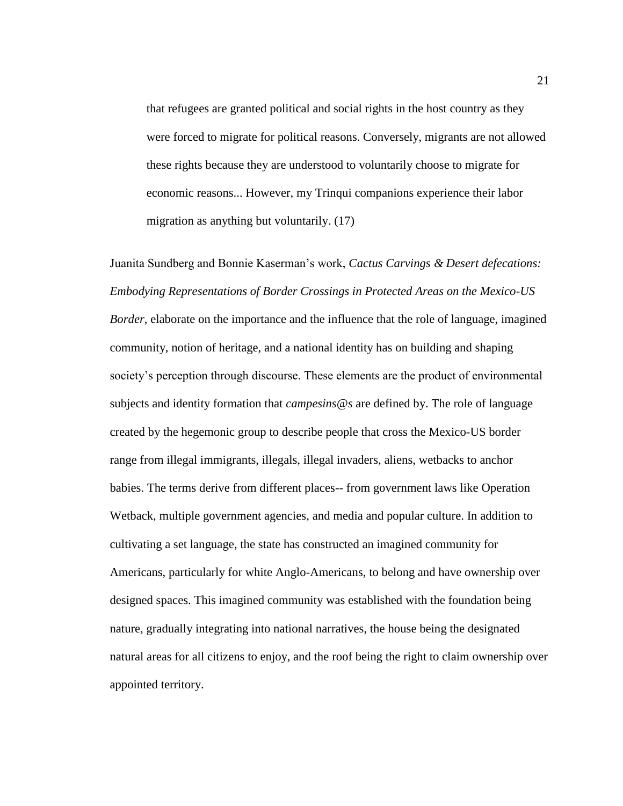that refugees are granted political and social rights in the host country as they were forced to migrate for political reasons. Conversely, migrants are not allowed these rights because they are understood to voluntarily choose to migrate for economic reasons... However, my Trinqui companions experience their labor migration as anything but voluntarily. (17)

Juanita Sundberg and Bonnie Kaserman's work, *Cactus Carvings & Desert defecations: Embodying Representations of Border Crossings in Protected Areas on the Mexico-US Border*, elaborate on the importance and the influence that the role of language, imagined community, notion of heritage, and a national identity has on building and shaping society's perception through discourse. These elements are the product of environmental subjects and identity formation that *campesins@s* are defined by. The role of language created by the hegemonic group to describe people that cross the Mexico-US border range from illegal immigrants, illegals, illegal invaders, aliens, wetbacks to anchor babies. The terms derive from different places-- from government laws like Operation Wetback, multiple government agencies, and media and popular culture. In addition to cultivating a set language, the state has constructed an imagined community for Americans, particularly for white Anglo-Americans, to belong and have ownership over designed spaces. This imagined community was established with the foundation being nature, gradually integrating into national narratives, the house being the designated natural areas for all citizens to enjoy, and the roof being the right to claim ownership over appointed territory.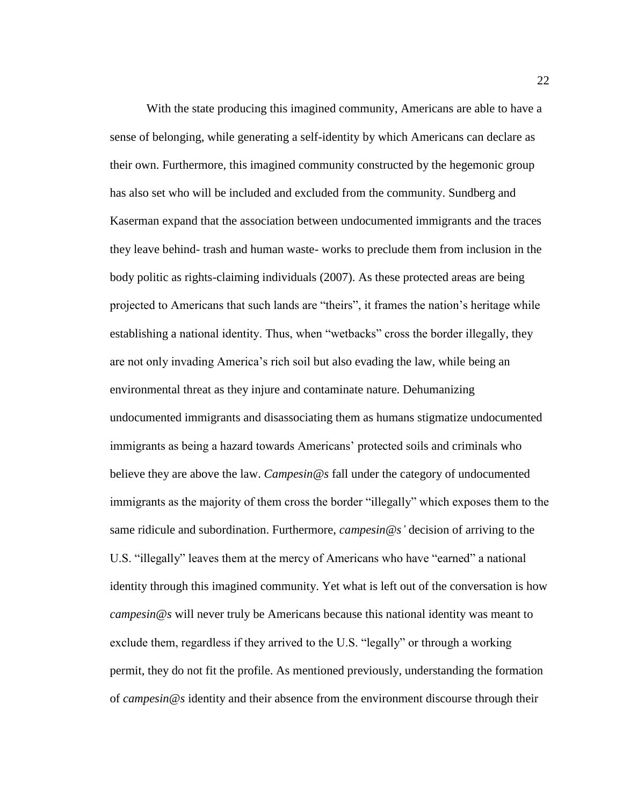With the state producing this imagined community, Americans are able to have a sense of belonging, while generating a self-identity by which Americans can declare as their own. Furthermore, this imagined community constructed by the hegemonic group has also set who will be included and excluded from the community. Sundberg and Kaserman expand that the association between undocumented immigrants and the traces they leave behind- trash and human waste- works to preclude them from inclusion in the body politic as rights-claiming individuals (2007). As these protected areas are being projected to Americans that such lands are "theirs", it frames the nation's heritage while establishing a national identity. Thus, when "wetbacks" cross the border illegally, they are not only invading America's rich soil but also evading the law, while being an environmental threat as they injure and contaminate nature. Dehumanizing undocumented immigrants and disassociating them as humans stigmatize undocumented immigrants as being a hazard towards Americans' protected soils and criminals who believe they are above the law. *Campesin@s* fall under the category of undocumented immigrants as the majority of them cross the border "illegally" which exposes them to the same ridicule and subordination. Furthermore, *campesin@s'* decision of arriving to the U.S. "illegally" leaves them at the mercy of Americans who have "earned" a national identity through this imagined community. Yet what is left out of the conversation is how *campesin@s* will never truly be Americans because this national identity was meant to exclude them, regardless if they arrived to the U.S. "legally" or through a working permit, they do not fit the profile. As mentioned previously, understanding the formation of *campesin@s* identity and their absence from the environment discourse through their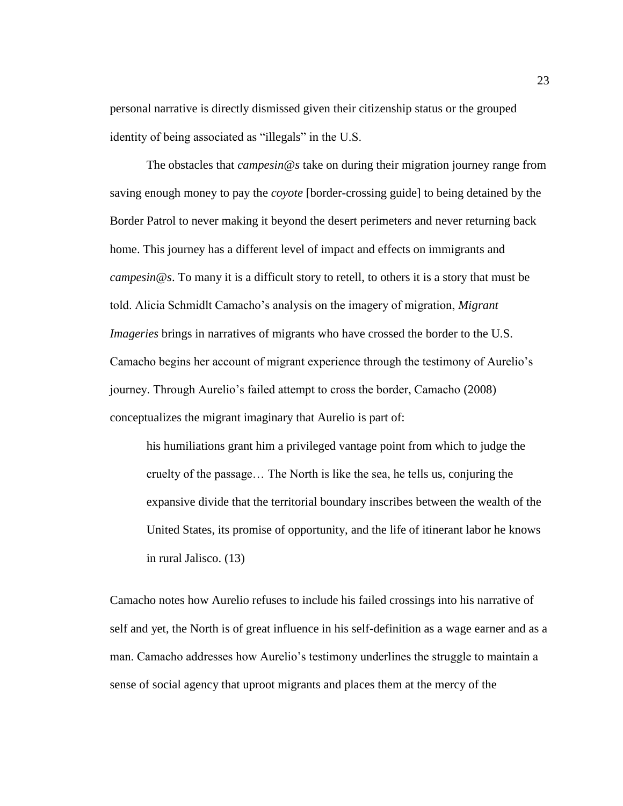personal narrative is directly dismissed given their citizenship status or the grouped identity of being associated as "illegals" in the U.S.

The obstacles that *campesin@s* take on during their migration journey range from saving enough money to pay the *coyote* [border-crossing guide] to being detained by the Border Patrol to never making it beyond the desert perimeters and never returning back home. This journey has a different level of impact and effects on immigrants and *campesin@s*. To many it is a difficult story to retell, to others it is a story that must be told. Alicia Schmidlt Camacho's analysis on the imagery of migration, *Migrant Imageries* brings in narratives of migrants who have crossed the border to the U.S. Camacho begins her account of migrant experience through the testimony of Aurelio's journey. Through Aurelio's failed attempt to cross the border, Camacho (2008) conceptualizes the migrant imaginary that Aurelio is part of:

his humiliations grant him a privileged vantage point from which to judge the cruelty of the passage… The North is like the sea, he tells us, conjuring the expansive divide that the territorial boundary inscribes between the wealth of the United States, its promise of opportunity, and the life of itinerant labor he knows in rural Jalisco. (13)

Camacho notes how Aurelio refuses to include his failed crossings into his narrative of self and yet, the North is of great influence in his self-definition as a wage earner and as a man. Camacho addresses how Aurelio's testimony underlines the struggle to maintain a sense of social agency that uproot migrants and places them at the mercy of the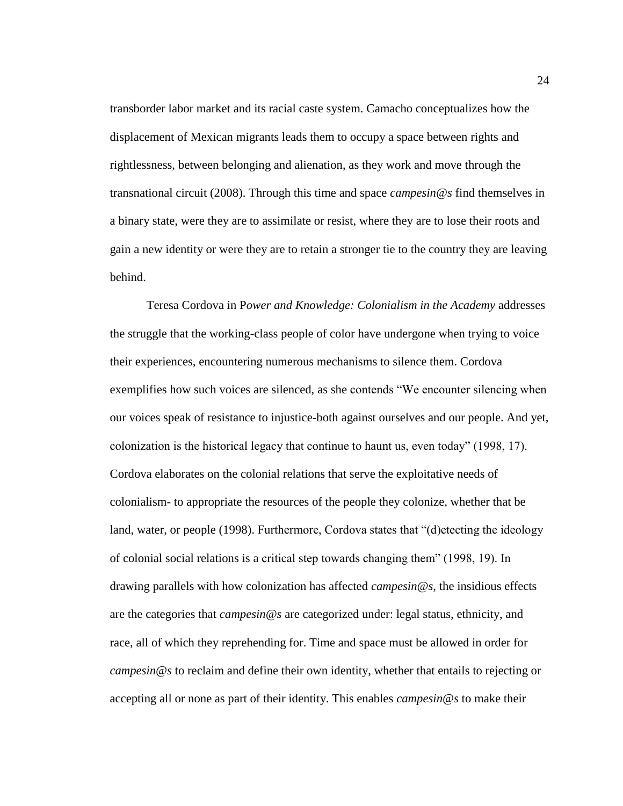transborder labor market and its racial caste system. Camacho conceptualizes how the displacement of Mexican migrants leads them to occupy a space between rights and rightlessness, between belonging and alienation, as they work and move through the transnational circuit (2008). Through this time and space *campesin@s* find themselves in a binary state, were they are to assimilate or resist, where they are to lose their roots and gain a new identity or were they are to retain a stronger tie to the country they are leaving behind.

Teresa Cordova in P*ower and Knowledge: Colonialism in the Academy* addresses the struggle that the working-class people of color have undergone when trying to voice their experiences, encountering numerous mechanisms to silence them. Cordova exemplifies how such voices are silenced, as she contends "We encounter silencing when our voices speak of resistance to injustice-both against ourselves and our people. And yet, colonization is the historical legacy that continue to haunt us, even today" (1998, 17). Cordova elaborates on the colonial relations that serve the exploitative needs of colonialism- to appropriate the resources of the people they colonize, whether that be land, water, or people (1998). Furthermore, Cordova states that "(d)etecting the ideology of colonial social relations is a critical step towards changing them" (1998, 19). In drawing parallels with how colonization has affected *campesin@s*, the insidious effects are the categories that *campesin@s* are categorized under: legal status, ethnicity, and race, all of which they reprehending for. Time and space must be allowed in order for *campesin@s* to reclaim and define their own identity, whether that entails to rejecting or accepting all or none as part of their identity. This enables *campesin@s* to make their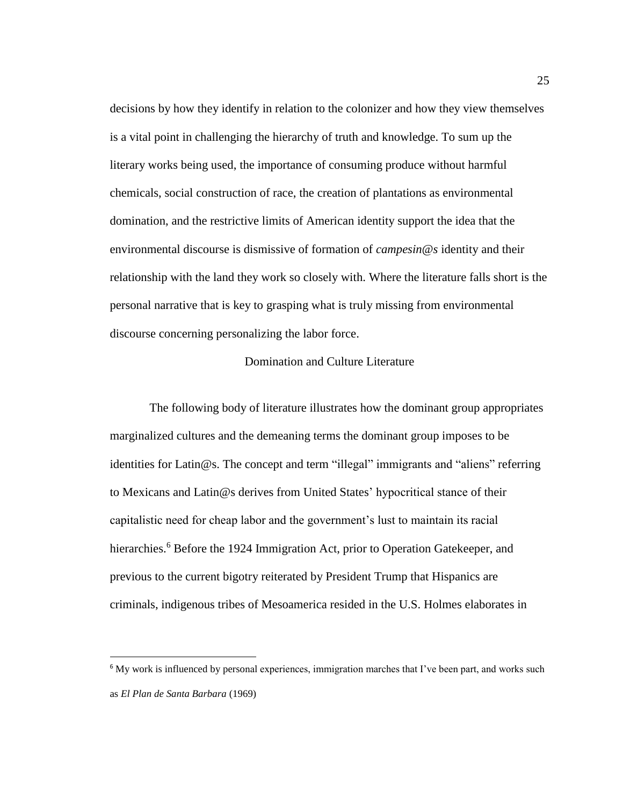decisions by how they identify in relation to the colonizer and how they view themselves is a vital point in challenging the hierarchy of truth and knowledge. To sum up the literary works being used, the importance of consuming produce without harmful chemicals, social construction of race, the creation of plantations as environmental domination, and the restrictive limits of American identity support the idea that the environmental discourse is dismissive of formation of *campesin@s* identity and their relationship with the land they work so closely with. Where the literature falls short is the personal narrative that is key to grasping what is truly missing from environmental discourse concerning personalizing the labor force.

### Domination and Culture Literature

<span id="page-34-0"></span>The following body of literature illustrates how the dominant group appropriates marginalized cultures and the demeaning terms the dominant group imposes to be identities for Latin@s. The concept and term "illegal" immigrants and "aliens" referring to Mexicans and Latin@s derives from United States' hypocritical stance of their capitalistic need for cheap labor and the government's lust to maintain its racial hierarchies.<sup>6</sup> Before the 1924 Immigration Act, prior to Operation Gatekeeper, and previous to the current bigotry reiterated by President Trump that Hispanics are criminals, indigenous tribes of Mesoamerica resided in the U.S. Holmes elaborates in

<sup>&</sup>lt;sup>6</sup> My work is influenced by personal experiences, immigration marches that I've been part, and works such as *El Plan de Santa Barbara* (1969)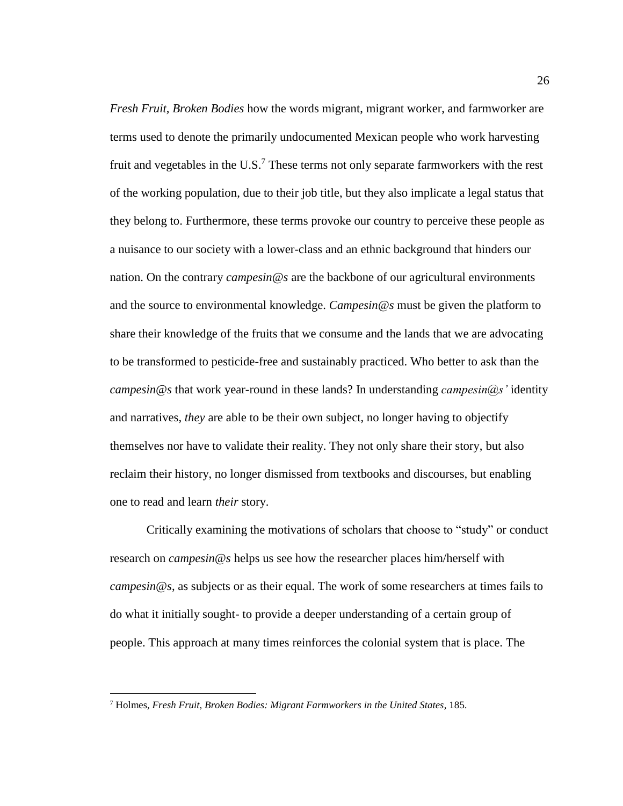*Fresh Fruit, Broken Bodies* how the words migrant, migrant worker, and farmworker are terms used to denote the primarily undocumented Mexican people who work harvesting fruit and vegetables in the U.S.<sup>7</sup> These terms not only separate farmworkers with the rest of the working population, due to their job title, but they also implicate a legal status that they belong to. Furthermore, these terms provoke our country to perceive these people as a nuisance to our society with a lower-class and an ethnic background that hinders our nation. On the contrary *campesin@s* are the backbone of our agricultural environments and the source to environmental knowledge. *Campesin@s* must be given the platform to share their knowledge of the fruits that we consume and the lands that we are advocating to be transformed to pesticide-free and sustainably practiced. Who better to ask than the *campesin@s* that work year-round in these lands? In understanding *campesin@s'* identity and narratives, *they* are able to be their own subject, no longer having to objectify themselves nor have to validate their reality. They not only share their story, but also reclaim their history, no longer dismissed from textbooks and discourses, but enabling one to read and learn *their* story.

Critically examining the motivations of scholars that choose to "study" or conduct research on *campesin@s* helps us see how the researcher places him/herself with *campesin@s*, as subjects or as their equal. The work of some researchers at times fails to do what it initially sought- to provide a deeper understanding of a certain group of people. This approach at many times reinforces the colonial system that is place. The

<sup>7</sup> Holmes, *Fresh Fruit, Broken Bodies: Migrant Farmworkers in the United States*, 185.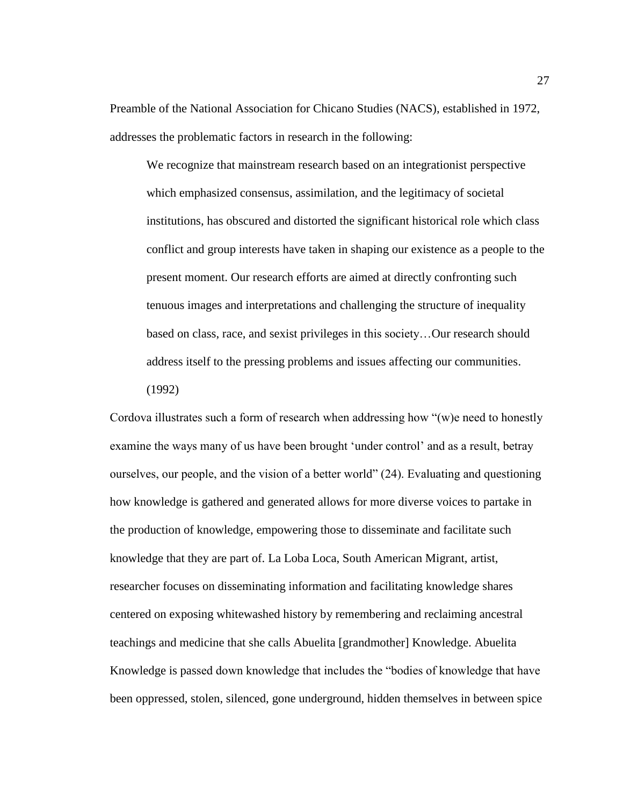Preamble of the National Association for Chicano Studies (NACS), established in 1972, addresses the problematic factors in research in the following:

We recognize that mainstream research based on an integrationist perspective which emphasized consensus, assimilation, and the legitimacy of societal institutions, has obscured and distorted the significant historical role which class conflict and group interests have taken in shaping our existence as a people to the present moment. Our research efforts are aimed at directly confronting such tenuous images and interpretations and challenging the structure of inequality based on class, race, and sexist privileges in this society…Our research should address itself to the pressing problems and issues affecting our communities. (1992)

Cordova illustrates such a form of research when addressing how "(w)e need to honestly examine the ways many of us have been brought 'under control' and as a result, betray ourselves, our people, and the vision of a better world" (24). Evaluating and questioning how knowledge is gathered and generated allows for more diverse voices to partake in the production of knowledge, empowering those to disseminate and facilitate such knowledge that they are part of. La Loba Loca, South American Migrant, artist, researcher focuses on disseminating information and facilitating knowledge shares centered on exposing whitewashed history by remembering and reclaiming ancestral teachings and medicine that she calls Abuelita [grandmother] Knowledge. Abuelita Knowledge is passed down knowledge that includes the "bodies of knowledge that have been oppressed, stolen, silenced, gone underground, hidden themselves in between spice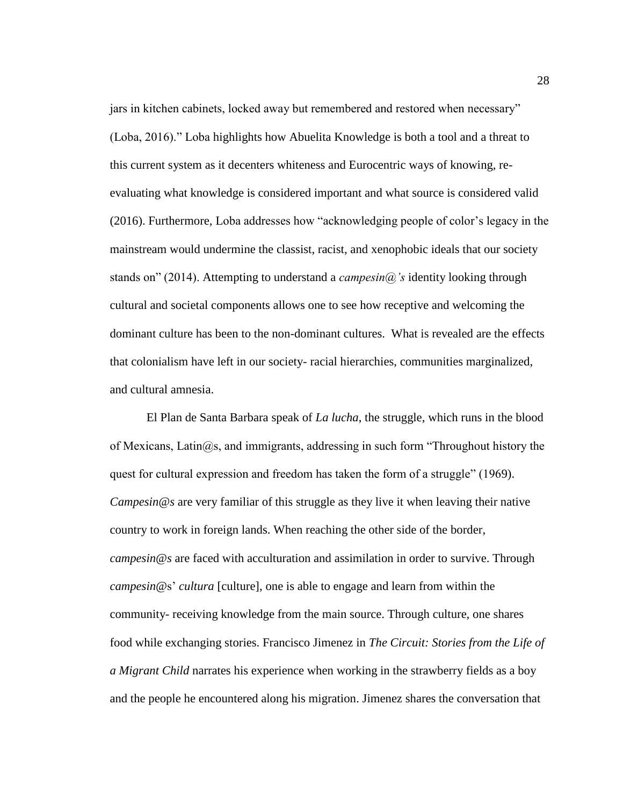jars in kitchen cabinets, locked away but remembered and restored when necessary" (Loba, 2016)." Loba highlights how Abuelita Knowledge is both a tool and a threat to this current system as it decenters whiteness and Eurocentric ways of knowing, reevaluating what knowledge is considered important and what source is considered valid (2016). Furthermore, Loba addresses how "acknowledging people of color's legacy in the mainstream would undermine the classist, racist, and xenophobic ideals that our society stands on" (2014). Attempting to understand a *campesin@'s* identity looking through cultural and societal components allows one to see how receptive and welcoming the dominant culture has been to the non-dominant cultures. What is revealed are the effects that colonialism have left in our society- racial hierarchies, communities marginalized, and cultural amnesia.

El Plan de Santa Barbara speak of *La lucha*, the struggle, which runs in the blood of Mexicans, Latin $\omega$ s, and immigrants, addressing in such form "Throughout history the quest for cultural expression and freedom has taken the form of a struggle" (1969). *Campesin@s* are very familiar of this struggle as they live it when leaving their native country to work in foreign lands. When reaching the other side of the border, *campesin@s* are faced with acculturation and assimilation in order to survive. Through *campesin@*s' *cultura* [culture], one is able to engage and learn from within the community- receiving knowledge from the main source. Through culture, one shares food while exchanging stories. Francisco Jimenez in *The Circuit: Stories from the Life of a Migrant Child* narrates his experience when working in the strawberry fields as a boy and the people he encountered along his migration. Jimenez shares the conversation that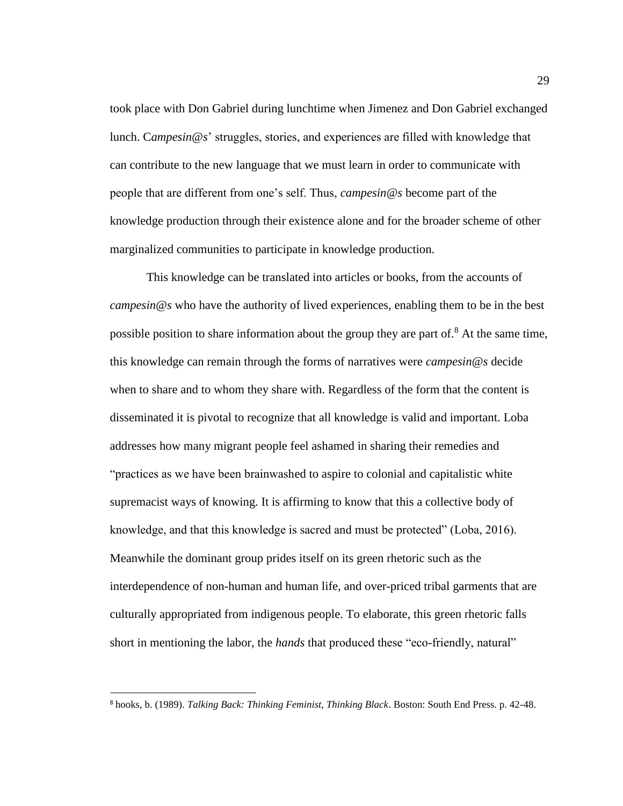took place with Don Gabriel during lunchtime when Jimenez and Don Gabriel exchanged lunch. C*ampesin@s*' struggles, stories, and experiences are filled with knowledge that can contribute to the new language that we must learn in order to communicate with people that are different from one's self. Thus, *campesin@s* become part of the knowledge production through their existence alone and for the broader scheme of other marginalized communities to participate in knowledge production.

This knowledge can be translated into articles or books, from the accounts of *campesin@s* who have the authority of lived experiences, enabling them to be in the best possible position to share information about the group they are part of.<sup>8</sup> At the same time, this knowledge can remain through the forms of narratives were *campesin@s* decide when to share and to whom they share with. Regardless of the form that the content is disseminated it is pivotal to recognize that all knowledge is valid and important. Loba addresses how many migrant people feel ashamed in sharing their remedies and "practices as we have been brainwashed to aspire to colonial and capitalistic white supremacist ways of knowing. It is affirming to know that this a collective body of knowledge, and that this knowledge is sacred and must be protected" (Loba, 2016). Meanwhile the dominant group prides itself on its green rhetoric such as the interdependence of non-human and human life, and over-priced tribal garments that are culturally appropriated from indigenous people. To elaborate, this green rhetoric falls short in mentioning the labor, the *hands* that produced these "eco-friendly, natural"

 $\overline{a}$ 

<sup>8</sup> hooks, b. (1989). *Talking Back: Thinking Feminist, Thinking Black*. Boston: South End Press. p. 42-48.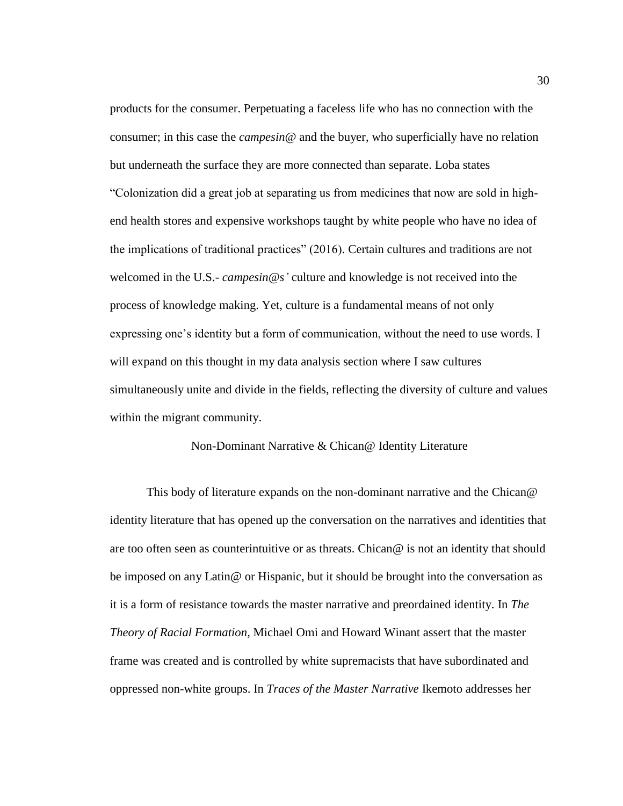products for the consumer. Perpetuating a faceless life who has no connection with the consumer; in this case the *campesin@* and the buyer, who superficially have no relation but underneath the surface they are more connected than separate. Loba states "Colonization did a great job at separating us from medicines that now are sold in highend health stores and expensive workshops taught by white people who have no idea of the implications of traditional practices" (2016). Certain cultures and traditions are not welcomed in the U.S.- *campesin@s'* culture and knowledge is not received into the process of knowledge making. Yet, culture is a fundamental means of not only expressing one's identity but a form of communication, without the need to use words. I will expand on this thought in my data analysis section where I saw cultures simultaneously unite and divide in the fields, reflecting the diversity of culture and values within the migrant community.

#### Non-Dominant Narrative & Chican@ Identity Literature

This body of literature expands on the non-dominant narrative and the Chican@ identity literature that has opened up the conversation on the narratives and identities that are too often seen as counterintuitive or as threats. Chican@ is not an identity that should be imposed on any Latin@ or Hispanic, but it should be brought into the conversation as it is a form of resistance towards the master narrative and preordained identity. In *The Theory of Racial Formation,* Michael Omi and Howard Winant assert that the master frame was created and is controlled by white supremacists that have subordinated and oppressed non-white groups. In *Traces of the Master Narrative* Ikemoto addresses her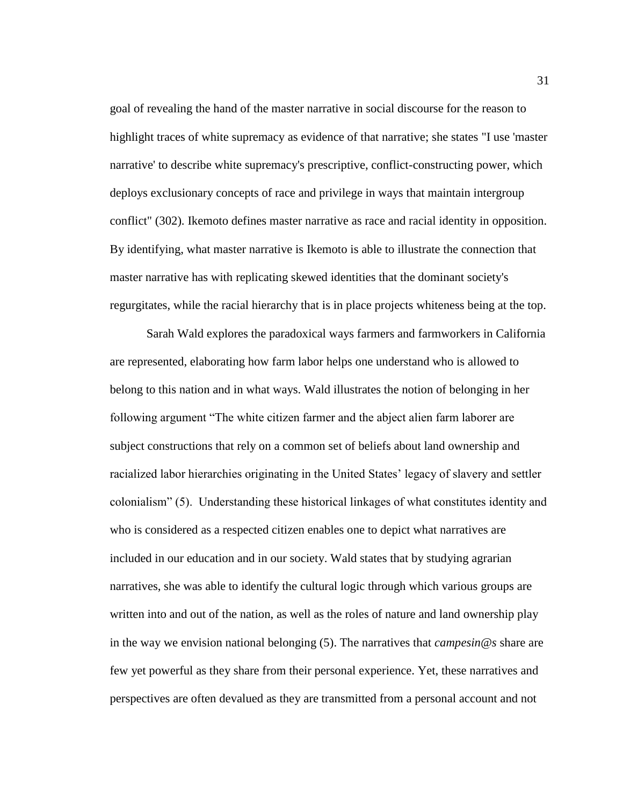goal of revealing the hand of the master narrative in social discourse for the reason to highlight traces of white supremacy as evidence of that narrative; she states "I use 'master narrative' to describe white supremacy's prescriptive, conflict-constructing power, which deploys exclusionary concepts of race and privilege in ways that maintain intergroup conflict" (302). Ikemoto defines master narrative as race and racial identity in opposition. By identifying, what master narrative is Ikemoto is able to illustrate the connection that master narrative has with replicating skewed identities that the dominant society's regurgitates, while the racial hierarchy that is in place projects whiteness being at the top.

Sarah Wald explores the paradoxical ways farmers and farmworkers in California are represented, elaborating how farm labor helps one understand who is allowed to belong to this nation and in what ways. Wald illustrates the notion of belonging in her following argument "The white citizen farmer and the abject alien farm laborer are subject constructions that rely on a common set of beliefs about land ownership and racialized labor hierarchies originating in the United States' legacy of slavery and settler colonialism" (5). Understanding these historical linkages of what constitutes identity and who is considered as a respected citizen enables one to depict what narratives are included in our education and in our society. Wald states that by studying agrarian narratives, she was able to identify the cultural logic through which various groups are written into and out of the nation, as well as the roles of nature and land ownership play in the way we envision national belonging (5). The narratives that *campesin@s* share are few yet powerful as they share from their personal experience. Yet, these narratives and perspectives are often devalued as they are transmitted from a personal account and not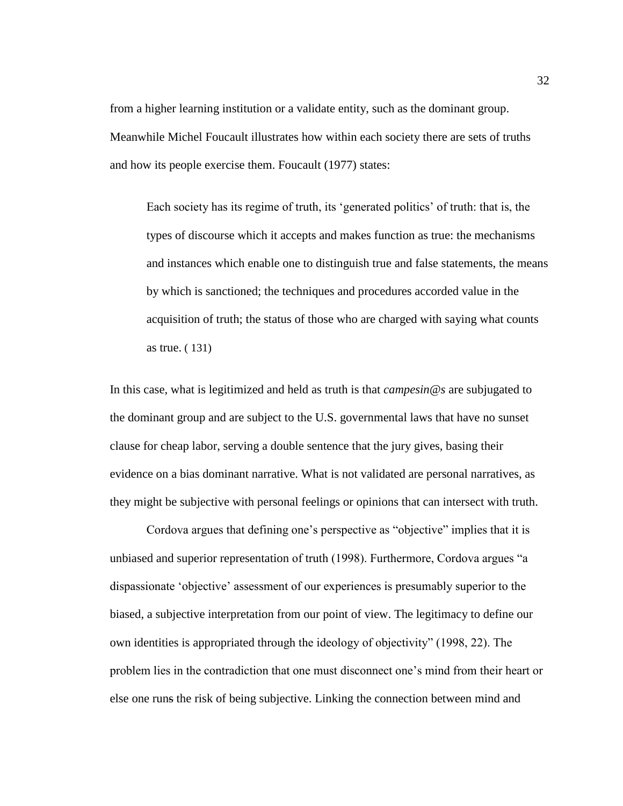from a higher learning institution or a validate entity, such as the dominant group. Meanwhile Michel Foucault illustrates how within each society there are sets of truths and how its people exercise them. Foucault (1977) states:

Each society has its regime of truth, its 'generated politics' of truth: that is, the types of discourse which it accepts and makes function as true: the mechanisms and instances which enable one to distinguish true and false statements, the means by which is sanctioned; the techniques and procedures accorded value in the acquisition of truth; the status of those who are charged with saying what counts as true. ( 131)

In this case, what is legitimized and held as truth is that *campesin@s* are subjugated to the dominant group and are subject to the U.S. governmental laws that have no sunset clause for cheap labor, serving a double sentence that the jury gives, basing their evidence on a bias dominant narrative. What is not validated are personal narratives, as they might be subjective with personal feelings or opinions that can intersect with truth.

Cordova argues that defining one's perspective as "objective" implies that it is unbiased and superior representation of truth (1998). Furthermore, Cordova argues "a dispassionate 'objective' assessment of our experiences is presumably superior to the biased, a subjective interpretation from our point of view. The legitimacy to define our own identities is appropriated through the ideology of objectivity" (1998, 22). The problem lies in the contradiction that one must disconnect one's mind from their heart or else one runs the risk of being subjective. Linking the connection between mind and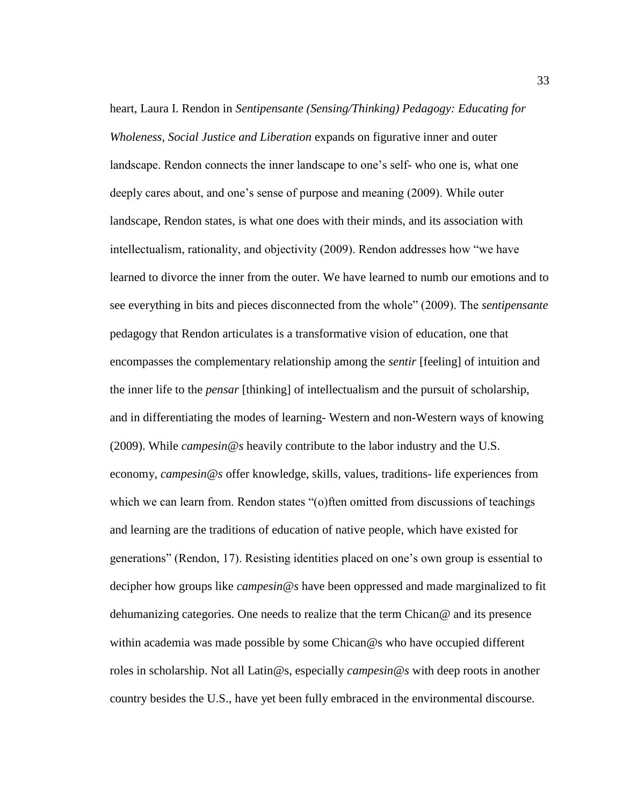heart, Laura I. Rendon in *Sentipensante (Sensing/Thinking) Pedagogy: Educating for Wholeness, Social Justice and Liberation* expands on figurative inner and outer landscape. Rendon connects the inner landscape to one's self- who one is, what one deeply cares about, and one's sense of purpose and meaning (2009). While outer landscape, Rendon states, is what one does with their minds, and its association with intellectualism, rationality, and objectivity (2009). Rendon addresses how "we have learned to divorce the inner from the outer. We have learned to numb our emotions and to see everything in bits and pieces disconnected from the whole" (2009). The *sentipensante* pedagogy that Rendon articulates is a transformative vision of education, one that encompasses the complementary relationship among the *sentir* [feeling] of intuition and the inner life to the *pensar* [thinking] of intellectualism and the pursuit of scholarship, and in differentiating the modes of learning- Western and non-Western ways of knowing (2009). While *campesin@s* heavily contribute to the labor industry and the U.S. economy, *campesin@s* offer knowledge, skills, values, traditions- life experiences from which we can learn from. Rendon states "(o)ften omitted from discussions of teachings and learning are the traditions of education of native people, which have existed for generations" (Rendon, 17). Resisting identities placed on one's own group is essential to decipher how groups like *campesin@s* have been oppressed and made marginalized to fit dehumanizing categories. One needs to realize that the term Chican@ and its presence within academia was made possible by some Chican@s who have occupied different roles in scholarship. Not all Latin@s, especially *campesin@s* with deep roots in another country besides the U.S., have yet been fully embraced in the environmental discourse.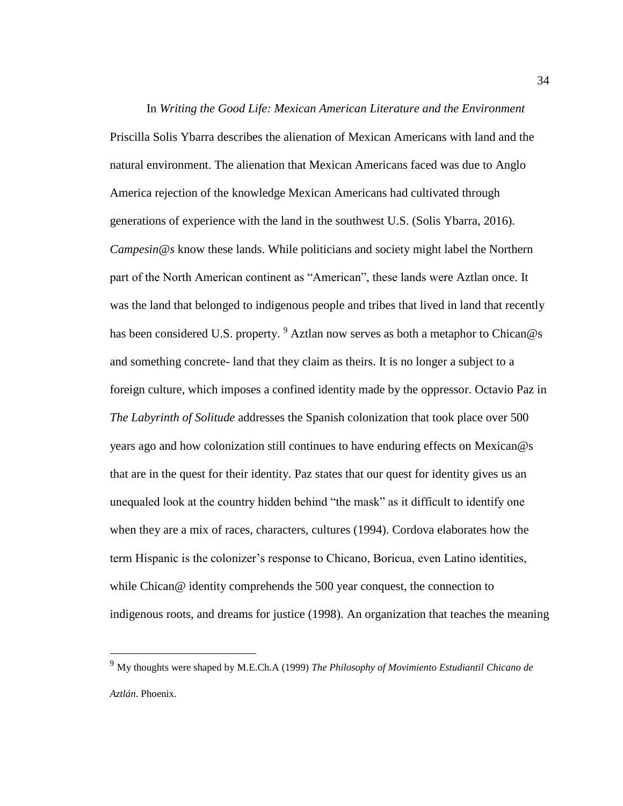In *Writing the Good Life: Mexican American Literature and the Environment*  Priscilla Solis Ybarra describes the alienation of Mexican Americans with land and the natural environment. The alienation that Mexican Americans faced was due to Anglo America rejection of the knowledge Mexican Americans had cultivated through generations of experience with the land in the southwest U.S. (Solis Ybarra, 2016). *Campesin@s* know these lands. While politicians and society might label the Northern part of the North American continent as "American", these lands were Aztlan once. It was the land that belonged to indigenous people and tribes that lived in land that recently has been considered U.S. property. <sup>9</sup> Aztlan now serves as both a metaphor to Chican@s and something concrete- land that they claim as theirs. It is no longer a subject to a foreign culture, which imposes a confined identity made by the oppressor. Octavio Paz in *The Labyrinth of Solitude* addresses the Spanish colonization that took place over 500 years ago and how colonization still continues to have enduring effects on Mexican@s that are in the quest for their identity. Paz states that our quest for identity gives us an unequaled look at the country hidden behind "the mask" as it difficult to identify one when they are a mix of races, characters, cultures (1994). Cordova elaborates how the term Hispanic is the colonizer's response to Chicano, Boricua, even Latino identities, while Chican@ identity comprehends the 500 year conquest, the connection to indigenous roots, and dreams for justice (1998). An organization that teaches the meaning

 $\overline{a}$ 

<sup>9</sup> My thoughts were shaped by M.E.Ch.A (1999) *The Philosophy of Movimiento Estudiantil Chicano de Aztlán*. Phoenix.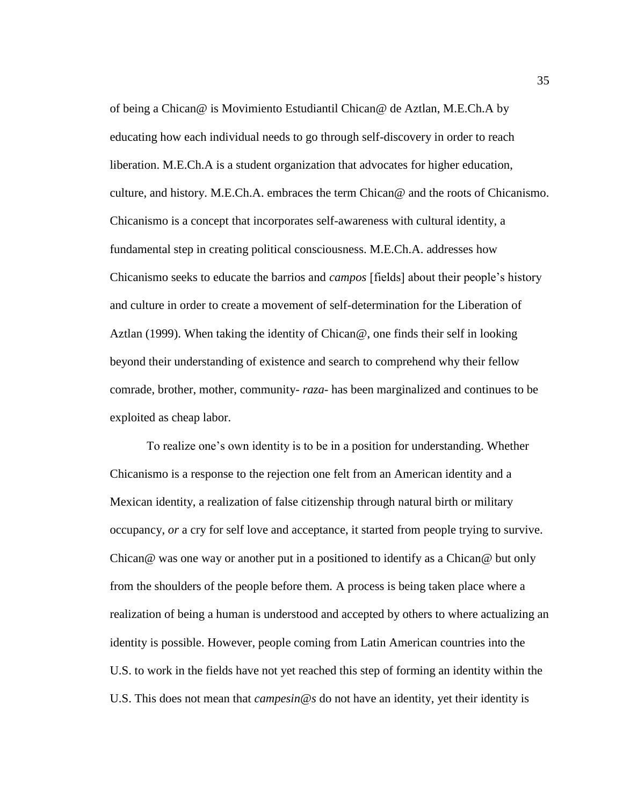of being a Chican@ is Movimiento Estudiantil Chican@ de Aztlan, M.E.Ch.A by educating how each individual needs to go through self-discovery in order to reach liberation. M.E.Ch.A is a student organization that advocates for higher education, culture, and history. M.E.Ch.A. embraces the term  $Chican@$  and the roots of Chicanismo. Chicanismo is a concept that incorporates self-awareness with cultural identity, a fundamental step in creating political consciousness. M.E.Ch.A. addresses how Chicanismo seeks to educate the barrios and *campos* [fields] about their people's history and culture in order to create a movement of self-determination for the Liberation of Aztlan (1999). When taking the identity of Chican@, one finds their self in looking beyond their understanding of existence and search to comprehend why their fellow comrade, brother, mother, community- *raza-* has been marginalized and continues to be exploited as cheap labor.

To realize one's own identity is to be in a position for understanding. Whether Chicanismo is a response to the rejection one felt from an American identity and a Mexican identity, a realization of false citizenship through natural birth or military occupancy, *or* a cry for self love and acceptance, it started from people trying to survive. Chican@ was one way or another put in a positioned to identify as a Chican@ but only from the shoulders of the people before them*.* A process is being taken place where a realization of being a human is understood and accepted by others to where actualizing an identity is possible. However, people coming from Latin American countries into the U.S. to work in the fields have not yet reached this step of forming an identity within the U.S. This does not mean that *campesin@s* do not have an identity, yet their identity is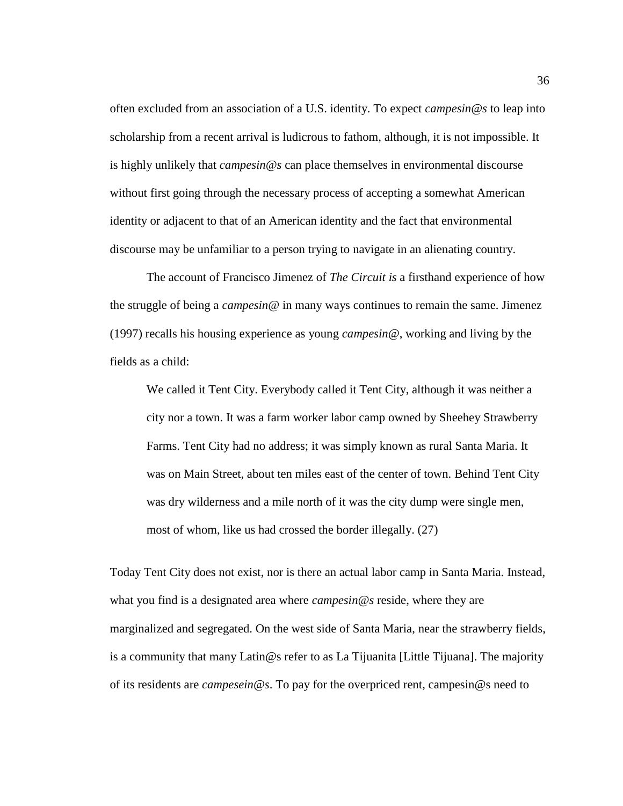often excluded from an association of a U.S. identity. To expect *campesin@s* to leap into scholarship from a recent arrival is ludicrous to fathom, although, it is not impossible. It is highly unlikely that *campesin@s* can place themselves in environmental discourse without first going through the necessary process of accepting a somewhat American identity or adjacent to that of an American identity and the fact that environmental discourse may be unfamiliar to a person trying to navigate in an alienating country.

The account of Francisco Jimenez of *The Circuit is* a firsthand experience of how the struggle of being a *campesin@* in many ways continues to remain the same. Jimenez (1997) recalls his housing experience as young *campesin@*, working and living by the fields as a child:

We called it Tent City. Everybody called it Tent City, although it was neither a city nor a town. It was a farm worker labor camp owned by Sheehey Strawberry Farms. Tent City had no address; it was simply known as rural Santa Maria. It was on Main Street, about ten miles east of the center of town. Behind Tent City was dry wilderness and a mile north of it was the city dump were single men, most of whom, like us had crossed the border illegally. (27)

Today Tent City does not exist, nor is there an actual labor camp in Santa Maria. Instead, what you find is a designated area where *campesin@s* reside, where they are marginalized and segregated. On the west side of Santa Maria, near the strawberry fields, is a community that many Latin@s refer to as La Tijuanita [Little Tijuana]. The majority of its residents are *campesein@s*. To pay for the overpriced rent, campesin@s need to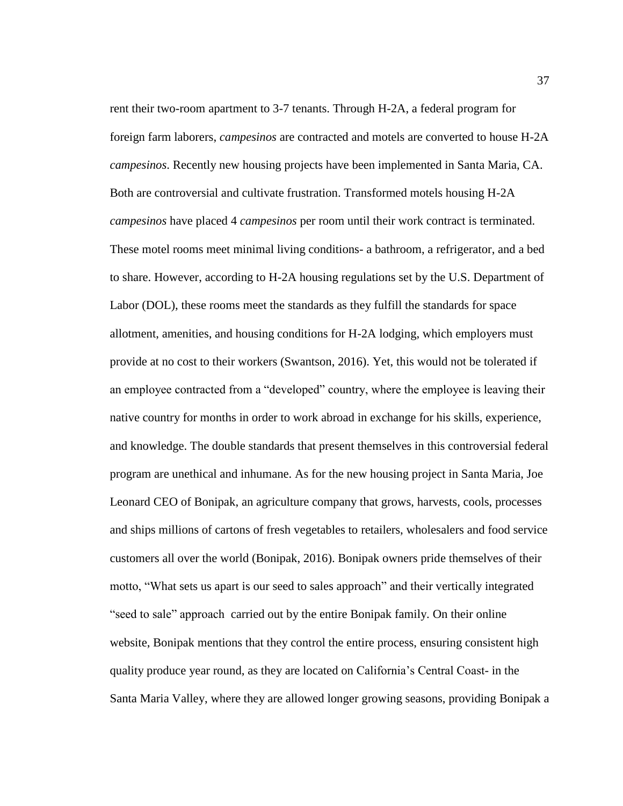rent their two-room apartment to 3-7 tenants. Through H-2A, a federal program for foreign farm laborers, *campesinos* are contracted and motels are converted to house H-2A *campesinos*. Recently new housing projects have been implemented in Santa Maria, CA. Both are controversial and cultivate frustration. Transformed motels housing H-2A *campesinos* have placed 4 *campesinos* per room until their work contract is terminated. These motel rooms meet minimal living conditions- a bathroom, a refrigerator, and a bed to share. However, according to H-2A housing regulations set by the U.S. Department of Labor (DOL), these rooms meet the standards as they fulfill the standards for space allotment, amenities, and housing conditions for H-2A lodging, which employers must provide at no cost to their workers (Swantson, 2016). Yet, this would not be tolerated if an employee contracted from a "developed" country, where the employee is leaving their native country for months in order to work abroad in exchange for his skills, experience, and knowledge. The double standards that present themselves in this controversial federal program are unethical and inhumane. As for the new housing project in Santa Maria, Joe Leonard CEO of Bonipak, an agriculture company that grows, harvests, cools, processes and ships millions of cartons of fresh vegetables to retailers, wholesalers and food service customers all over the world (Bonipak, 2016). Bonipak owners pride themselves of their motto, "What sets us apart is our seed to sales approach" and their vertically integrated "seed to sale" approach carried out by the entire Bonipak family. On their online website, Bonipak mentions that they control the entire process, ensuring consistent high quality produce year round, as they are located on California's Central Coast- in the Santa Maria Valley, where they are allowed longer growing seasons, providing Bonipak a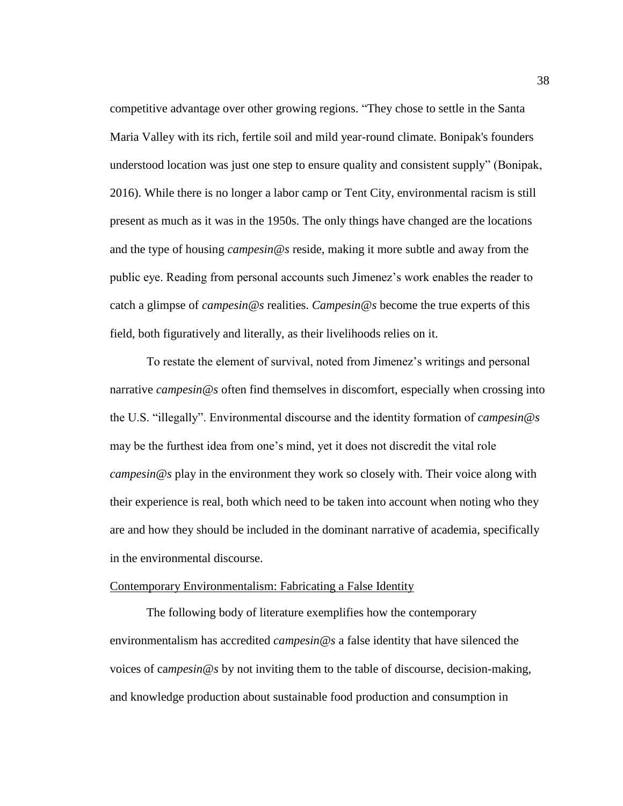competitive advantage over other growing regions. "They chose to settle in the Santa Maria Valley with its rich, fertile soil and mild year-round climate. Bonipak's founders understood location was just one step to ensure quality and consistent supply" (Bonipak, 2016). While there is no longer a labor camp or Tent City, environmental racism is still present as much as it was in the 1950s. The only things have changed are the locations and the type of housing *campesin@s* reside, making it more subtle and away from the public eye. Reading from personal accounts such Jimenez's work enables the reader to catch a glimpse of *campesin@s* realities. *Campesin@s* become the true experts of this field, both figuratively and literally, as their livelihoods relies on it.

To restate the element of survival, noted from Jimenez's writings and personal narrative *campesin@s* often find themselves in discomfort, especially when crossing into the U.S. "illegally". Environmental discourse and the identity formation of *campesin@s*  may be the furthest idea from one's mind, yet it does not discredit the vital role *campesin@s* play in the environment they work so closely with. Their voice along with their experience is real, both which need to be taken into account when noting who they are and how they should be included in the dominant narrative of academia, specifically in the environmental discourse.

#### Contemporary Environmentalism: Fabricating a False Identity

The following body of literature exemplifies how the contemporary environmentalism has accredited *campesin@s* a false identity that have silenced the voices of ca*mpesin@s* by not inviting them to the table of discourse, decision-making, and knowledge production about sustainable food production and consumption in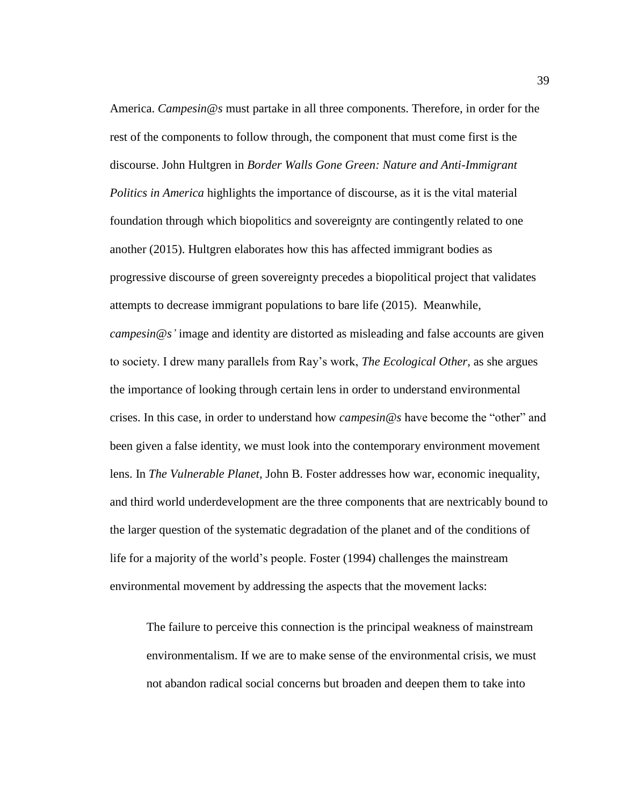America. *Campesin@s* must partake in all three components. Therefore, in order for the rest of the components to follow through, the component that must come first is the discourse. John Hultgren in *Border Walls Gone Green: Nature and Anti-Immigrant Politics in America* highlights the importance of discourse, as it is the vital material foundation through which biopolitics and sovereignty are contingently related to one another (2015). Hultgren elaborates how this has affected immigrant bodies as progressive discourse of green sovereignty precedes a biopolitical project that validates attempts to decrease immigrant populations to bare life (2015). Meanwhile, *campesin@s'* image and identity are distorted as misleading and false accounts are given to society. I drew many parallels from Ray's work, *The Ecological Other,* as she argues the importance of looking through certain lens in order to understand environmental crises. In this case, in order to understand how *campesin@s* have become the "other" and been given a false identity, we must look into the contemporary environment movement lens. In *The Vulnerable Planet,* John B. Foster addresses how war, economic inequality, and third world underdevelopment are the three components that are nextricably bound to the larger question of the systematic degradation of the planet and of the conditions of life for a majority of the world's people. Foster (1994) challenges the mainstream environmental movement by addressing the aspects that the movement lacks:

The failure to perceive this connection is the principal weakness of mainstream environmentalism. If we are to make sense of the environmental crisis, we must not abandon radical social concerns but broaden and deepen them to take into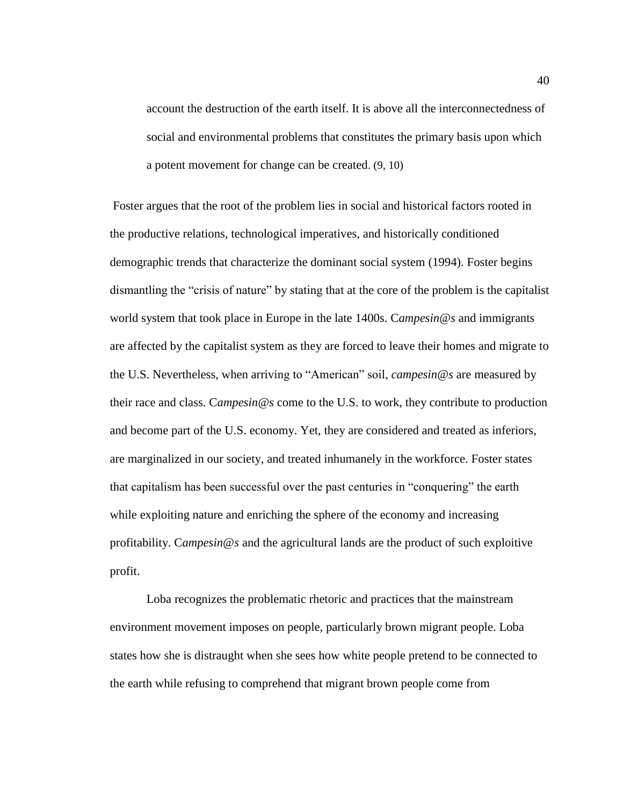account the destruction of the earth itself. It is above all the interconnectedness of social and environmental problems that constitutes the primary basis upon which a potent movement for change can be created. (9, 10)

Foster argues that the root of the problem lies in social and historical factors rooted in the productive relations, technological imperatives, and historically conditioned demographic trends that characterize the dominant social system (1994). Foster begins dismantling the "crisis of nature" by stating that at the core of the problem is the capitalist world system that took place in Europe in the late 1400s. C*ampesin@s* and immigrants are affected by the capitalist system as they are forced to leave their homes and migrate to the U.S. Nevertheless, when arriving to "American" soil, *campesin@s* are measured by their race and class. C*ampesin@s* come to the U.S. to work, they contribute to production and become part of the U.S. economy. Yet, they are considered and treated as inferiors, are marginalized in our society, and treated inhumanely in the workforce. Foster states that capitalism has been successful over the past centuries in "conquering" the earth while exploiting nature and enriching the sphere of the economy and increasing profitability. C*ampesin@s* and the agricultural lands are the product of such exploitive profit.

Loba recognizes the problematic rhetoric and practices that the mainstream environment movement imposes on people, particularly brown migrant people. Loba states how she is distraught when she sees how white people pretend to be connected to the earth while refusing to comprehend that migrant brown people come from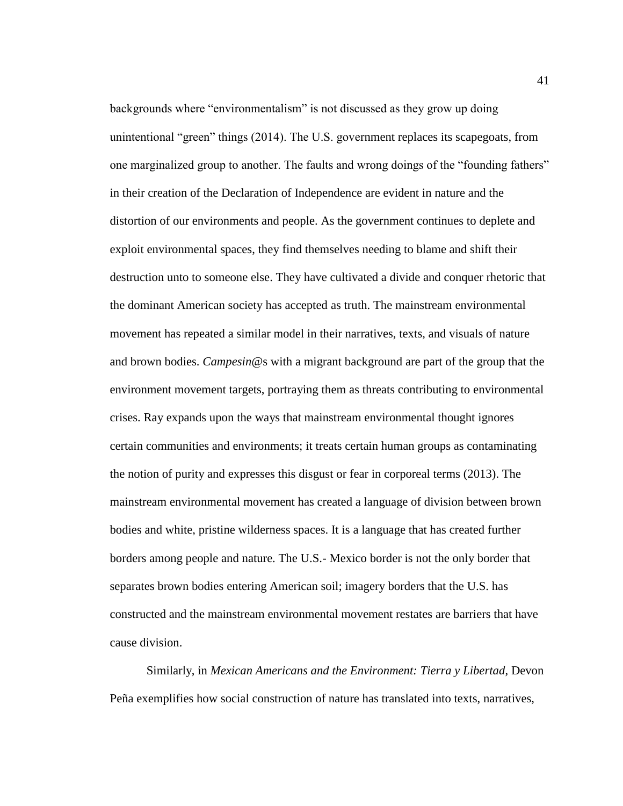backgrounds where "environmentalism" is not discussed as they grow up doing unintentional "green" things (2014). The U.S. government replaces its scapegoats, from one marginalized group to another. The faults and wrong doings of the "founding fathers" in their creation of the Declaration of Independence are evident in nature and the distortion of our environments and people. As the government continues to deplete and exploit environmental spaces, they find themselves needing to blame and shift their destruction unto to someone else. They have cultivated a divide and conquer rhetoric that the dominant American society has accepted as truth. The mainstream environmental movement has repeated a similar model in their narratives, texts, and visuals of nature and brown bodies. *Campesin@*s with a migrant background are part of the group that the environment movement targets, portraying them as threats contributing to environmental crises. Ray expands upon the ways that mainstream environmental thought ignores certain communities and environments; it treats certain human groups as contaminating the notion of purity and expresses this disgust or fear in corporeal terms (2013). The mainstream environmental movement has created a language of division between brown bodies and white, pristine wilderness spaces. It is a language that has created further borders among people and nature. The U.S.- Mexico border is not the only border that separates brown bodies entering American soil; imagery borders that the U.S. has constructed and the mainstream environmental movement restates are barriers that have cause division.

Similarly, in *Mexican Americans and the Environment: Tierra y Libertad*, Devon Peña exemplifies how social construction of nature has translated into texts, narratives,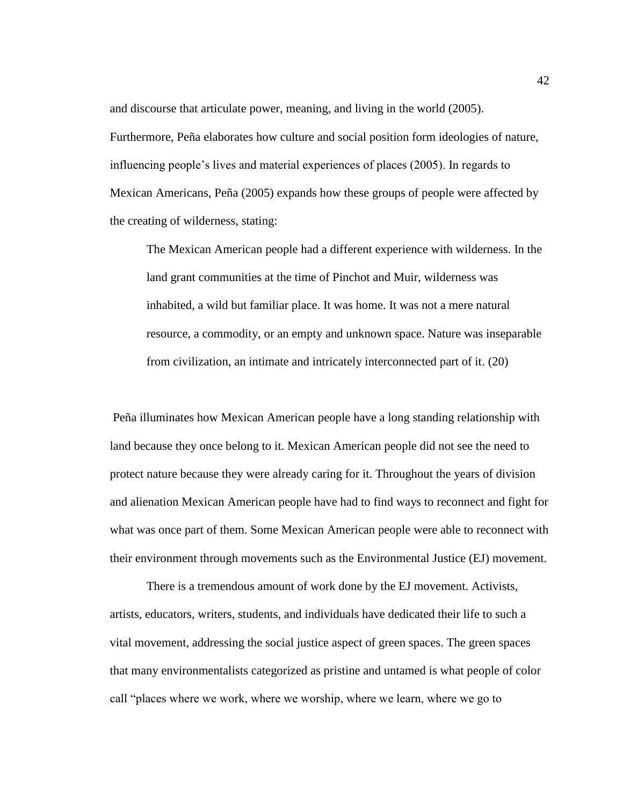and discourse that articulate power, meaning, and living in the world (2005). Furthermore, Peña elaborates how culture and social position form ideologies of nature, influencing people's lives and material experiences of places (2005). In regards to Mexican Americans, Peña (2005) expands how these groups of people were affected by the creating of wilderness, stating:

The Mexican American people had a different experience with wilderness. In the land grant communities at the time of Pinchot and Muir, wilderness was inhabited, a wild but familiar place. It was home. It was not a mere natural resource, a commodity, or an empty and unknown space. Nature was inseparable from civilization, an intimate and intricately interconnected part of it. (20)

Peña illuminates how Mexican American people have a long standing relationship with land because they once belong to it. Mexican American people did not see the need to protect nature because they were already caring for it. Throughout the years of division and alienation Mexican American people have had to find ways to reconnect and fight for what was once part of them. Some Mexican American people were able to reconnect with their environment through movements such as the Environmental Justice (EJ) movement.

There is a tremendous amount of work done by the EJ movement. Activists, artists, educators, writers, students, and individuals have dedicated their life to such a vital movement, addressing the social justice aspect of green spaces. The green spaces that many environmentalists categorized as pristine and untamed is what people of color call "places where we work, where we worship, where we learn, where we go to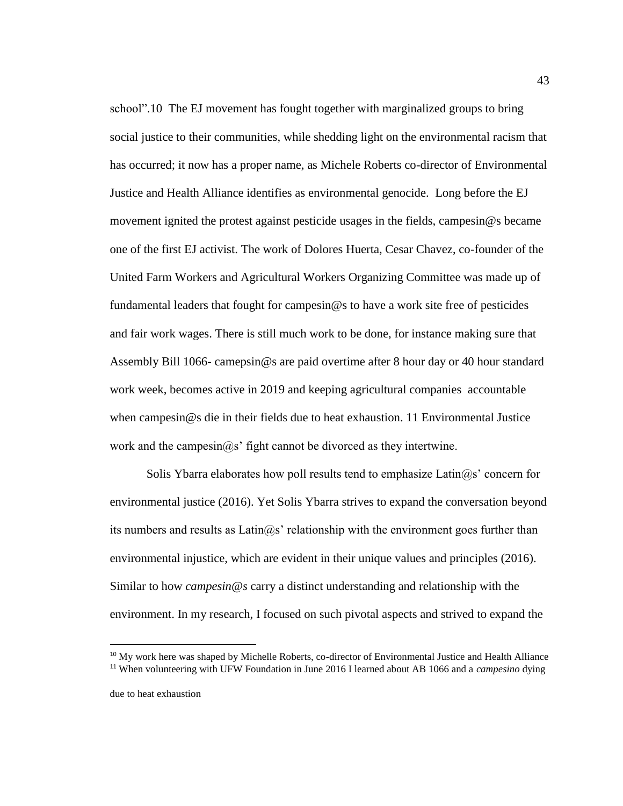school".10 The EJ movement has fought together with marginalized groups to bring social justice to their communities, while shedding light on the environmental racism that has occurred; it now has a proper name, as Michele Roberts co-director of Environmental Justice and Health Alliance identifies as environmental genocide. Long before the EJ movement ignited the protest against pesticide usages in the fields, campesin@s became one of the first EJ activist. The work of Dolores Huerta, Cesar Chavez, co-founder of the United Farm Workers and Agricultural Workers Organizing Committee was made up of fundamental leaders that fought for campesin@s to have a work site free of pesticides and fair work wages. There is still much work to be done, for instance making sure that Assembly Bill 1066- camepsin@s are paid overtime after 8 hour day or 40 hour standard work week, becomes active in 2019 and keeping agricultural companies accountable when campesin@s die in their fields due to heat exhaustion. 11 Environmental Justice work and the campesin@s' fight cannot be divorced as they intertwine.

Solis Ybarra elaborates how poll results tend to emphasize  $Latin@s'$  concern for environmental justice (2016). Yet Solis Ybarra strives to expand the conversation beyond its numbers and results as  $Latin@s'$  relationship with the environment goes further than environmental injustice, which are evident in their unique values and principles (2016). Similar to how *campesin@s* carry a distinct understanding and relationship with the environment. In my research, I focused on such pivotal aspects and strived to expand the

 $\overline{a}$ 

<sup>&</sup>lt;sup>10</sup> My work here was shaped by Michelle Roberts, co-director of Environmental Justice and Health Alliance <sup>11</sup> When volunteering with UFW Foundation in June 2016 I learned about AB 1066 and a *campesino* dying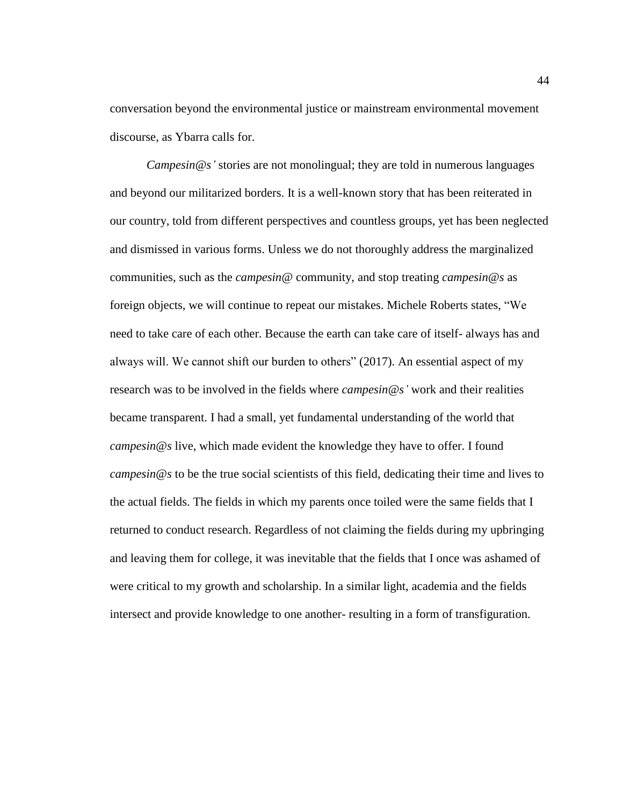conversation beyond the environmental justice or mainstream environmental movement discourse, as Ybarra calls for.

*Campesin@s'* stories are not monolingual; they are told in numerous languages and beyond our militarized borders. It is a well-known story that has been reiterated in our country, told from different perspectives and countless groups, yet has been neglected and dismissed in various forms. Unless we do not thoroughly address the marginalized communities, such as the *campesin@* community, and stop treating *campesin@s* as foreign objects, we will continue to repeat our mistakes. Michele Roberts states, "We need to take care of each other. Because the earth can take care of itself- always has and always will. We cannot shift our burden to others" (2017). An essential aspect of my research was to be involved in the fields where *campesin@s'* work and their realities became transparent. I had a small, yet fundamental understanding of the world that *campesin@s* live, which made evident the knowledge they have to offer. I found *campesin@s* to be the true social scientists of this field, dedicating their time and lives to the actual fields. The fields in which my parents once toiled were the same fields that I returned to conduct research. Regardless of not claiming the fields during my upbringing and leaving them for college, it was inevitable that the fields that I once was ashamed of were critical to my growth and scholarship. In a similar light, academia and the fields intersect and provide knowledge to one another- resulting in a form of transfiguration.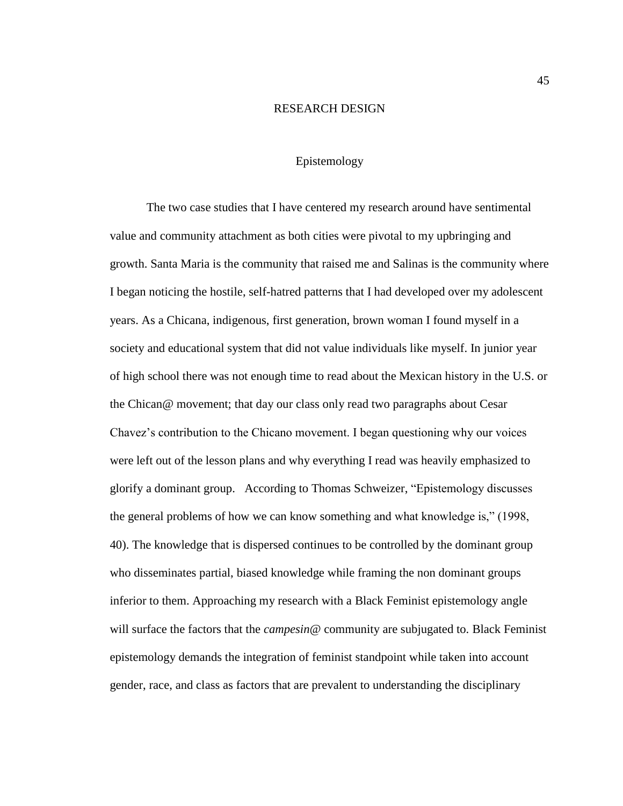### RESEARCH DESIGN

# Epistemology

The two case studies that I have centered my research around have sentimental value and community attachment as both cities were pivotal to my upbringing and growth. Santa Maria is the community that raised me and Salinas is the community where I began noticing the hostile, self-hatred patterns that I had developed over my adolescent years. As a Chicana, indigenous, first generation, brown woman I found myself in a society and educational system that did not value individuals like myself. In junior year of high school there was not enough time to read about the Mexican history in the U.S. or the Chican@ movement; that day our class only read two paragraphs about Cesar Chavez's contribution to the Chicano movement. I began questioning why our voices were left out of the lesson plans and why everything I read was heavily emphasized to glorify a dominant group. According to Thomas Schweizer, "Epistemology discusses the general problems of how we can know something and what knowledge is," (1998, 40). The knowledge that is dispersed continues to be controlled by the dominant group who disseminates partial, biased knowledge while framing the non dominant groups inferior to them. Approaching my research with a Black Feminist epistemology angle will surface the factors that the *campesin@* community are subjugated to. Black Feminist epistemology demands the integration of feminist standpoint while taken into account gender, race, and class as factors that are prevalent to understanding the disciplinary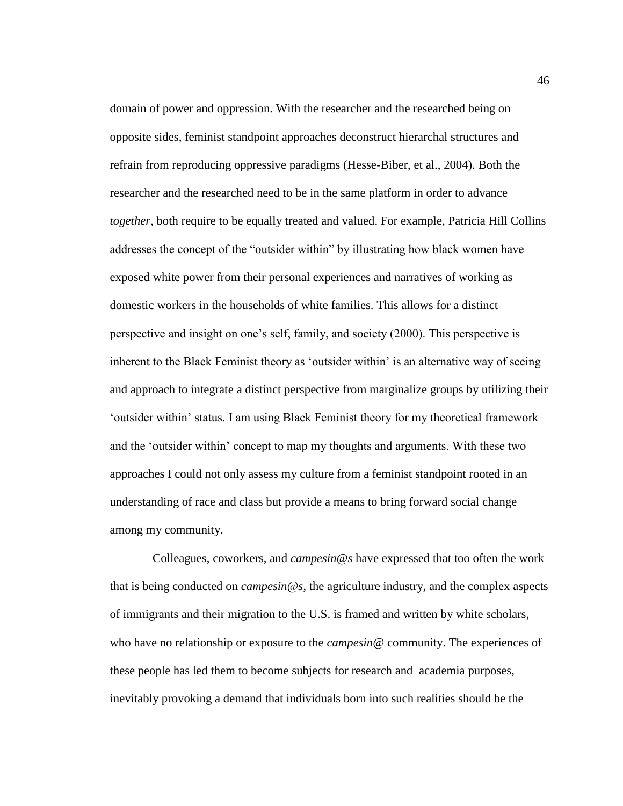domain of power and oppression. With the researcher and the researched being on opposite sides, feminist standpoint approaches deconstruct hierarchal structures and refrain from reproducing oppressive paradigms (Hesse-Biber, et al., 2004). Both the researcher and the researched need to be in the same platform in order to advance *together*, both require to be equally treated and valued. For example, Patricia Hill Collins addresses the concept of the "outsider within" by illustrating how black women have exposed white power from their personal experiences and narratives of working as domestic workers in the households of white families. This allows for a distinct perspective and insight on one's self, family, and society (2000). This perspective is inherent to the Black Feminist theory as 'outsider within' is an alternative way of seeing and approach to integrate a distinct perspective from marginalize groups by utilizing their 'outsider within' status. I am using Black Feminist theory for my theoretical framework and the 'outsider within' concept to map my thoughts and arguments. With these two approaches I could not only assess my culture from a feminist standpoint rooted in an understanding of race and class but provide a means to bring forward social change among my community.

 Colleagues, coworkers, and *campesin@s* have expressed that too often the work that is being conducted on *campesin@s,* the agriculture industry, and the complex aspects of immigrants and their migration to the U.S. is framed and written by white scholars, who have no relationship or exposure to the *campesin@* community. The experiences of these people has led them to become subjects for research and academia purposes, inevitably provoking a demand that individuals born into such realities should be the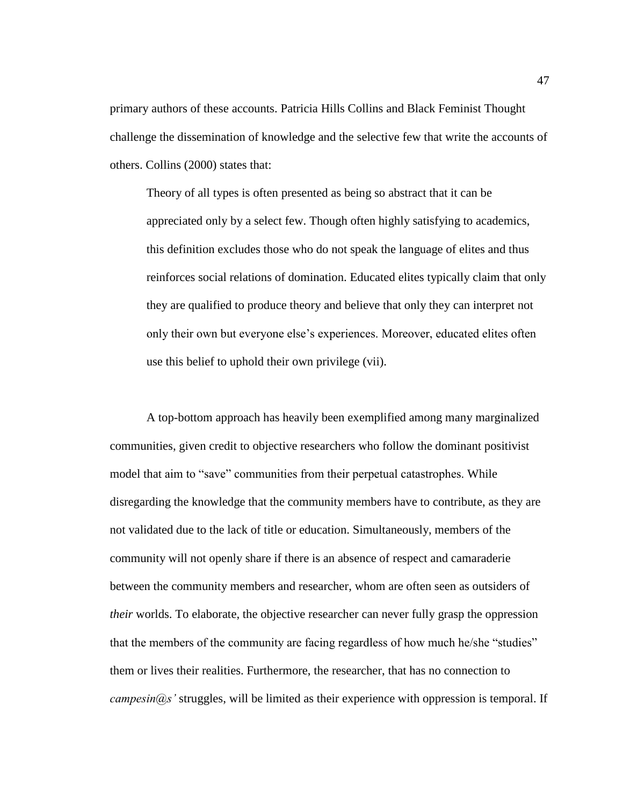primary authors of these accounts. Patricia Hills Collins and Black Feminist Thought challenge the dissemination of knowledge and the selective few that write the accounts of others. Collins (2000) states that:

Theory of all types is often presented as being so abstract that it can be appreciated only by a select few. Though often highly satisfying to academics, this definition excludes those who do not speak the language of elites and thus reinforces social relations of domination. Educated elites typically claim that only they are qualified to produce theory and believe that only they can interpret not only their own but everyone else's experiences. Moreover, educated elites often use this belief to uphold their own privilege (vii).

A top-bottom approach has heavily been exemplified among many marginalized communities, given credit to objective researchers who follow the dominant positivist model that aim to "save" communities from their perpetual catastrophes. While disregarding the knowledge that the community members have to contribute, as they are not validated due to the lack of title or education. Simultaneously, members of the community will not openly share if there is an absence of respect and camaraderie between the community members and researcher, whom are often seen as outsiders of *their* worlds. To elaborate, the objective researcher can never fully grasp the oppression that the members of the community are facing regardless of how much he/she "studies" them or lives their realities. Furthermore, the researcher, that has no connection to *campesin@s'* struggles, will be limited as their experience with oppression is temporal. If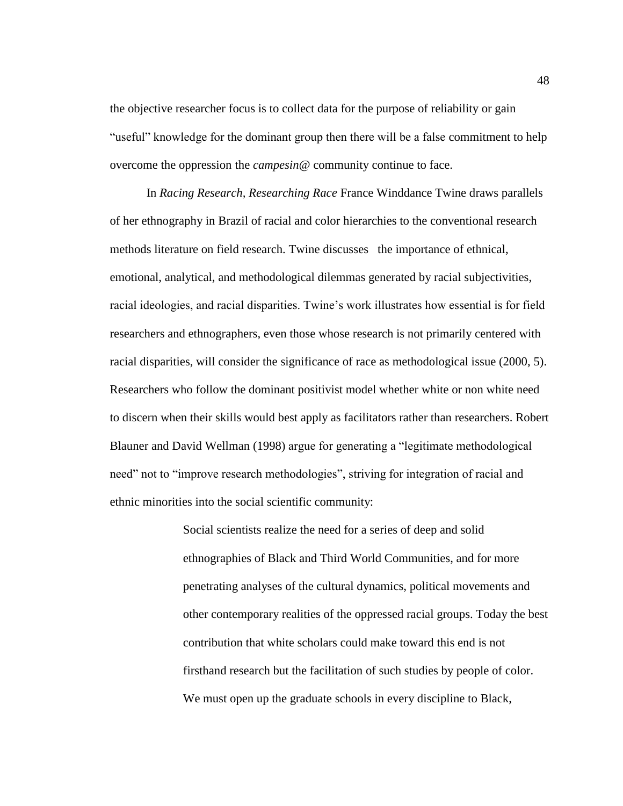the objective researcher focus is to collect data for the purpose of reliability or gain "useful" knowledge for the dominant group then there will be a false commitment to help overcome the oppression the *campesin@* community continue to face.

In *Racing Research, Researching Race* France Winddance Twine draws parallels of her ethnography in Brazil of racial and color hierarchies to the conventional research methods literature on field research. Twine discusses the importance of ethnical, emotional, analytical, and methodological dilemmas generated by racial subjectivities, racial ideologies, and racial disparities. Twine's work illustrates how essential is for field researchers and ethnographers, even those whose research is not primarily centered with racial disparities, will consider the significance of race as methodological issue (2000, 5). Researchers who follow the dominant positivist model whether white or non white need to discern when their skills would best apply as facilitators rather than researchers. Robert Blauner and David Wellman (1998) argue for generating a "legitimate methodological need" not to "improve research methodologies", striving for integration of racial and ethnic minorities into the social scientific community:

> Social scientists realize the need for a series of deep and solid ethnographies of Black and Third World Communities, and for more penetrating analyses of the cultural dynamics, political movements and other contemporary realities of the oppressed racial groups. Today the best contribution that white scholars could make toward this end is not firsthand research but the facilitation of such studies by people of color. We must open up the graduate schools in every discipline to Black,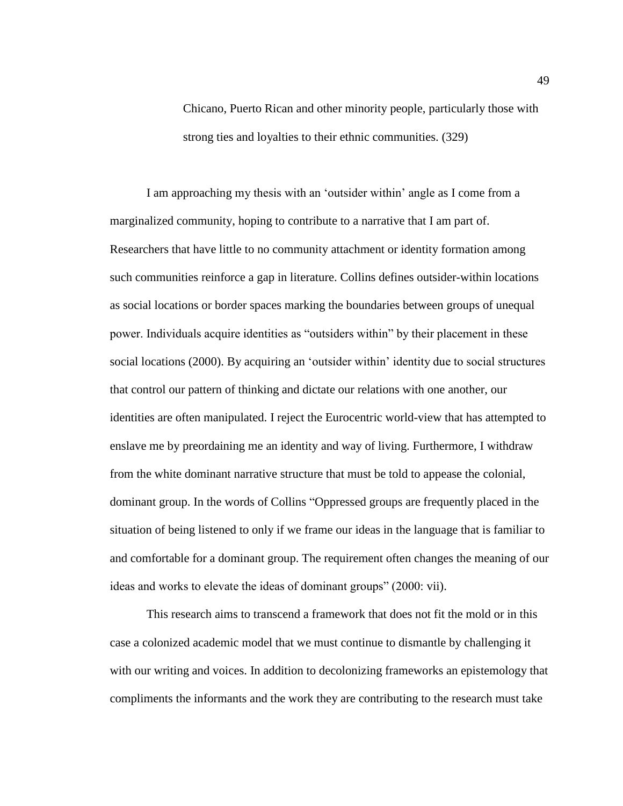Chicano, Puerto Rican and other minority people, particularly those with strong ties and loyalties to their ethnic communities. (329)

I am approaching my thesis with an 'outsider within' angle as I come from a marginalized community, hoping to contribute to a narrative that I am part of. Researchers that have little to no community attachment or identity formation among such communities reinforce a gap in literature. Collins defines outsider-within locations as social locations or border spaces marking the boundaries between groups of unequal power. Individuals acquire identities as "outsiders within" by their placement in these social locations (2000). By acquiring an 'outsider within' identity due to social structures that control our pattern of thinking and dictate our relations with one another, our identities are often manipulated. I reject the Eurocentric world-view that has attempted to enslave me by preordaining me an identity and way of living. Furthermore, I withdraw from the white dominant narrative structure that must be told to appease the colonial, dominant group. In the words of Collins "Oppressed groups are frequently placed in the situation of being listened to only if we frame our ideas in the language that is familiar to and comfortable for a dominant group. The requirement often changes the meaning of our ideas and works to elevate the ideas of dominant groups" (2000: vii).

This research aims to transcend a framework that does not fit the mold or in this case a colonized academic model that we must continue to dismantle by challenging it with our writing and voices. In addition to decolonizing frameworks an epistemology that compliments the informants and the work they are contributing to the research must take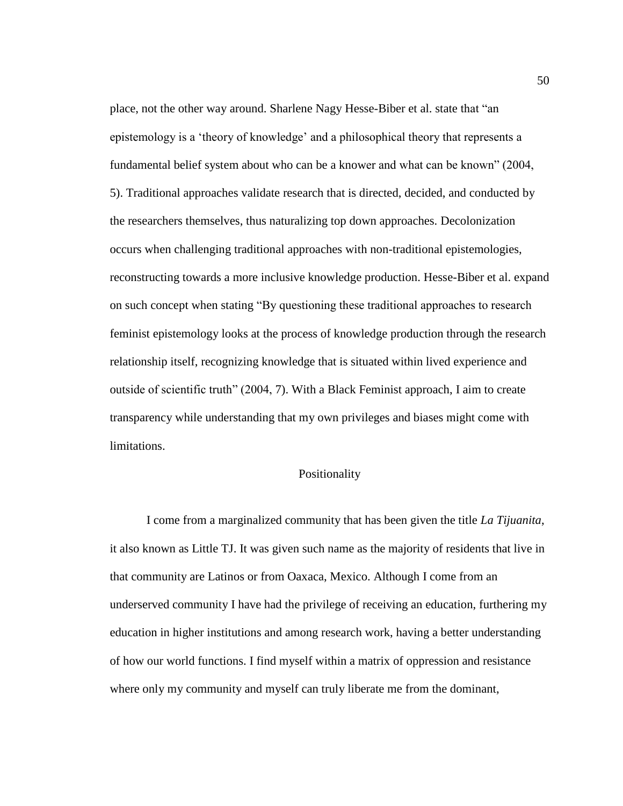place, not the other way around. Sharlene Nagy Hesse-Biber et al. state that "an epistemology is a 'theory of knowledge' and a philosophical theory that represents a fundamental belief system about who can be a knower and what can be known" (2004, 5). Traditional approaches validate research that is directed, decided, and conducted by the researchers themselves, thus naturalizing top down approaches. Decolonization occurs when challenging traditional approaches with non-traditional epistemologies, reconstructing towards a more inclusive knowledge production. Hesse-Biber et al. expand on such concept when stating "By questioning these traditional approaches to research feminist epistemology looks at the process of knowledge production through the research relationship itself, recognizing knowledge that is situated within lived experience and outside of scientific truth" (2004, 7). With a Black Feminist approach, I aim to create transparency while understanding that my own privileges and biases might come with limitations.

## Positionality

I come from a marginalized community that has been given the title *La Tijuanita*, it also known as Little TJ. It was given such name as the majority of residents that live in that community are Latinos or from Oaxaca, Mexico. Although I come from an underserved community I have had the privilege of receiving an education, furthering my education in higher institutions and among research work, having a better understanding of how our world functions. I find myself within a matrix of oppression and resistance where only my community and myself can truly liberate me from the dominant,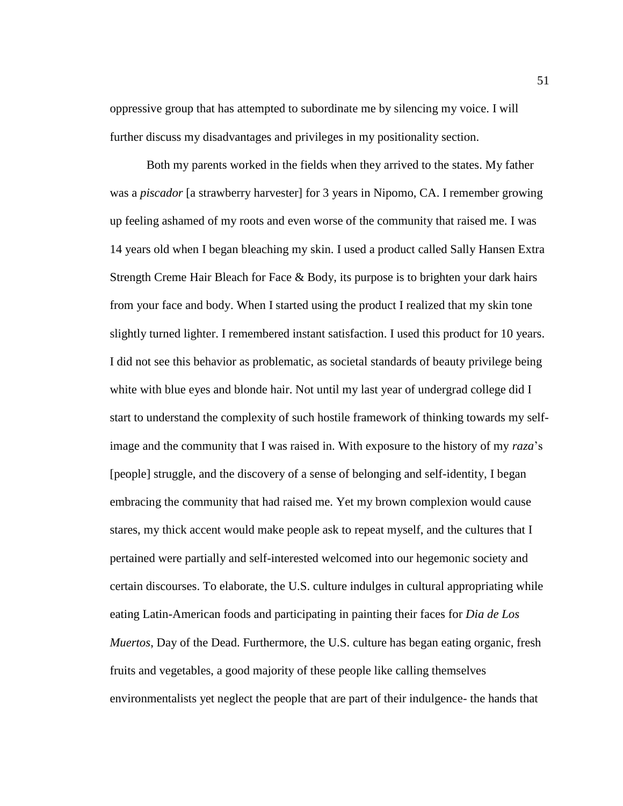oppressive group that has attempted to subordinate me by silencing my voice. I will further discuss my disadvantages and privileges in my positionality section.

Both my parents worked in the fields when they arrived to the states. My father was a *piscador* [a strawberry harvester] for 3 years in Nipomo, CA. I remember growing up feeling ashamed of my roots and even worse of the community that raised me. I was 14 years old when I began bleaching my skin. I used a product called Sally Hansen Extra Strength Creme Hair Bleach for Face & Body, its purpose is to brighten your dark hairs from your face and body. When I started using the product I realized that my skin tone slightly turned lighter. I remembered instant satisfaction. I used this product for 10 years. I did not see this behavior as problematic, as societal standards of beauty privilege being white with blue eyes and blonde hair. Not until my last year of undergrad college did I start to understand the complexity of such hostile framework of thinking towards my selfimage and the community that I was raised in. With exposure to the history of my *raza*'s [people] struggle, and the discovery of a sense of belonging and self-identity, I began embracing the community that had raised me. Yet my brown complexion would cause stares, my thick accent would make people ask to repeat myself, and the cultures that I pertained were partially and self-interested welcomed into our hegemonic society and certain discourses. To elaborate, the U.S. culture indulges in cultural appropriating while eating Latin-American foods and participating in painting their faces for *Dia de Los Muertos*, Day of the Dead. Furthermore, the U.S. culture has began eating organic, fresh fruits and vegetables, a good majority of these people like calling themselves environmentalists yet neglect the people that are part of their indulgence- the hands that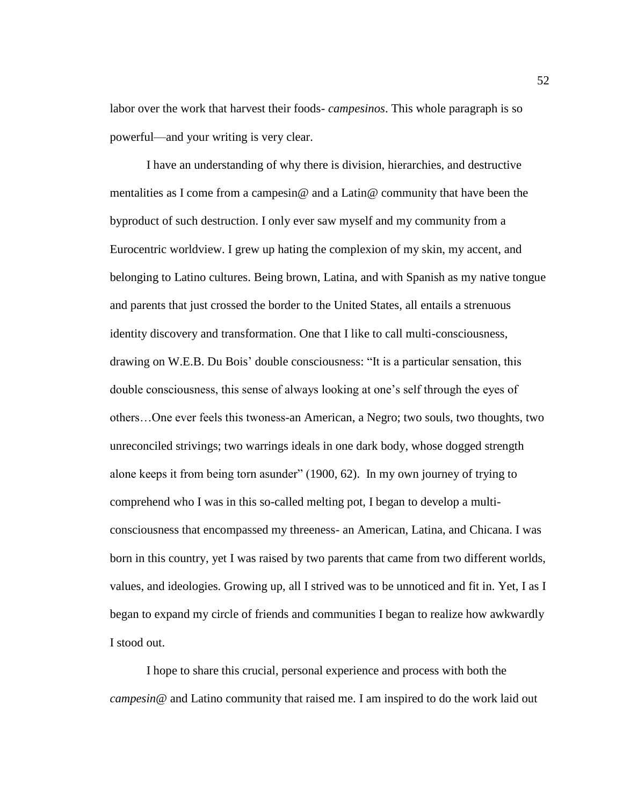labor over the work that harvest their foods- *campesinos*. This whole paragraph is so powerful—and your writing is very clear.

I have an understanding of why there is division, hierarchies, and destructive mentalities as I come from a campesin@ and a Latin@ community that have been the byproduct of such destruction. I only ever saw myself and my community from a Eurocentric worldview. I grew up hating the complexion of my skin, my accent, and belonging to Latino cultures. Being brown, Latina, and with Spanish as my native tongue and parents that just crossed the border to the United States, all entails a strenuous identity discovery and transformation. One that I like to call multi-consciousness, drawing on W.E.B. Du Bois' double consciousness: "It is a particular sensation, this double consciousness, this sense of always looking at one's self through the eyes of others…One ever feels this twoness-an American, a Negro; two souls, two thoughts, two unreconciled strivings; two warrings ideals in one dark body, whose dogged strength alone keeps it from being torn asunder" (1900, 62). In my own journey of trying to comprehend who I was in this so-called melting pot, I began to develop a multiconsciousness that encompassed my threeness- an American, Latina, and Chicana. I was born in this country, yet I was raised by two parents that came from two different worlds, values, and ideologies. Growing up, all I strived was to be unnoticed and fit in. Yet, I as I began to expand my circle of friends and communities I began to realize how awkwardly I stood out.

I hope to share this crucial, personal experience and process with both the *campesin@* and Latino community that raised me. I am inspired to do the work laid out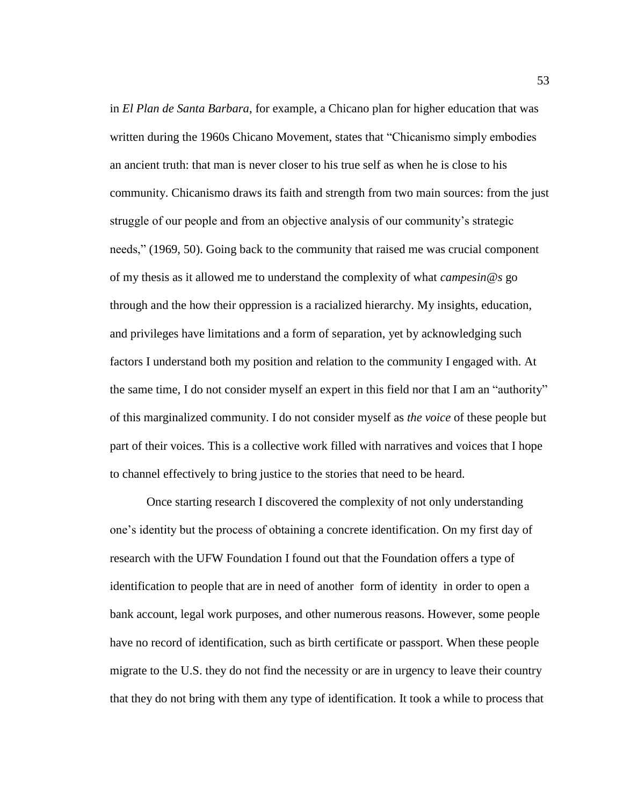in *El Plan de Santa Barbara*, for example, a Chicano plan for higher education that was written during the 1960s Chicano Movement, states that "Chicanismo simply embodies an ancient truth: that man is never closer to his true self as when he is close to his community. Chicanismo draws its faith and strength from two main sources: from the just struggle of our people and from an objective analysis of our community's strategic needs," (1969, 50). Going back to the community that raised me was crucial component of my thesis as it allowed me to understand the complexity of what *campesin@s* go through and the how their oppression is a racialized hierarchy. My insights, education, and privileges have limitations and a form of separation, yet by acknowledging such factors I understand both my position and relation to the community I engaged with. At the same time, I do not consider myself an expert in this field nor that I am an "authority" of this marginalized community. I do not consider myself as *the voice* of these people but part of their voices. This is a collective work filled with narratives and voices that I hope to channel effectively to bring justice to the stories that need to be heard.

Once starting research I discovered the complexity of not only understanding one's identity but the process of obtaining a concrete identification. On my first day of research with the UFW Foundation I found out that the Foundation offers a type of identification to people that are in need of another form of identity in order to open a bank account, legal work purposes, and other numerous reasons. However, some people have no record of identification, such as birth certificate or passport. When these people migrate to the U.S. they do not find the necessity or are in urgency to leave their country that they do not bring with them any type of identification. It took a while to process that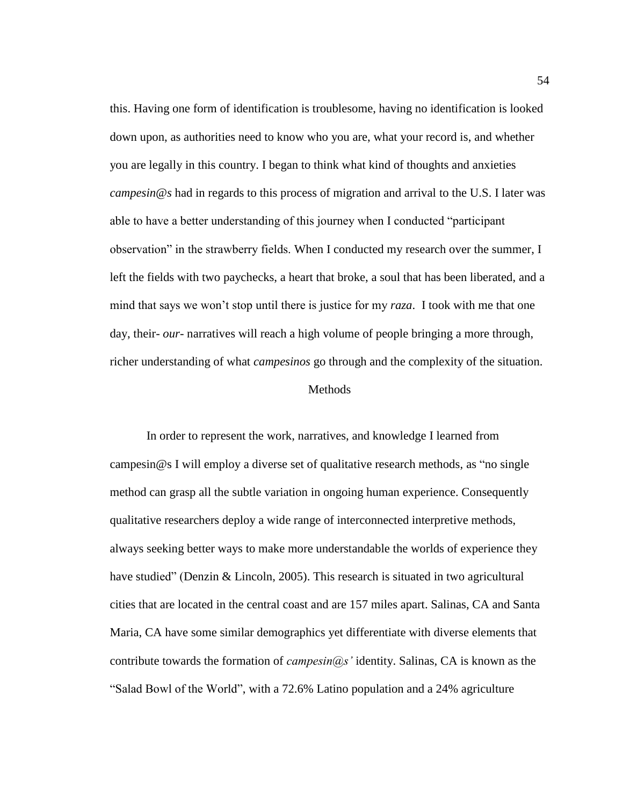this. Having one form of identification is troublesome, having no identification is looked down upon, as authorities need to know who you are, what your record is, and whether you are legally in this country. I began to think what kind of thoughts and anxieties *campesin@s* had in regards to this process of migration and arrival to the U.S. I later was able to have a better understanding of this journey when I conducted "participant observation" in the strawberry fields. When I conducted my research over the summer, I left the fields with two paychecks, a heart that broke, a soul that has been liberated, and a mind that says we won't stop until there is justice for my *raza*. I took with me that one day, their- *our*- narratives will reach a high volume of people bringing a more through, richer understanding of what *campesinos* go through and the complexity of the situation.

### Methods

In order to represent the work, narratives, and knowledge I learned from campesin@s I will employ a diverse set of qualitative research methods, as "no single method can grasp all the subtle variation in ongoing human experience. Consequently qualitative researchers deploy a wide range of interconnected interpretive methods, always seeking better ways to make more understandable the worlds of experience they have studied" (Denzin & Lincoln, 2005). This research is situated in two agricultural cities that are located in the central coast and are 157 miles apart. Salinas, CA and Santa Maria, CA have some similar demographics yet differentiate with diverse elements that contribute towards the formation of *campesin@s'* identity. Salinas, CA is known as the "Salad Bowl of the World", with a 72.6% Latino population and a 24% agriculture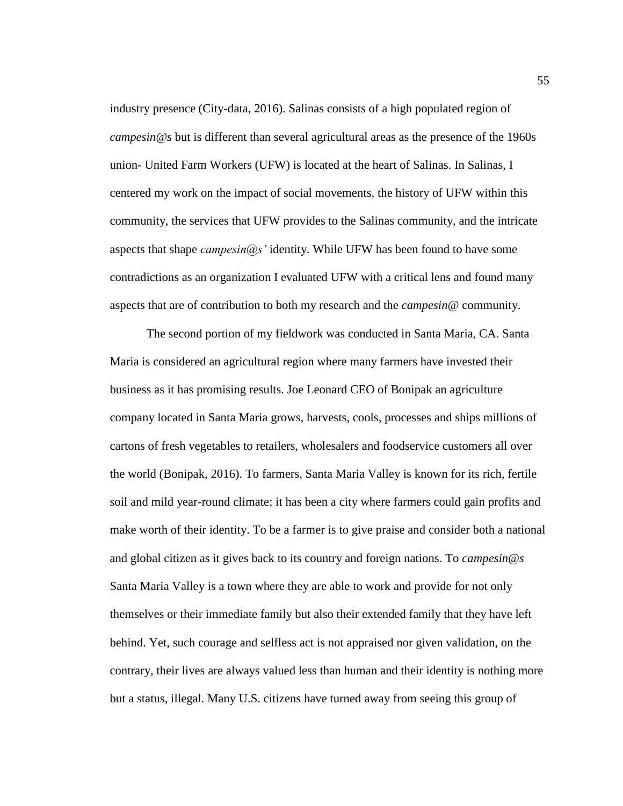industry presence (City-data, 2016). Salinas consists of a high populated region of *campesin@s* but is different than several agricultural areas as the presence of the 1960s union- United Farm Workers (UFW) is located at the heart of Salinas. In Salinas, I centered my work on the impact of social movements, the history of UFW within this community, the services that UFW provides to the Salinas community, and the intricate aspects that shape *campesin@s'* identity. While UFW has been found to have some contradictions as an organization I evaluated UFW with a critical lens and found many aspects that are of contribution to both my research and the *campesin@* community.

The second portion of my fieldwork was conducted in Santa Maria, CA. Santa Maria is considered an agricultural region where many farmers have invested their business as it has promising results. Joe Leonard CEO of Bonipak an agriculture company located in Santa Maria grows, harvests, cools, processes and ships millions of cartons of fresh vegetables to retailers, wholesalers and foodservice customers all over the world (Bonipak, 2016). To farmers, Santa Maria Valley is known for its rich, fertile soil and mild year-round climate; it has been a city where farmers could gain profits and make worth of their identity. To be a farmer is to give praise and consider both a national and global citizen as it gives back to its country and foreign nations. To *campesin@s* Santa Maria Valley is a town where they are able to work and provide for not only themselves or their immediate family but also their extended family that they have left behind. Yet, such courage and selfless act is not appraised nor given validation, on the contrary, their lives are always valued less than human and their identity is nothing more but a status, illegal. Many U.S. citizens have turned away from seeing this group of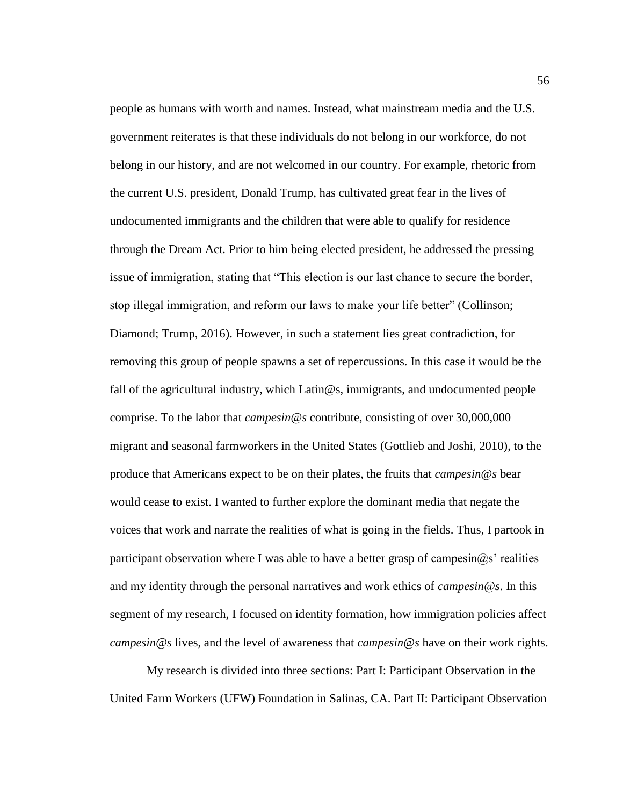people as humans with worth and names. Instead, what mainstream media and the U.S. government reiterates is that these individuals do not belong in our workforce, do not belong in our history, and are not welcomed in our country. For example, rhetoric from the current U.S. president, Donald Trump, has cultivated great fear in the lives of undocumented immigrants and the children that were able to qualify for residence through the Dream Act. Prior to him being elected president, he addressed the pressing issue of immigration, stating that "This election is our last chance to secure the border, stop illegal immigration, and reform our laws to make your life better" (Collinson; Diamond; Trump, 2016). However, in such a statement lies great contradiction, for removing this group of people spawns a set of repercussions. In this case it would be the fall of the agricultural industry, which Latin@s, immigrants, and undocumented people comprise. To the labor that *campesin@s* contribute, consisting of over 30,000,000 migrant and seasonal farmworkers in the United States (Gottlieb and Joshi, 2010), to the produce that Americans expect to be on their plates, the fruits that *campesin@s* bear would cease to exist. I wanted to further explore the dominant media that negate the voices that work and narrate the realities of what is going in the fields. Thus, I partook in participant observation where I was able to have a better grasp of campesin $(a)$ s' realities and my identity through the personal narratives and work ethics of *campesin@s*. In this segment of my research, I focused on identity formation, how immigration policies affect *campesin@s* lives, and the level of awareness that *campesin@s* have on their work rights.

My research is divided into three sections: Part I: Participant Observation in the United Farm Workers (UFW) Foundation in Salinas, CA. Part II: Participant Observation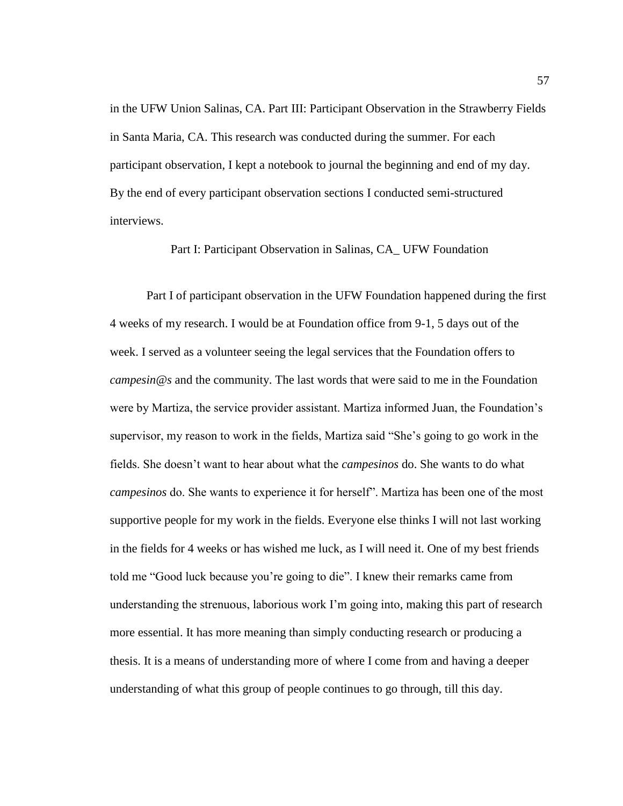in the UFW Union Salinas, CA. Part III: Participant Observation in the Strawberry Fields in Santa Maria, CA. This research was conducted during the summer. For each participant observation, I kept a notebook to journal the beginning and end of my day. By the end of every participant observation sections I conducted semi-structured interviews.

Part I: Participant Observation in Salinas, CA\_ UFW Foundation

Part I of participant observation in the UFW Foundation happened during the first 4 weeks of my research. I would be at Foundation office from 9-1, 5 days out of the week. I served as a volunteer seeing the legal services that the Foundation offers to *campesin@s* and the community. The last words that were said to me in the Foundation were by Martiza, the service provider assistant. Martiza informed Juan, the Foundation's supervisor, my reason to work in the fields, Martiza said "She's going to go work in the fields. She doesn't want to hear about what the *campesinos* do. She wants to do what *campesinos* do. She wants to experience it for herself". Martiza has been one of the most supportive people for my work in the fields. Everyone else thinks I will not last working in the fields for 4 weeks or has wished me luck, as I will need it. One of my best friends told me "Good luck because you're going to die". I knew their remarks came from understanding the strenuous, laborious work I'm going into, making this part of research more essential. It has more meaning than simply conducting research or producing a thesis. It is a means of understanding more of where I come from and having a deeper understanding of what this group of people continues to go through, till this day.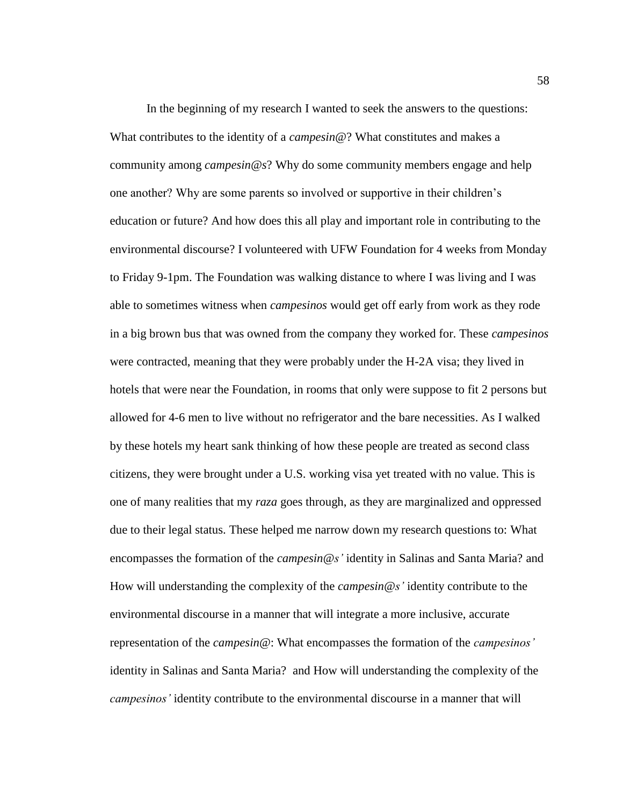In the beginning of my research I wanted to seek the answers to the questions: What contributes to the identity of a *campesin@*? What constitutes and makes a community among *campesin@s*? Why do some community members engage and help one another? Why are some parents so involved or supportive in their children's education or future? And how does this all play and important role in contributing to the environmental discourse? I volunteered with UFW Foundation for 4 weeks from Monday to Friday 9-1pm. The Foundation was walking distance to where I was living and I was able to sometimes witness when *campesinos* would get off early from work as they rode in a big brown bus that was owned from the company they worked for. These *campesinos*  were contracted, meaning that they were probably under the H-2A visa; they lived in hotels that were near the Foundation, in rooms that only were suppose to fit 2 persons but allowed for 4-6 men to live without no refrigerator and the bare necessities. As I walked by these hotels my heart sank thinking of how these people are treated as second class citizens, they were brought under a U.S. working visa yet treated with no value. This is one of many realities that my *raza* goes through, as they are marginalized and oppressed due to their legal status. These helped me narrow down my research questions to: What encompasses the formation of the *campesin@s'* identity in Salinas and Santa Maria? and How will understanding the complexity of the *campesin@s'* identity contribute to the environmental discourse in a manner that will integrate a more inclusive, accurate representation of the *campesin*@: What encompasses the formation of the *campesinos'* identity in Salinas and Santa Maria? and How will understanding the complexity of the *campesinos'* identity contribute to the environmental discourse in a manner that will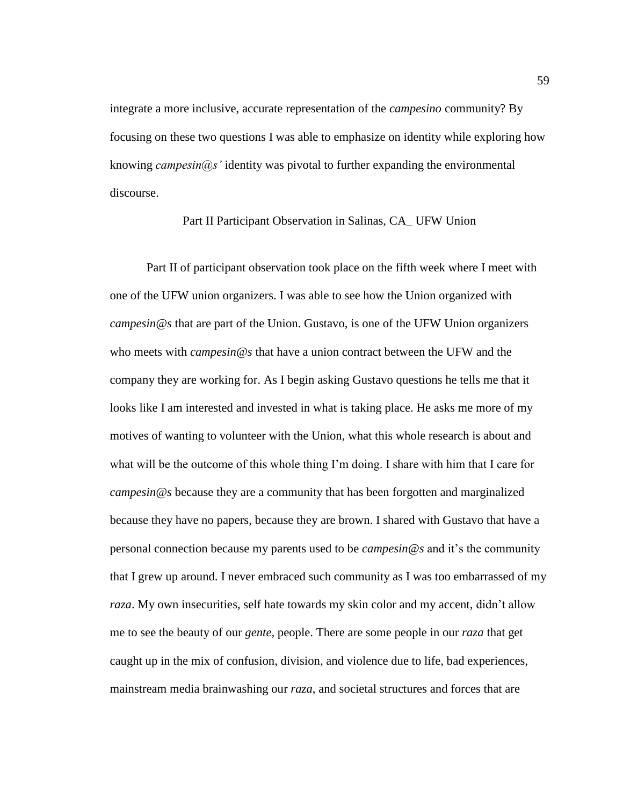integrate a more inclusive, accurate representation of the *campesino* community? By focusing on these two questions I was able to emphasize on identity while exploring how knowing *campesin@s'* identity was pivotal to further expanding the environmental discourse.

# Part II Participant Observation in Salinas, CA\_ UFW Union

Part II of participant observation took place on the fifth week where I meet with one of the UFW union organizers. I was able to see how the Union organized with *campesin@s* that are part of the Union. Gustavo, is one of the UFW Union organizers who meets with *campesin@s* that have a union contract between the UFW and the company they are working for. As I begin asking Gustavo questions he tells me that it looks like I am interested and invested in what is taking place. He asks me more of my motives of wanting to volunteer with the Union, what this whole research is about and what will be the outcome of this whole thing I'm doing. I share with him that I care for *campesin@s* because they are a community that has been forgotten and marginalized because they have no papers, because they are brown. I shared with Gustavo that have a personal connection because my parents used to be *campesin@s* and it's the community that I grew up around. I never embraced such community as I was too embarrassed of my *raza*. My own insecurities, self hate towards my skin color and my accent, didn't allow me to see the beauty of our *gente,* people. There are some people in our *raza* that get caught up in the mix of confusion, division, and violence due to life, bad experiences, mainstream media brainwashing our *raza*, and societal structures and forces that are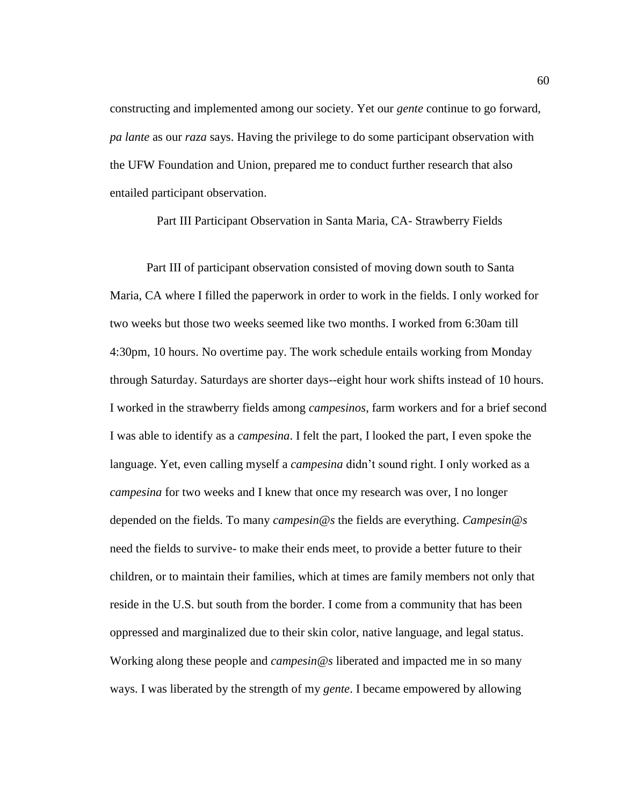constructing and implemented among our society. Yet our *gente* continue to go forward, *pa lante* as our *raza* says. Having the privilege to do some participant observation with the UFW Foundation and Union, prepared me to conduct further research that also entailed participant observation.

Part III Participant Observation in Santa Maria, CA- Strawberry Fields

Part III of participant observation consisted of moving down south to Santa Maria, CA where I filled the paperwork in order to work in the fields. I only worked for two weeks but those two weeks seemed like two months. I worked from 6:30am till 4:30pm, 10 hours. No overtime pay. The work schedule entails working from Monday through Saturday. Saturdays are shorter days--eight hour work shifts instead of 10 hours. I worked in the strawberry fields among *campesinos*, farm workers and for a brief second I was able to identify as a *campesina*. I felt the part, I looked the part, I even spoke the language. Yet, even calling myself a *campesina* didn't sound right. I only worked as a *campesina* for two weeks and I knew that once my research was over, I no longer depended on the fields. To many *campesin@s* the fields are everything. *Campesin@s* need the fields to survive- to make their ends meet, to provide a better future to their children, or to maintain their families, which at times are family members not only that reside in the U.S. but south from the border. I come from a community that has been oppressed and marginalized due to their skin color, native language, and legal status. Working along these people and *campesin@s* liberated and impacted me in so many ways. I was liberated by the strength of my *gente*. I became empowered by allowing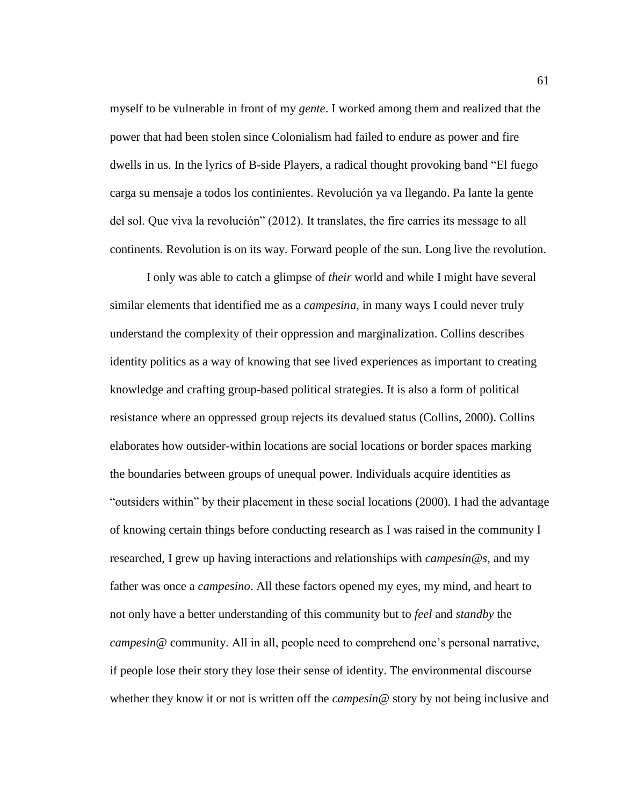myself to be vulnerable in front of my *gente*. I worked among them and realized that the power that had been stolen since Colonialism had failed to endure as power and fire dwells in us. In the lyrics of B-side Players, a radical thought provoking band "El fuego carga su mensaje a todos los continientes. Revolución ya va llegando. Pa lante la gente del sol. Que viva la revolución" (2012). It translates, the fire carries its message to all continents. Revolution is on its way. Forward people of the sun. Long live the revolution.

I only was able to catch a glimpse of *their* world and while I might have several similar elements that identified me as a *campesina,* in many ways I could never truly understand the complexity of their oppression and marginalization. Collins describes identity politics as a way of knowing that see lived experiences as important to creating knowledge and crafting group-based political strategies. It is also a form of political resistance where an oppressed group rejects its devalued status (Collins, 2000). Collins elaborates how outsider-within locations are social locations or border spaces marking the boundaries between groups of unequal power. Individuals acquire identities as "outsiders within" by their placement in these social locations (2000). I had the advantage of knowing certain things before conducting research as I was raised in the community I researched, I grew up having interactions and relationships with *campesin@s*, and my father was once a *campesino*. All these factors opened my eyes, my mind, and heart to not only have a better understanding of this community but to *feel* and *standby* the *campesin@* community. All in all, people need to comprehend one's personal narrative, if people lose their story they lose their sense of identity. The environmental discourse whether they know it or not is written off the *campesin@* story by not being inclusive and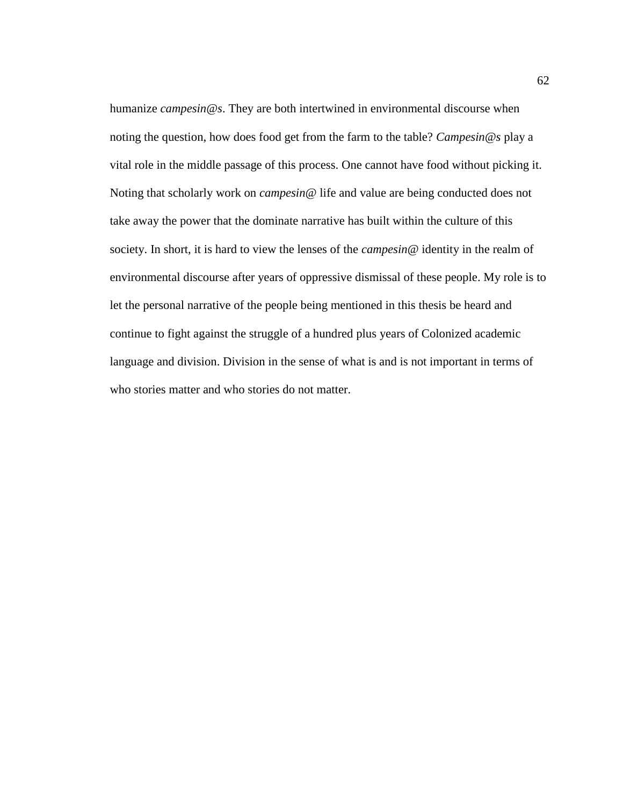humanize *campesin@s*. They are both intertwined in environmental discourse when noting the question, how does food get from the farm to the table? *Campesin@s* play a vital role in the middle passage of this process. One cannot have food without picking it. Noting that scholarly work on *campesin@* life and value are being conducted does not take away the power that the dominate narrative has built within the culture of this society. In short, it is hard to view the lenses of the *campesin*@ identity in the realm of environmental discourse after years of oppressive dismissal of these people. My role is to let the personal narrative of the people being mentioned in this thesis be heard and continue to fight against the struggle of a hundred plus years of Colonized academic language and division. Division in the sense of what is and is not important in terms of who stories matter and who stories do not matter.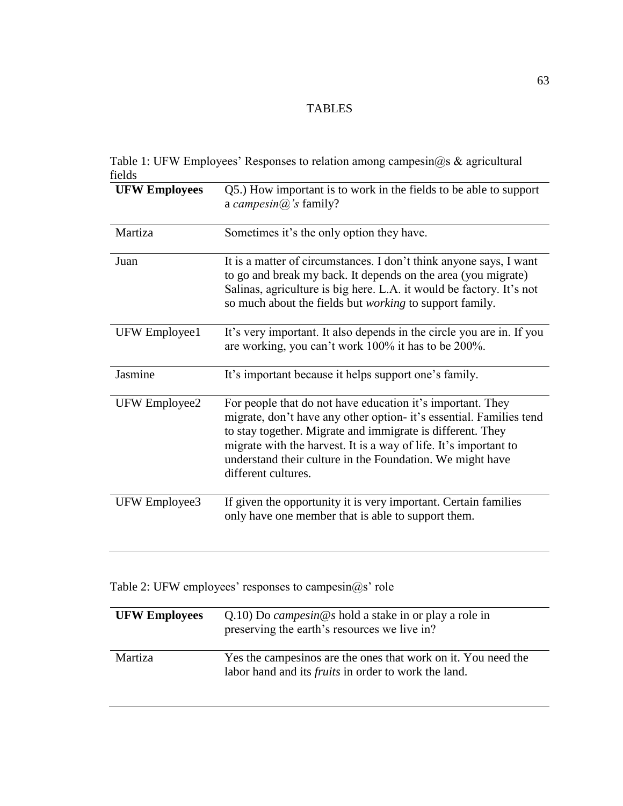### TABLES

| Table 1: UFW Employees' Responses to relation among campesin@s & agricultural |  |  |  |
|-------------------------------------------------------------------------------|--|--|--|
| fields                                                                        |  |  |  |

| <b>UFW Employees</b> | Q5.) How important is to work in the fields to be able to support<br>a campesin $(a)$ 's family?                                                                                                                                                                                                                                                        |
|----------------------|---------------------------------------------------------------------------------------------------------------------------------------------------------------------------------------------------------------------------------------------------------------------------------------------------------------------------------------------------------|
| Martiza              | Sometimes it's the only option they have.                                                                                                                                                                                                                                                                                                               |
| Juan                 | It is a matter of circumstances. I don't think anyone says, I want<br>to go and break my back. It depends on the area (you migrate)<br>Salinas, agriculture is big here. L.A. it would be factory. It's not<br>so much about the fields but <i>working</i> to support family.                                                                           |
| UFW Employee1        | It's very important. It also depends in the circle you are in. If you<br>are working, you can't work 100% it has to be 200%.                                                                                                                                                                                                                            |
| Jasmine              | It's important because it helps support one's family.                                                                                                                                                                                                                                                                                                   |
| UFW Employee2        | For people that do not have education it's important. They<br>migrate, don't have any other option- it's essential. Families tend<br>to stay together. Migrate and immigrate is different. They<br>migrate with the harvest. It is a way of life. It's important to<br>understand their culture in the Foundation. We might have<br>different cultures. |
| UFW Employee3        | If given the opportunity it is very important. Certain families<br>only have one member that is able to support them.                                                                                                                                                                                                                                   |

Table 2: UFW employees' responses to campesin@s' role

| <b>UFW Employees</b> | $Q.10$ ) Do <i>campesin</i> @s hold a stake in or play a role in<br>preserving the earth's resources we live in?             |
|----------------------|------------------------------------------------------------------------------------------------------------------------------|
| Martiza              | Yes the campesinos are the ones that work on it. You need the<br>labor hand and its <i>fruits</i> in order to work the land. |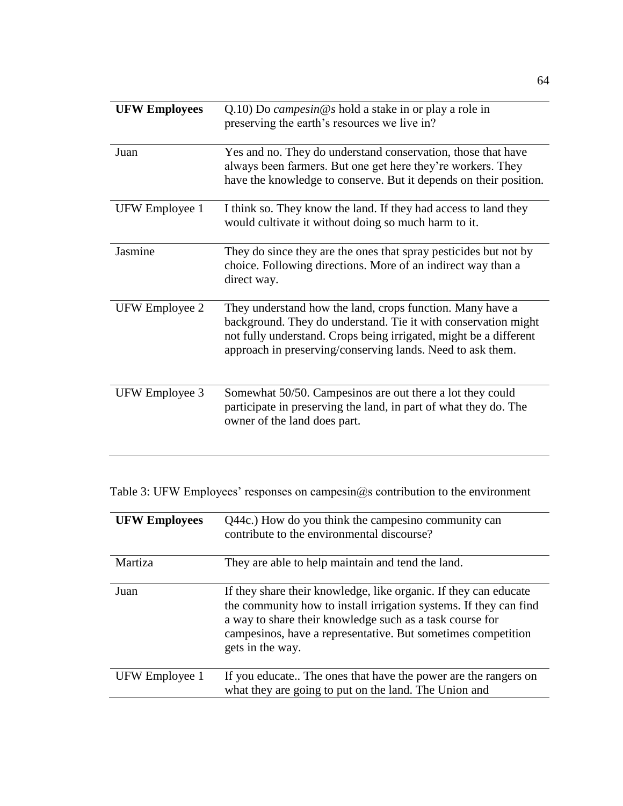| <b>UFW Employees</b> | $Q.10$ ) Do <i>campesin</i> @s hold a stake in or play a role in<br>preserving the earth's resources we live in?                                                                                                                                               |
|----------------------|----------------------------------------------------------------------------------------------------------------------------------------------------------------------------------------------------------------------------------------------------------------|
| Juan                 | Yes and no. They do understand conservation, those that have<br>always been farmers. But one get here they're workers. They<br>have the knowledge to conserve. But it depends on their position.                                                               |
| UFW Employee 1       | I think so. They know the land. If they had access to land they<br>would cultivate it without doing so much harm to it.                                                                                                                                        |
| Jasmine              | They do since they are the ones that spray pesticides but not by<br>choice. Following directions. More of an indirect way than a<br>direct way.                                                                                                                |
| UFW Employee 2       | They understand how the land, crops function. Many have a<br>background. They do understand. Tie it with conservation might<br>not fully understand. Crops being irrigated, might be a different<br>approach in preserving/conserving lands. Need to ask them. |
| UFW Employee 3       | Somewhat 50/50. Campesinos are out there a lot they could<br>participate in preserving the land, in part of what they do. The<br>owner of the land does part.                                                                                                  |

Table 3: UFW Employees' responses on campesin@s contribution to the environment

| <b>UFW Employees</b> | Q44c.) How do you think the campesino community can<br>contribute to the environmental discourse?                                                                                                                                                                                     |
|----------------------|---------------------------------------------------------------------------------------------------------------------------------------------------------------------------------------------------------------------------------------------------------------------------------------|
| Martiza              | They are able to help maintain and tend the land.                                                                                                                                                                                                                                     |
| Juan                 | If they share their knowledge, like organic. If they can educate<br>the community how to install irrigation systems. If they can find<br>a way to share their knowledge such as a task course for<br>campesinos, have a representative. But sometimes competition<br>gets in the way. |
| UFW Employee 1       | If you educate The ones that have the power are the rangers on<br>what they are going to put on the land. The Union and                                                                                                                                                               |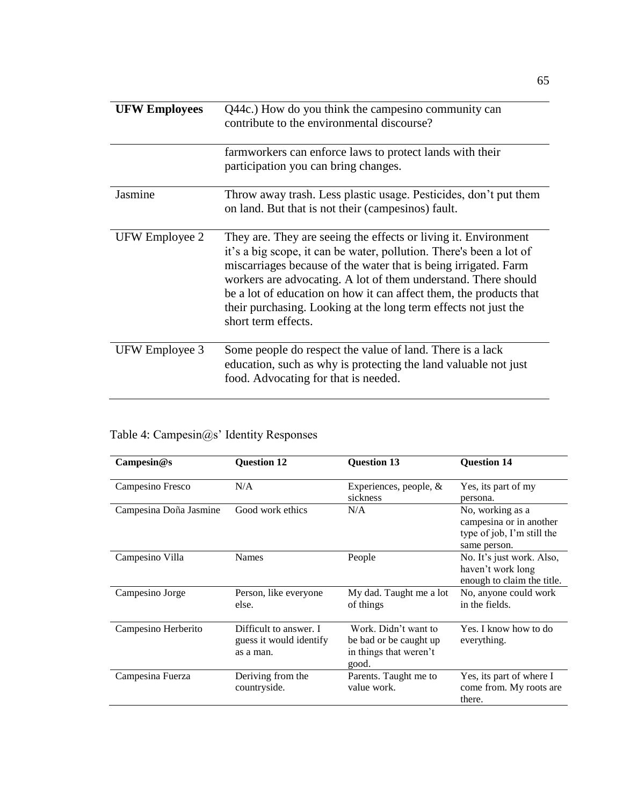| <b>UFW Employees</b> | Q44c.) How do you think the campesino community can<br>contribute to the environmental discourse?                                                                                                                                                                                                                                                                                                                                           |
|----------------------|---------------------------------------------------------------------------------------------------------------------------------------------------------------------------------------------------------------------------------------------------------------------------------------------------------------------------------------------------------------------------------------------------------------------------------------------|
|                      | farmworkers can enforce laws to protect lands with their<br>participation you can bring changes.                                                                                                                                                                                                                                                                                                                                            |
| Jasmine              | Throw away trash. Less plastic usage. Pesticides, don't put them<br>on land. But that is not their (campesinos) fault.                                                                                                                                                                                                                                                                                                                      |
| UFW Employee 2       | They are. They are seeing the effects or living it. Environment<br>it's a big scope, it can be water, pollution. There's been a lot of<br>miscarriages because of the water that is being irrigated. Farm<br>workers are advocating. A lot of them understand. There should<br>be a lot of education on how it can affect them, the products that<br>their purchasing. Looking at the long term effects not just the<br>short term effects. |
| UFW Employee 3       | Some people do respect the value of land. There is a lack<br>education, such as why is protecting the land valuable not just<br>food. Advocating for that is needed.                                                                                                                                                                                                                                                                        |

| Campesin@s             | <b>Question 12</b>                                             | <b>Question 13</b>                                                                | <b>Question 14</b>                                                                        |
|------------------------|----------------------------------------------------------------|-----------------------------------------------------------------------------------|-------------------------------------------------------------------------------------------|
| Campesino Fresco       | N/A                                                            | Experiences, people, $\&$<br>sickness                                             | Yes, its part of my<br>persona.                                                           |
| Campesina Doña Jasmine | Good work ethics                                               | N/A                                                                               | No, working as a<br>campesina or in another<br>type of job, I'm still the<br>same person. |
| Campesino Villa        | <b>Names</b>                                                   | People                                                                            | No. It's just work. Also,<br>haven't work long<br>enough to claim the title.              |
| Campesino Jorge        | Person, like everyone<br>else.                                 | My dad. Taught me a lot<br>of things                                              | No, anyone could work<br>in the fields.                                                   |
| Campesino Herberito    | Difficult to answer. I<br>guess it would identify<br>as a man. | Work. Didn't want to<br>be bad or be caught up<br>in things that weren't<br>good. | Yes. I know how to do<br>everything.                                                      |
| Campesina Fuerza       | Deriving from the<br>countryside.                              | Parents. Taught me to<br>value work.                                              | Yes, its part of where I<br>come from. My roots are<br>there.                             |

## Table 4: Campesin@s' Identity Responses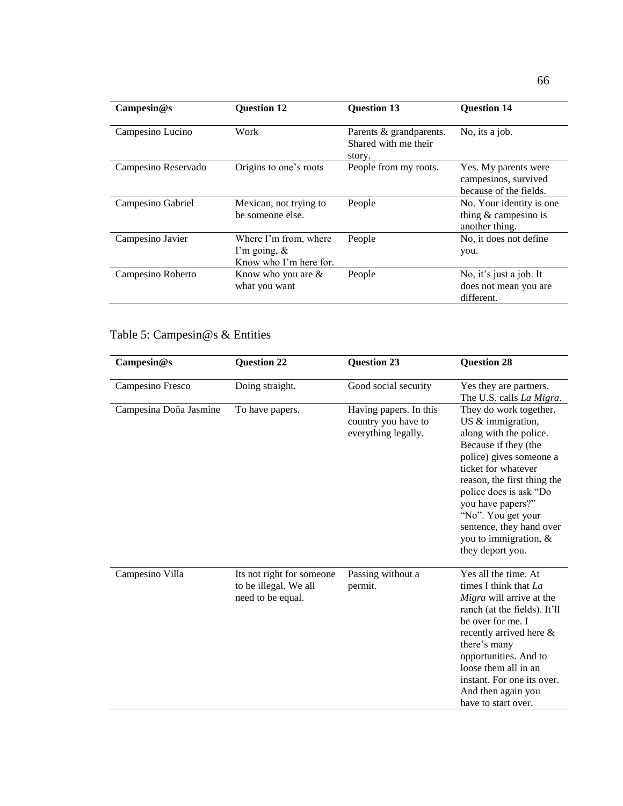| Campesin@s          | <b>Question 12</b>                                                 | <b>Question 13</b>                                        | <b>Question 14</b>                                                     |
|---------------------|--------------------------------------------------------------------|-----------------------------------------------------------|------------------------------------------------------------------------|
| Campesino Lucino    | Work                                                               | Parents & grandparents.<br>Shared with me their<br>story. | No, its a job.                                                         |
| Campesino Reservado | Origins to one's roots                                             | People from my roots.                                     | Yes. My parents were<br>campesinos, survived<br>because of the fields. |
| Campesino Gabriel   | Mexican, not trying to<br>be someone else.                         | People                                                    | No. Your identity is one.<br>thing $&$ campesino is<br>another thing.  |
| Campesino Javier    | Where I'm from, where<br>I'm going, $\&$<br>Know who I'm here for. | People                                                    | No, it does not define<br>you.                                         |
| Campesino Roberto   | Know who you are $\&$<br>what you want                             | People                                                    | No, it's just a job. It<br>does not mean you are<br>different.         |

# Table 5: Campesin@s & Entities

| Campesin@s             | <b>Question 22</b>                                                      | <b>Question 23</b>                                                   | <b>Question 28</b>                                                                                                                                                                                                                                                                                                              |
|------------------------|-------------------------------------------------------------------------|----------------------------------------------------------------------|---------------------------------------------------------------------------------------------------------------------------------------------------------------------------------------------------------------------------------------------------------------------------------------------------------------------------------|
| Campesino Fresco       | Doing straight.                                                         | Good social security                                                 | Yes they are partners.<br>The U.S. calls <i>La Migra</i> .                                                                                                                                                                                                                                                                      |
| Campesina Doña Jasmine | To have papers.                                                         | Having papers. In this<br>country you have to<br>everything legally. | They do work together.<br>US & immigration,<br>along with the police.<br>Because if they (the<br>police) gives someone a<br>ticket for whatever<br>reason, the first thing the<br>police does is ask "Do<br>you have papers?"<br>"No". You get your<br>sentence, they hand over<br>you to immigration, $\&$<br>they deport you. |
| Campesino Villa        | Its not right for someone<br>to be illegal. We all<br>need to be equal. | Passing without a<br>permit.                                         | Yes all the time. At<br>times I think that La<br>Migra will arrive at the<br>ranch (at the fields). It'll<br>be over for me. I<br>recently arrived here &<br>there's many<br>opportunities. And to<br>loose them all in an<br>instant. For one its over.<br>And then again you<br>have to start over.                           |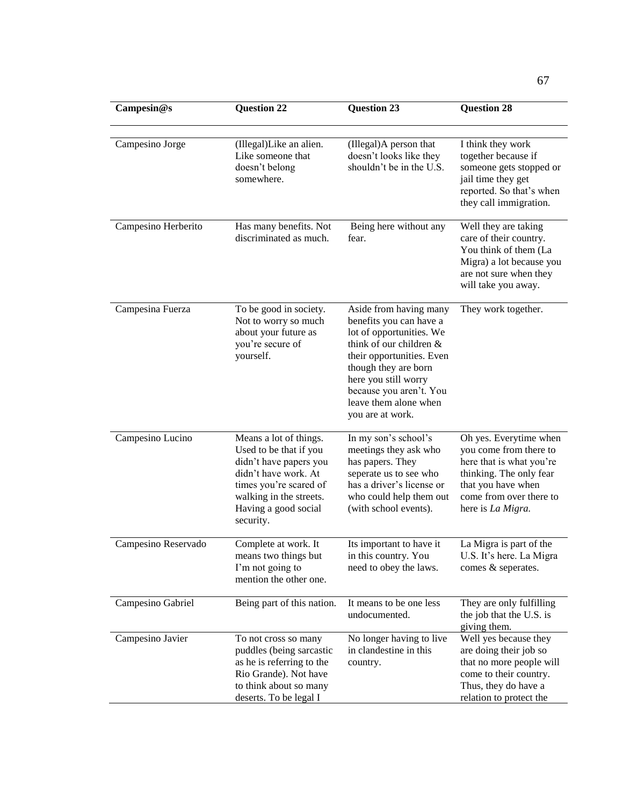| Campesin@s          | <b>Question 22</b>                                                                                                                                                                           | <b>Question 23</b>                                                                                                                                                                                                                                            | <b>Question 28</b>                                                                                                                                                            |
|---------------------|----------------------------------------------------------------------------------------------------------------------------------------------------------------------------------------------|---------------------------------------------------------------------------------------------------------------------------------------------------------------------------------------------------------------------------------------------------------------|-------------------------------------------------------------------------------------------------------------------------------------------------------------------------------|
| Campesino Jorge     | (Illegal)Like an alien.<br>Like someone that<br>doesn't belong<br>somewhere.                                                                                                                 | (Illegal)A person that<br>doesn't looks like they<br>shouldn't be in the U.S.                                                                                                                                                                                 | I think they work<br>together because if<br>someone gets stopped or<br>jail time they get<br>reported. So that's when<br>they call immigration.                               |
| Campesino Herberito | Has many benefits. Not<br>discriminated as much.                                                                                                                                             | Being here without any<br>fear.                                                                                                                                                                                                                               | Well they are taking<br>care of their country.<br>You think of them (La<br>Migra) a lot because you<br>are not sure when they<br>will take you away.                          |
| Campesina Fuerza    | To be good in society.<br>Not to worry so much<br>about your future as<br>you're secure of<br>yourself.                                                                                      | Aside from having many<br>benefits you can have a<br>lot of opportunities. We<br>think of our children &<br>their opportunities. Even<br>though they are born<br>here you still worry<br>because you aren't. You<br>leave them alone when<br>you are at work. | They work together.                                                                                                                                                           |
| Campesino Lucino    | Means a lot of things.<br>Used to be that if you<br>didn't have papers you<br>didn't have work. At<br>times you're scared of<br>walking in the streets.<br>Having a good social<br>security. | In my son's school's<br>meetings they ask who<br>has papers. They<br>seperate us to see who<br>has a driver's license or<br>who could help them out<br>(with school events).                                                                                  | Oh yes. Everytime when<br>you come from there to<br>here that is what you're<br>thinking. The only fear<br>that you have when<br>come from over there to<br>here is La Migra. |
| Campesino Reservado | Complete at work. It<br>means two things but<br>I'm not going to<br>mention the other one.                                                                                                   | Its important to have it<br>in this country. You<br>need to obey the laws.                                                                                                                                                                                    | La Migra is part of the<br>U.S. It's here. La Migra<br>comes & seperates.                                                                                                     |
| Campesino Gabriel   | Being part of this nation.                                                                                                                                                                   | It means to be one less<br>undocumented.                                                                                                                                                                                                                      | They are only fulfilling<br>the job that the U.S. is<br>giving them.                                                                                                          |
| Campesino Javier    | To not cross so many<br>puddles (being sarcastic<br>as he is referring to the<br>Rio Grande). Not have<br>to think about so many<br>deserts. To be legal I                                   | No longer having to live<br>in clandestine in this<br>country.                                                                                                                                                                                                | Well yes because they<br>are doing their job so<br>that no more people will<br>come to their country.<br>Thus, they do have a<br>relation to protect the                      |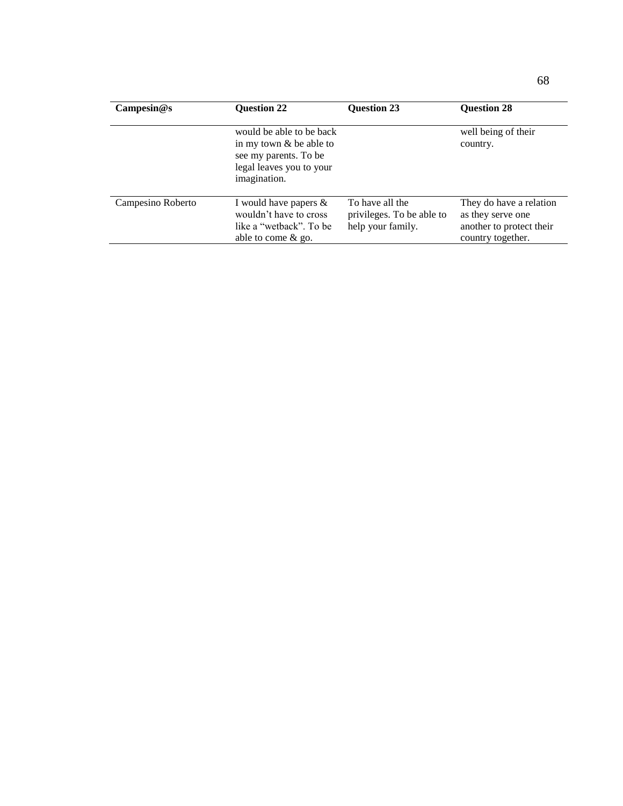| $\mathbf{Campesin}\mathcal{Q}\mathbf{s}$ | <b>Question 22</b>                                                                                                         | <b>Question 23</b>                                                | <b>Question 28</b>                                                                            |
|------------------------------------------|----------------------------------------------------------------------------------------------------------------------------|-------------------------------------------------------------------|-----------------------------------------------------------------------------------------------|
|                                          | would be able to be back<br>in my town $&$ be able to<br>see my parents. To be<br>legal leaves you to your<br>imagination. |                                                                   | well being of their<br>country.                                                               |
| Campesino Roberto                        | I would have papers $\&$<br>wouldn't have to cross<br>like a "wetback". To be<br>able to come $&$ go.                      | To have all the<br>privileges. To be able to<br>help your family. | They do have a relation<br>as they serve one<br>another to protect their<br>country together. |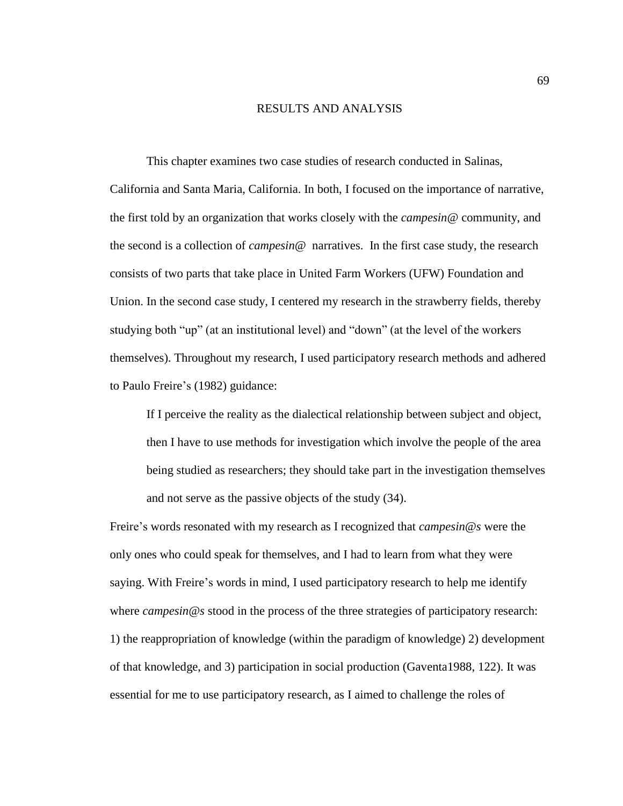#### RESULTS AND ANALYSIS

This chapter examines two case studies of research conducted in Salinas, California and Santa Maria, California. In both, I focused on the importance of narrative, the first told by an organization that works closely with the *campesin@* community, and the second is a collection of *campesin@* narratives. In the first case study, the research consists of two parts that take place in United Farm Workers (UFW) Foundation and Union. In the second case study, I centered my research in the strawberry fields, thereby studying both "up" (at an institutional level) and "down" (at the level of the workers themselves). Throughout my research, I used participatory research methods and adhered to Paulo Freire's (1982) guidance:

If I perceive the reality as the dialectical relationship between subject and object, then I have to use methods for investigation which involve the people of the area being studied as researchers; they should take part in the investigation themselves and not serve as the passive objects of the study (34).

Freire's words resonated with my research as I recognized that *campesin@s* were the only ones who could speak for themselves, and I had to learn from what they were saying. With Freire's words in mind, I used participatory research to help me identify where *campesin@s* stood in the process of the three strategies of participatory research: 1) the reappropriation of knowledge (within the paradigm of knowledge) 2) development of that knowledge, and 3) participation in social production (Gaventa1988, 122). It was essential for me to use participatory research, as I aimed to challenge the roles of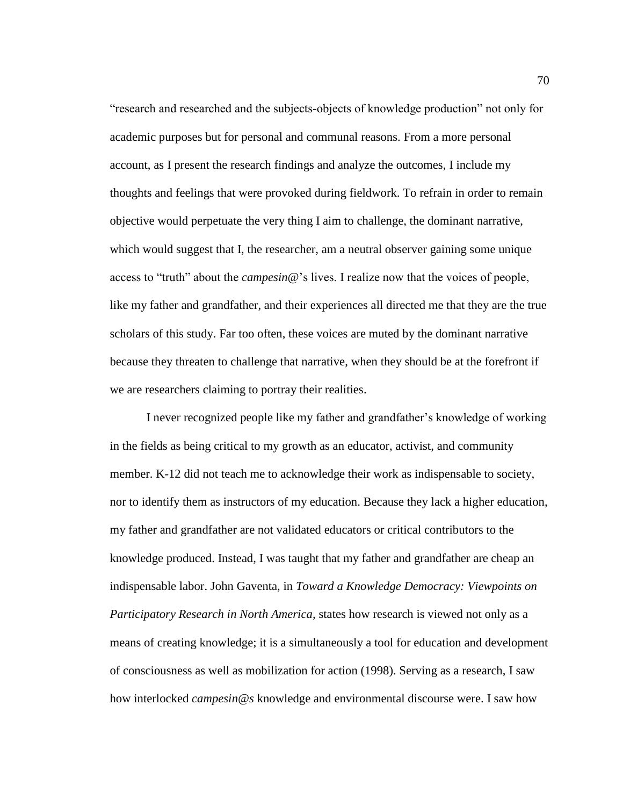"research and researched and the subjects-objects of knowledge production" not only for academic purposes but for personal and communal reasons. From a more personal account, as I present the research findings and analyze the outcomes, I include my thoughts and feelings that were provoked during fieldwork. To refrain in order to remain objective would perpetuate the very thing I aim to challenge, the dominant narrative, which would suggest that I, the researcher, am a neutral observer gaining some unique access to "truth" about the *campesin@*'s lives. I realize now that the voices of people, like my father and grandfather, and their experiences all directed me that they are the true scholars of this study. Far too often, these voices are muted by the dominant narrative because they threaten to challenge that narrative, when they should be at the forefront if we are researchers claiming to portray their realities.

I never recognized people like my father and grandfather's knowledge of working in the fields as being critical to my growth as an educator, activist, and community member. K-12 did not teach me to acknowledge their work as indispensable to society, nor to identify them as instructors of my education. Because they lack a higher education, my father and grandfather are not validated educators or critical contributors to the knowledge produced. Instead, I was taught that my father and grandfather are cheap an indispensable labor. John Gaventa, in *Toward a Knowledge Democracy: Viewpoints on Participatory Research in North America,* states how research is viewed not only as a means of creating knowledge; it is a simultaneously a tool for education and development of consciousness as well as mobilization for action (1998). Serving as a research, I saw how interlocked *campesin@s* knowledge and environmental discourse were. I saw how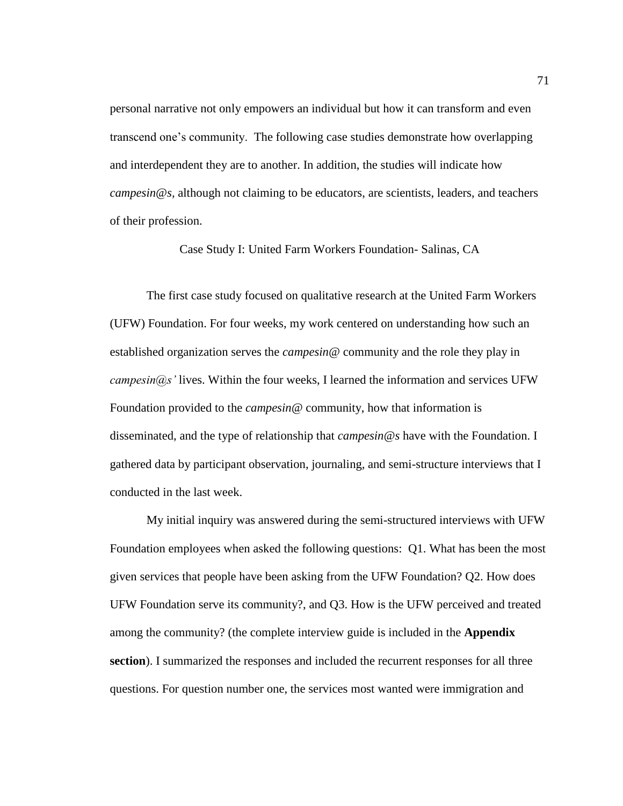personal narrative not only empowers an individual but how it can transform and even transcend one's community. The following case studies demonstrate how overlapping and interdependent they are to another. In addition, the studies will indicate how *campesin@s,* although not claiming to be educators, are scientists, leaders, and teachers of their profession.

Case Study I: United Farm Workers Foundation- Salinas, CA

The first case study focused on qualitative research at the United Farm Workers (UFW) Foundation. For four weeks, my work centered on understanding how such an established organization serves the *campesin@* community and the role they play in *campesin@s'* lives. Within the four weeks, I learned the information and services UFW Foundation provided to the *campesin@* community, how that information is disseminated, and the type of relationship that *campesin@s* have with the Foundation. I gathered data by participant observation, journaling, and semi-structure interviews that I conducted in the last week.

My initial inquiry was answered during the semi-structured interviews with UFW Foundation employees when asked the following questions: Q1. What has been the most given services that people have been asking from the UFW Foundation? Q2. How does UFW Foundation serve its community?, and Q3. How is the UFW perceived and treated among the community? (the complete interview guide is included in the **Appendix section**). I summarized the responses and included the recurrent responses for all three questions. For question number one, the services most wanted were immigration and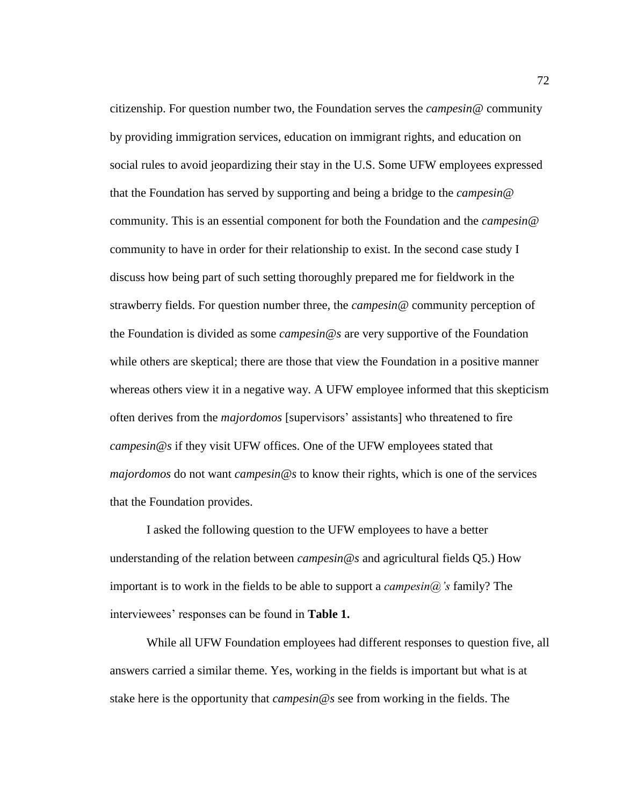citizenship. For question number two, the Foundation serves the *campesin@* community by providing immigration services, education on immigrant rights, and education on social rules to avoid jeopardizing their stay in the U.S. Some UFW employees expressed that the Foundation has served by supporting and being a bridge to the *campesin@* community. This is an essential component for both the Foundation and the *campesin@* community to have in order for their relationship to exist. In the second case study I discuss how being part of such setting thoroughly prepared me for fieldwork in the strawberry fields. For question number three, the *campesin@* community perception of the Foundation is divided as some *campesin@s* are very supportive of the Foundation while others are skeptical; there are those that view the Foundation in a positive manner whereas others view it in a negative way. A UFW employee informed that this skepticism often derives from the *majordomos* [supervisors' assistants] who threatened to fire *campesin@s* if they visit UFW offices. One of the UFW employees stated that *majordomos* do not want *campesin@s* to know their rights, which is one of the services that the Foundation provides.

I asked the following question to the UFW employees to have a better understanding of the relation between *campesin@s* and agricultural fields Q5.) How important is to work in the fields to be able to support a *campesin@'s* family? The interviewees' responses can be found in **Table 1.**

While all UFW Foundation employees had different responses to question five, all answers carried a similar theme. Yes, working in the fields is important but what is at stake here is the opportunity that *campesin@s* see from working in the fields. The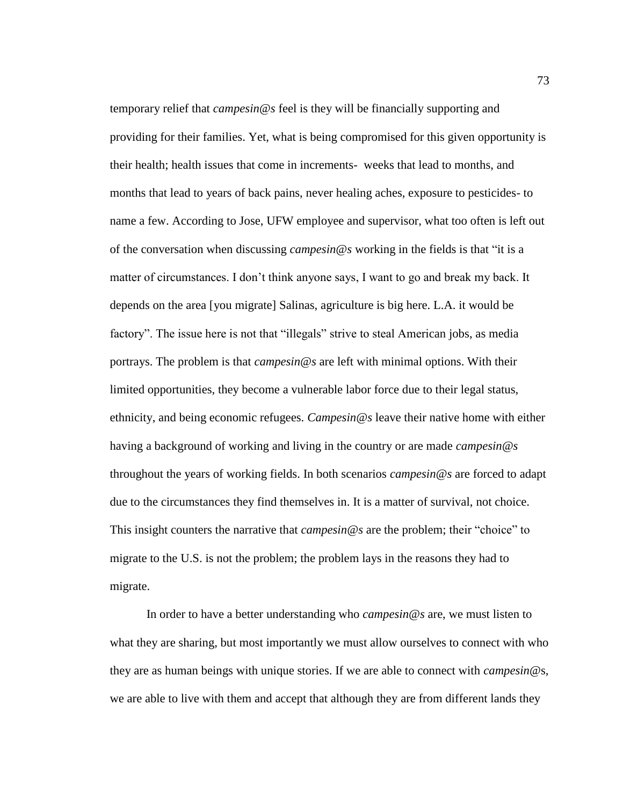temporary relief that *campesin@s* feel is they will be financially supporting and providing for their families. Yet, what is being compromised for this given opportunity is their health; health issues that come in increments- weeks that lead to months, and months that lead to years of back pains, never healing aches, exposure to pesticides- to name a few. According to Jose, UFW employee and supervisor, what too often is left out of the conversation when discussing *campesin@s* working in the fields is that "it is a matter of circumstances. I don't think anyone says, I want to go and break my back. It depends on the area [you migrate] Salinas, agriculture is big here. L.A. it would be factory". The issue here is not that "illegals" strive to steal American jobs, as media portrays. The problem is that *campesin@s* are left with minimal options. With their limited opportunities, they become a vulnerable labor force due to their legal status, ethnicity, and being economic refugees. *Campesin@s* leave their native home with either having a background of working and living in the country or are made *campesin@s* throughout the years of working fields. In both scenarios *campesin@s* are forced to adapt due to the circumstances they find themselves in. It is a matter of survival, not choice. This insight counters the narrative that *campesin@s* are the problem; their "choice" to migrate to the U.S. is not the problem; the problem lays in the reasons they had to migrate.

In order to have a better understanding who *campesin@s* are, we must listen to what they are sharing, but most importantly we must allow ourselves to connect with who they are as human beings with unique stories. If we are able to connect with *campesin*@s, we are able to live with them and accept that although they are from different lands they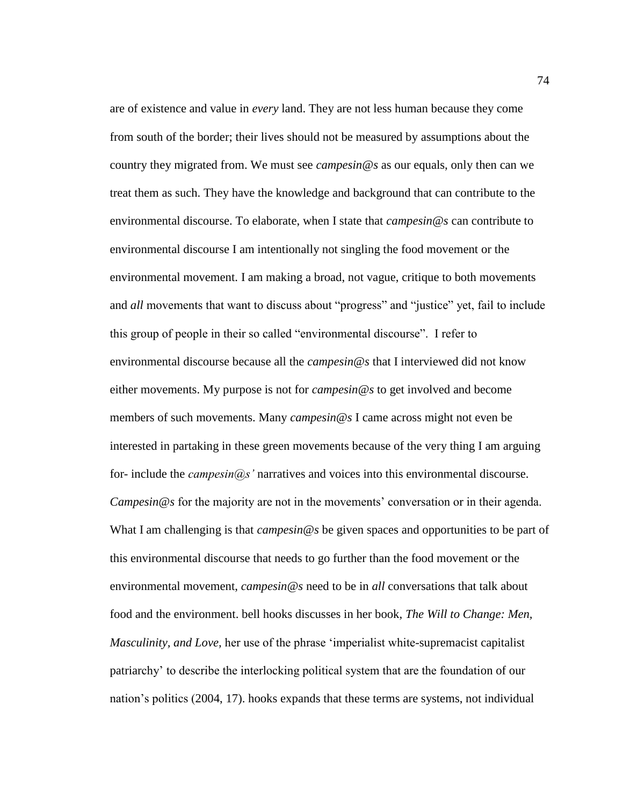are of existence and value in *every* land. They are not less human because they come from south of the border; their lives should not be measured by assumptions about the country they migrated from. We must see *campesin@s* as our equals, only then can we treat them as such. They have the knowledge and background that can contribute to the environmental discourse. To elaborate, when I state that *campesin@s* can contribute to environmental discourse I am intentionally not singling the food movement or the environmental movement. I am making a broad, not vague, critique to both movements and *all* movements that want to discuss about "progress" and "justice" yet, fail to include this group of people in their so called "environmental discourse". I refer to environmental discourse because all the *campesin@s* that I interviewed did not know either movements. My purpose is not for *campesin@s* to get involved and become members of such movements. Many *campesin@s* I came across might not even be interested in partaking in these green movements because of the very thing I am arguing for- include the *campesin@s'* narratives and voices into this environmental discourse. *Campesin@s* for the majority are not in the movements' conversation or in their agenda. What I am challenging is that *campesin@s* be given spaces and opportunities to be part of this environmental discourse that needs to go further than the food movement or the environmental movement, *campesin@s* need to be in *all* conversations that talk about food and the environment. bell hooks discusses in her book, *The Will to Change: Men, Masculinity, and Love,* her use of the phrase 'imperialist white-supremacist capitalist patriarchy' to describe the interlocking political system that are the foundation of our nation's politics (2004, 17). hooks expands that these terms are systems, not individual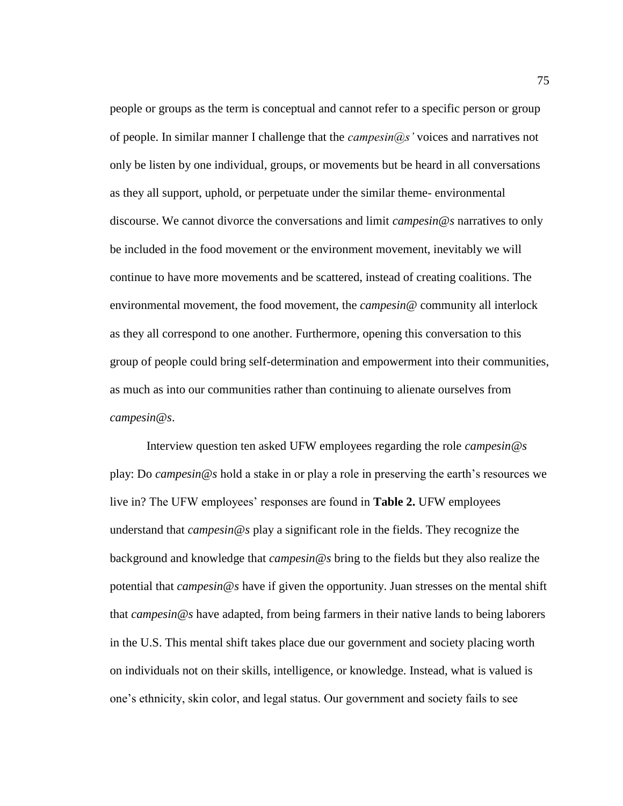people or groups as the term is conceptual and cannot refer to a specific person or group of people. In similar manner I challenge that the *campesin@s'* voices and narratives not only be listen by one individual, groups, or movements but be heard in all conversations as they all support, uphold, or perpetuate under the similar theme- environmental discourse. We cannot divorce the conversations and limit *campesin@s* narratives to only be included in the food movement or the environment movement, inevitably we will continue to have more movements and be scattered, instead of creating coalitions. The environmental movement, the food movement, the *campesin@* community all interlock as they all correspond to one another. Furthermore, opening this conversation to this group of people could bring self-determination and empowerment into their communities, as much as into our communities rather than continuing to alienate ourselves from *campesin@s*.

Interview question ten asked UFW employees regarding the role *campesin@s* play: Do *campesin@s* hold a stake in or play a role in preserving the earth's resources we live in? The UFW employees' responses are found in **Table 2.** UFW employees understand that *campesin@s* play a significant role in the fields. They recognize the background and knowledge that *campesin@s* bring to the fields but they also realize the potential that *campesin@s* have if given the opportunity. Juan stresses on the mental shift that *campesin@s* have adapted, from being farmers in their native lands to being laborers in the U.S. This mental shift takes place due our government and society placing worth on individuals not on their skills, intelligence, or knowledge. Instead, what is valued is one's ethnicity, skin color, and legal status. Our government and society fails to see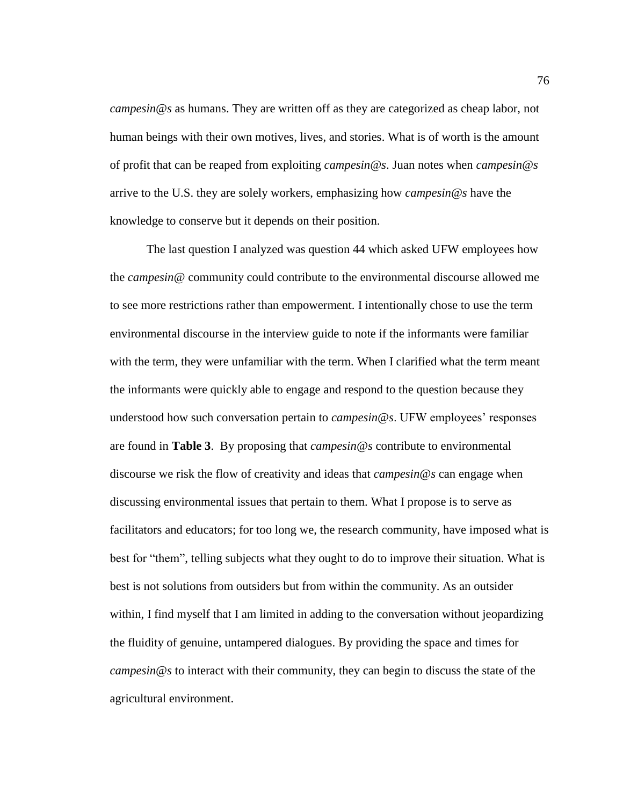*campesin@s* as humans. They are written off as they are categorized as cheap labor, not human beings with their own motives, lives, and stories. What is of worth is the amount of profit that can be reaped from exploiting *campesin@s*. Juan notes when *campesin@s* arrive to the U.S. they are solely workers, emphasizing how *campesin@s* have the knowledge to conserve but it depends on their position.

The last question I analyzed was question 44 which asked UFW employees how the *campesin@* community could contribute to the environmental discourse allowed me to see more restrictions rather than empowerment. I intentionally chose to use the term environmental discourse in the interview guide to note if the informants were familiar with the term, they were unfamiliar with the term. When I clarified what the term meant the informants were quickly able to engage and respond to the question because they understood how such conversation pertain to *campesin@s*. UFW employees' responses are found in **Table 3**. By proposing that *campesin@s* contribute to environmental discourse we risk the flow of creativity and ideas that *campesin@s* can engage when discussing environmental issues that pertain to them. What I propose is to serve as facilitators and educators; for too long we, the research community, have imposed what is best for "them", telling subjects what they ought to do to improve their situation. What is best is not solutions from outsiders but from within the community. As an outsider within, I find myself that I am limited in adding to the conversation without jeopardizing the fluidity of genuine, untampered dialogues. By providing the space and times for *campesin@s* to interact with their community, they can begin to discuss the state of the agricultural environment.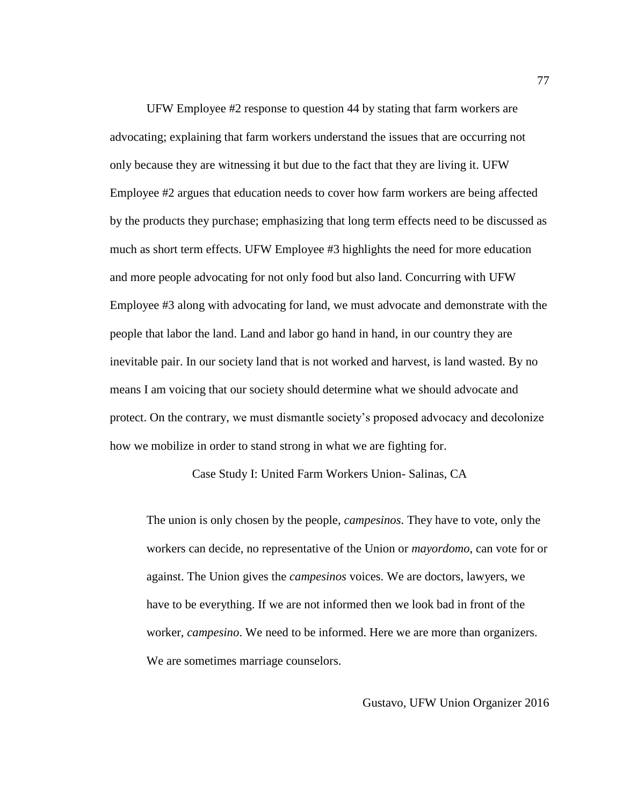UFW Employee #2 response to question 44 by stating that farm workers are advocating; explaining that farm workers understand the issues that are occurring not only because they are witnessing it but due to the fact that they are living it. UFW Employee #2 argues that education needs to cover how farm workers are being affected by the products they purchase; emphasizing that long term effects need to be discussed as much as short term effects. UFW Employee #3 highlights the need for more education and more people advocating for not only food but also land. Concurring with UFW Employee #3 along with advocating for land, we must advocate and demonstrate with the people that labor the land. Land and labor go hand in hand, in our country they are inevitable pair. In our society land that is not worked and harvest, is land wasted. By no means I am voicing that our society should determine what we should advocate and protect. On the contrary, we must dismantle society's proposed advocacy and decolonize how we mobilize in order to stand strong in what we are fighting for.

Case Study I: United Farm Workers Union- Salinas, CA

The union is only chosen by the people, *campesinos*. They have to vote, only the workers can decide, no representative of the Union or *mayordomo*, can vote for or against. The Union gives the *campesinos* voices. We are doctors, lawyers, we have to be everything. If we are not informed then we look bad in front of the worker, *campesino*. We need to be informed. Here we are more than organizers. We are sometimes marriage counselors.

Gustavo, UFW Union Organizer 2016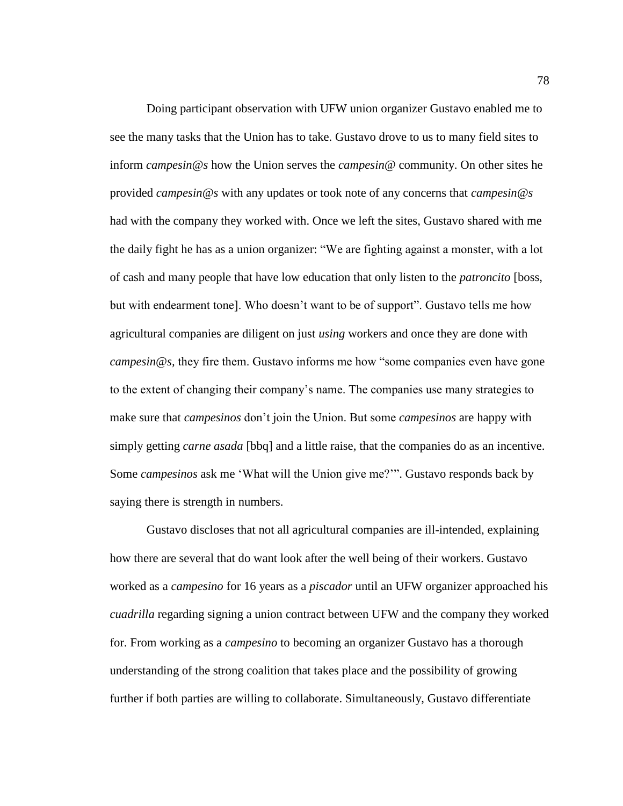Doing participant observation with UFW union organizer Gustavo enabled me to see the many tasks that the Union has to take. Gustavo drove to us to many field sites to inform *campesin@s* how the Union serves the *campesin@* community. On other sites he provided *campesin@s* with any updates or took note of any concerns that *campesin@s* had with the company they worked with. Once we left the sites, Gustavo shared with me the daily fight he has as a union organizer: "We are fighting against a monster, with a lot of cash and many people that have low education that only listen to the *patroncito* [boss, but with endearment tone]. Who doesn't want to be of support". Gustavo tells me how agricultural companies are diligent on just *using* workers and once they are done with *campesin@s,* they fire them. Gustavo informs me how "some companies even have gone to the extent of changing their company's name. The companies use many strategies to make sure that *campesinos* don't join the Union. But some *campesinos* are happy with simply getting *carne asada* [bbq] and a little raise, that the companies do as an incentive. Some *campesinos* ask me 'What will the Union give me?'". Gustavo responds back by saying there is strength in numbers.

Gustavo discloses that not all agricultural companies are ill-intended, explaining how there are several that do want look after the well being of their workers. Gustavo worked as a *campesino* for 16 years as a *piscador* until an UFW organizer approached his *cuadrilla* regarding signing a union contract between UFW and the company they worked for. From working as a *campesino* to becoming an organizer Gustavo has a thorough understanding of the strong coalition that takes place and the possibility of growing further if both parties are willing to collaborate. Simultaneously, Gustavo differentiate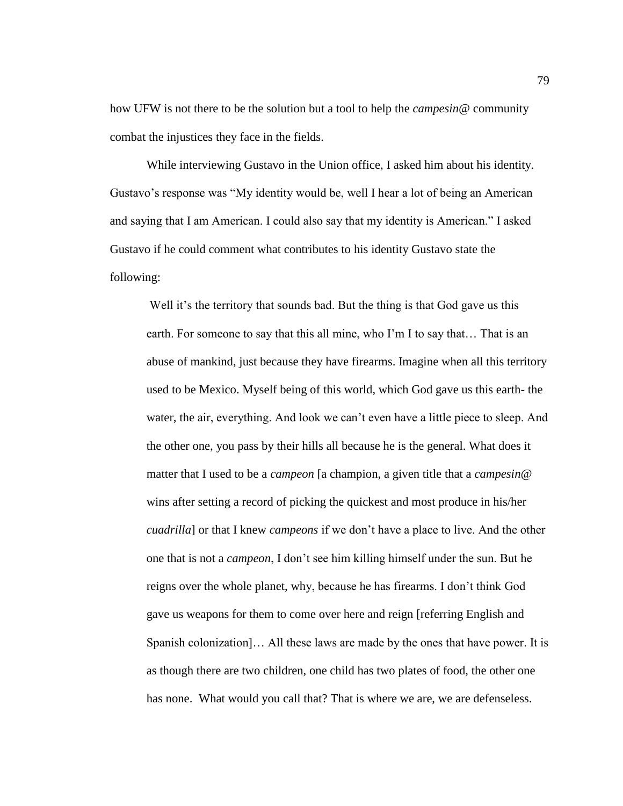how UFW is not there to be the solution but a tool to help the *campesin@* community combat the injustices they face in the fields.

While interviewing Gustavo in the Union office, I asked him about his identity. Gustavo's response was "My identity would be, well I hear a lot of being an American and saying that I am American. I could also say that my identity is American." I asked Gustavo if he could comment what contributes to his identity Gustavo state the following:

Well it's the territory that sounds bad. But the thing is that God gave us this earth. For someone to say that this all mine, who I'm I to say that… That is an abuse of mankind, just because they have firearms. Imagine when all this territory used to be Mexico. Myself being of this world, which God gave us this earth- the water, the air, everything. And look we can't even have a little piece to sleep. And the other one, you pass by their hills all because he is the general. What does it matter that I used to be a *campeon* [a champion, a given title that a *campesin@* wins after setting a record of picking the quickest and most produce in his/her *cuadrilla*] or that I knew *campeons* if we don't have a place to live. And the other one that is not a *campeon*, I don't see him killing himself under the sun. But he reigns over the whole planet, why, because he has firearms. I don't think God gave us weapons for them to come over here and reign [referring English and Spanish colonization]… All these laws are made by the ones that have power. It is as though there are two children, one child has two plates of food, the other one has none. What would you call that? That is where we are, we are defenseless.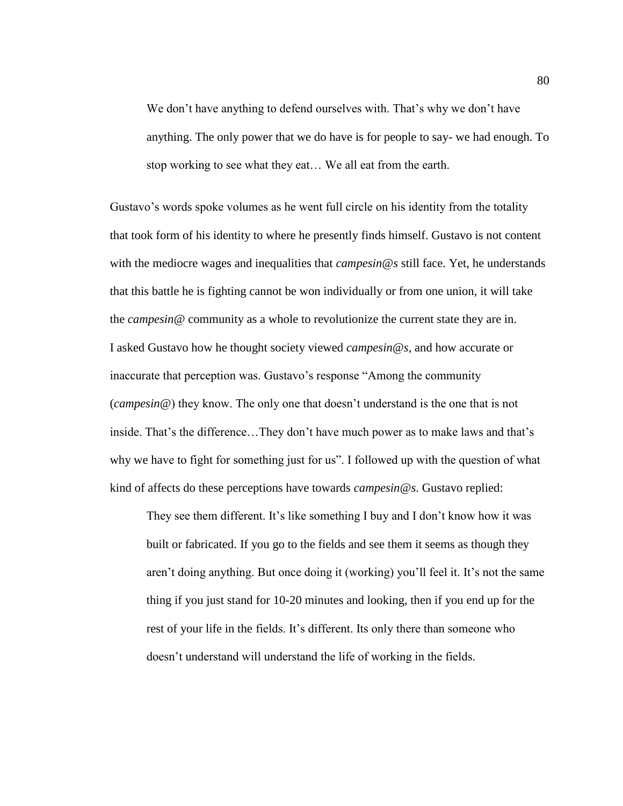We don't have anything to defend ourselves with. That's why we don't have anything. The only power that we do have is for people to say- we had enough. To stop working to see what they eat… We all eat from the earth.

Gustavo's words spoke volumes as he went full circle on his identity from the totality that took form of his identity to where he presently finds himself. Gustavo is not content with the mediocre wages and inequalities that *campesin@s* still face. Yet, he understands that this battle he is fighting cannot be won individually or from one union, it will take the *campesin@* community as a whole to revolutionize the current state they are in. I asked Gustavo how he thought society viewed *campesin@s*, and how accurate or inaccurate that perception was. Gustavo's response "Among the community (*campesin@*) they know. The only one that doesn't understand is the one that is not inside. That's the difference…They don't have much power as to make laws and that's why we have to fight for something just for us". I followed up with the question of what kind of affects do these perceptions have towards *campesin@s*. Gustavo replied:

They see them different. It's like something I buy and I don't know how it was built or fabricated. If you go to the fields and see them it seems as though they aren't doing anything. But once doing it (working) you'll feel it. It's not the same thing if you just stand for 10-20 minutes and looking, then if you end up for the rest of your life in the fields. It's different. Its only there than someone who doesn't understand will understand the life of working in the fields.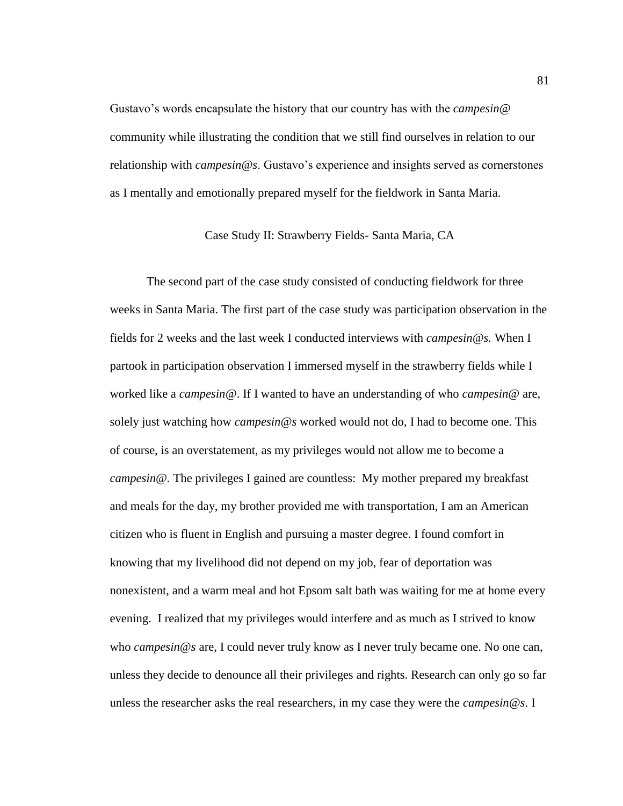Gustavo's words encapsulate the history that our country has with the *campesin@* community while illustrating the condition that we still find ourselves in relation to our relationship with *campesin@s*. Gustavo's experience and insights served as cornerstones as I mentally and emotionally prepared myself for the fieldwork in Santa Maria.

Case Study II: Strawberry Fields- Santa Maria, CA

The second part of the case study consisted of conducting fieldwork for three weeks in Santa Maria. The first part of the case study was participation observation in the fields for 2 weeks and the last week I conducted interviews with *campesin@s.* When I partook in participation observation I immersed myself in the strawberry fields while I worked like a *campesin@*. If I wanted to have an understanding of who *campesin@* are, solely just watching how *campesin@s* worked would not do, I had to become one. This of course, is an overstatement, as my privileges would not allow me to become a *campesin@.* The privileges I gained are countless: My mother prepared my breakfast and meals for the day, my brother provided me with transportation, I am an American citizen who is fluent in English and pursuing a master degree. I found comfort in knowing that my livelihood did not depend on my job, fear of deportation was nonexistent, and a warm meal and hot Epsom salt bath was waiting for me at home every evening. I realized that my privileges would interfere and as much as I strived to know who *campesin@s* are, I could never truly know as I never truly became one. No one can, unless they decide to denounce all their privileges and rights. Research can only go so far unless the researcher asks the real researchers, in my case they were the *campesin@s*. I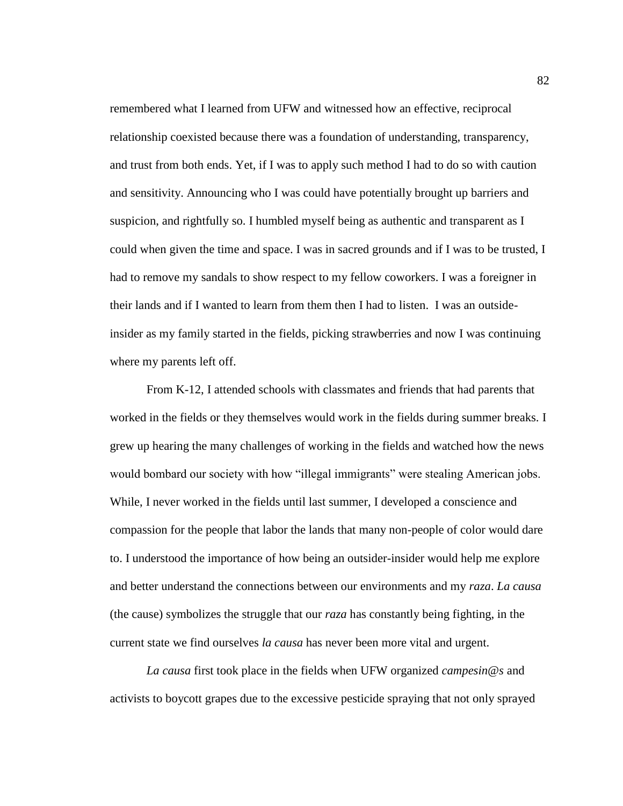remembered what I learned from UFW and witnessed how an effective, reciprocal relationship coexisted because there was a foundation of understanding, transparency, and trust from both ends. Yet, if I was to apply such method I had to do so with caution and sensitivity. Announcing who I was could have potentially brought up barriers and suspicion, and rightfully so. I humbled myself being as authentic and transparent as I could when given the time and space. I was in sacred grounds and if I was to be trusted, I had to remove my sandals to show respect to my fellow coworkers. I was a foreigner in their lands and if I wanted to learn from them then I had to listen. I was an outsideinsider as my family started in the fields, picking strawberries and now I was continuing where my parents left off.

From K-12, I attended schools with classmates and friends that had parents that worked in the fields or they themselves would work in the fields during summer breaks. I grew up hearing the many challenges of working in the fields and watched how the news would bombard our society with how "illegal immigrants" were stealing American jobs. While, I never worked in the fields until last summer, I developed a conscience and compassion for the people that labor the lands that many non-people of color would dare to. I understood the importance of how being an outsider-insider would help me explore and better understand the connections between our environments and my *raza*. *La causa* (the cause) symbolizes the struggle that our *raza* has constantly being fighting, in the current state we find ourselves *la causa* has never been more vital and urgent.

*La causa* first took place in the fields when UFW organized *campesin@s* and activists to boycott grapes due to the excessive pesticide spraying that not only sprayed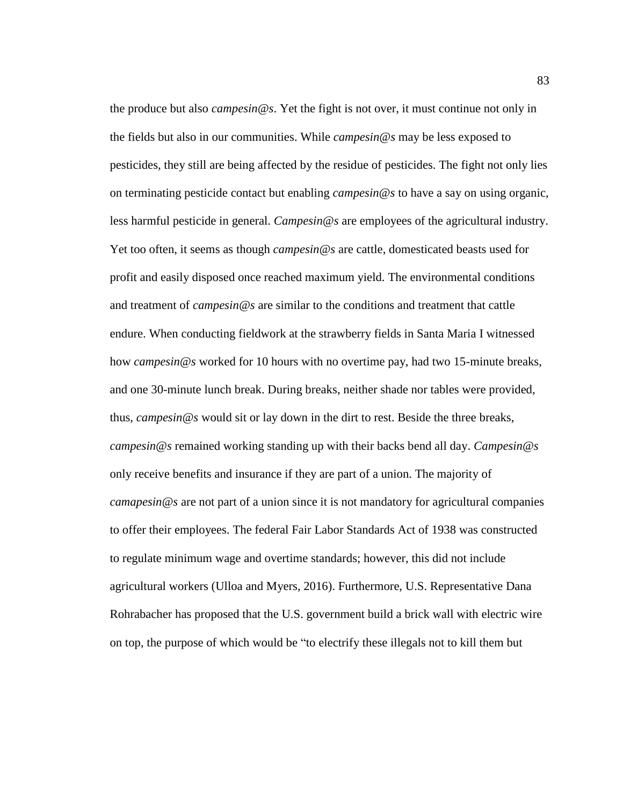the produce but also *campesin@s*. Yet the fight is not over, it must continue not only in the fields but also in our communities. While *campesin@s* may be less exposed to pesticides, they still are being affected by the residue of pesticides. The fight not only lies on terminating pesticide contact but enabling *campesin@s* to have a say on using organic, less harmful pesticide in general. *Campesin@s* are employees of the agricultural industry. Yet too often, it seems as though *campesin@s* are cattle, domesticated beasts used for profit and easily disposed once reached maximum yield. The environmental conditions and treatment of *campesin@s* are similar to the conditions and treatment that cattle endure. When conducting fieldwork at the strawberry fields in Santa Maria I witnessed how *campesin@s* worked for 10 hours with no overtime pay, had two 15-minute breaks, and one 30-minute lunch break. During breaks, neither shade nor tables were provided, thus, *campesin@s* would sit or lay down in the dirt to rest. Beside the three breaks, *campesin@s* remained working standing up with their backs bend all day. *Campesin@s* only receive benefits and insurance if they are part of a union. The majority of *camapesin@s* are not part of a union since it is not mandatory for agricultural companies to offer their employees. The federal Fair Labor Standards Act of 1938 was constructed to regulate minimum wage and overtime standards; however, this did not include agricultural workers (Ulloa and Myers, 2016). Furthermore, U.S. Representative Dana Rohrabacher has proposed that the U.S. government build a brick wall with electric wire on top, the purpose of which would be "to electrify these illegals not to kill them but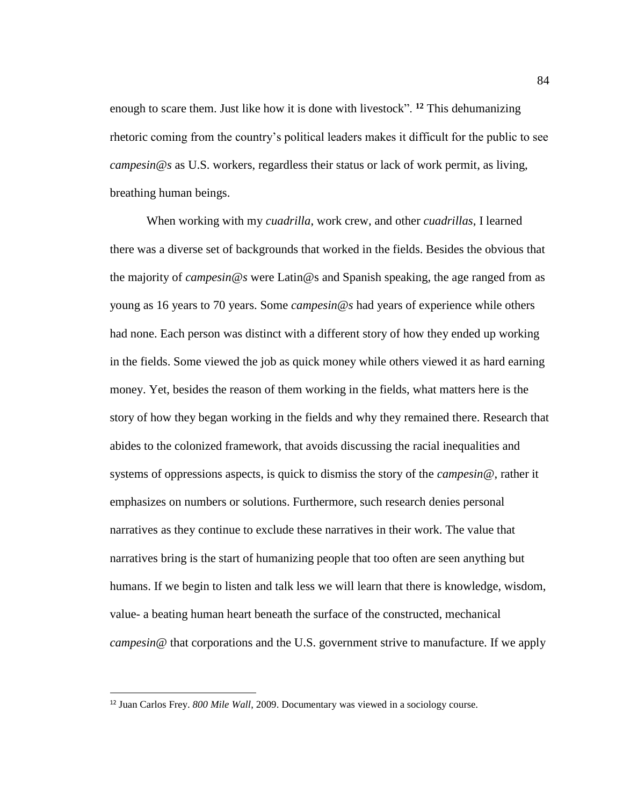enough to scare them. Just like how it is done with livestock". **<sup>12</sup>** This dehumanizing rhetoric coming from the country's political leaders makes it difficult for the public to see *campesin@s* as U.S. workers, regardless their status or lack of work permit, as living, breathing human beings.

When working with my *cuadrilla*, work crew, and other *cuadrillas*, I learned there was a diverse set of backgrounds that worked in the fields. Besides the obvious that the majority of *campesin@s* were Latin@s and Spanish speaking, the age ranged from as young as 16 years to 70 years. Some *campesin@s* had years of experience while others had none. Each person was distinct with a different story of how they ended up working in the fields. Some viewed the job as quick money while others viewed it as hard earning money. Yet, besides the reason of them working in the fields, what matters here is the story of how they began working in the fields and why they remained there. Research that abides to the colonized framework, that avoids discussing the racial inequalities and systems of oppressions aspects, is quick to dismiss the story of the *campesin@*, rather it emphasizes on numbers or solutions. Furthermore, such research denies personal narratives as they continue to exclude these narratives in their work. The value that narratives bring is the start of humanizing people that too often are seen anything but humans. If we begin to listen and talk less we will learn that there is knowledge, wisdom, value- a beating human heart beneath the surface of the constructed, mechanical *campesin@* that corporations and the U.S. government strive to manufacture. If we apply

 $\overline{a}$ 

<sup>12</sup> Juan Carlos Frey. *800 Mile Wall*, 2009. Documentary was viewed in a sociology course.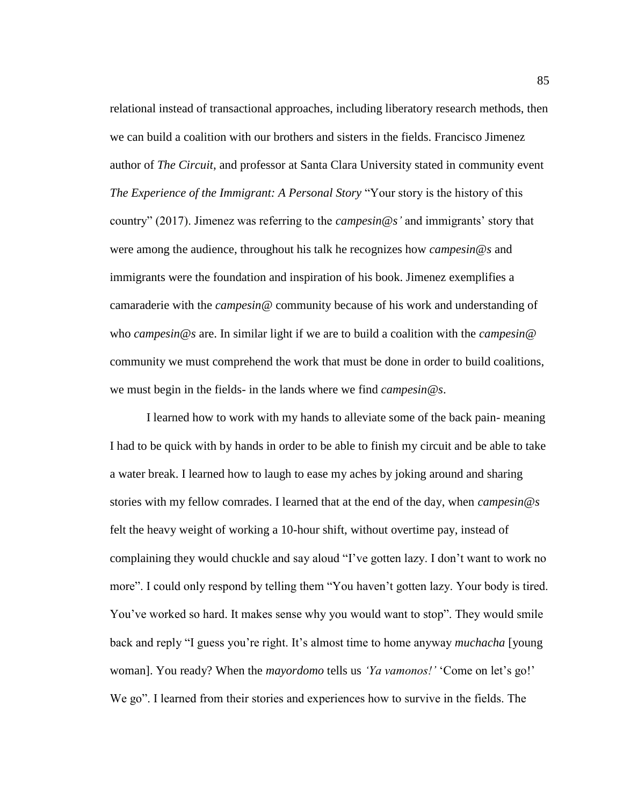relational instead of transactional approaches, including liberatory research methods, then we can build a coalition with our brothers and sisters in the fields. Francisco Jimenez author of *The Circuit*, and professor at Santa Clara University stated in community event *The Experience of the Immigrant: A Personal Story* "Your story is the history of this country" (2017). Jimenez was referring to the *campesin@s'* and immigrants' story that were among the audience, throughout his talk he recognizes how *campesin@s* and immigrants were the foundation and inspiration of his book. Jimenez exemplifies a camaraderie with the *campesin@* community because of his work and understanding of who *campesin@s* are. In similar light if we are to build a coalition with the *campesin@* community we must comprehend the work that must be done in order to build coalitions, we must begin in the fields- in the lands where we find *campesin@s*.

I learned how to work with my hands to alleviate some of the back pain- meaning I had to be quick with by hands in order to be able to finish my circuit and be able to take a water break. I learned how to laugh to ease my aches by joking around and sharing stories with my fellow comrades. I learned that at the end of the day, when *campesin@s* felt the heavy weight of working a 10-hour shift, without overtime pay, instead of complaining they would chuckle and say aloud "I've gotten lazy. I don't want to work no more". I could only respond by telling them "You haven't gotten lazy. Your body is tired. You've worked so hard. It makes sense why you would want to stop". They would smile back and reply "I guess you're right. It's almost time to home anyway *muchacha* [young woman]. You ready? When the *mayordomo* tells us *'Ya vamonos!'* 'Come on let's go!' We go". I learned from their stories and experiences how to survive in the fields. The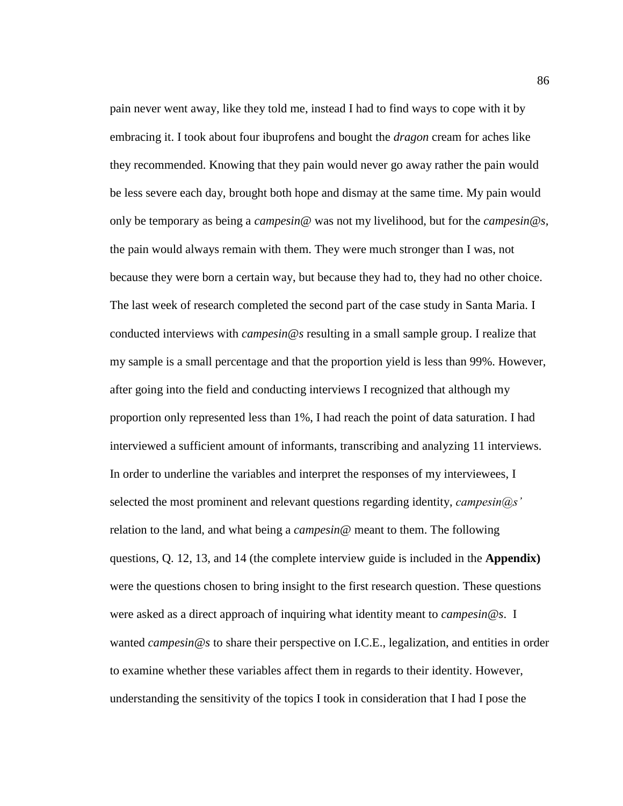pain never went away, like they told me, instead I had to find ways to cope with it by embracing it. I took about four ibuprofens and bought the *dragon* cream for aches like they recommended. Knowing that they pain would never go away rather the pain would be less severe each day, brought both hope and dismay at the same time. My pain would only be temporary as being a *campesin@* was not my livelihood, but for the *campesin@s,* the pain would always remain with them. They were much stronger than I was, not because they were born a certain way, but because they had to, they had no other choice. The last week of research completed the second part of the case study in Santa Maria. I conducted interviews with *campesin@s* resulting in a small sample group. I realize that my sample is a small percentage and that the proportion yield is less than 99%. However, after going into the field and conducting interviews I recognized that although my proportion only represented less than 1%, I had reach the point of data saturation. I had interviewed a sufficient amount of informants, transcribing and analyzing 11 interviews. In order to underline the variables and interpret the responses of my interviewees, I selected the most prominent and relevant questions regarding identity, *campesin@s'* relation to the land, and what being a *campesin@* meant to them. The following questions, Q. 12, 13, and 14 (the complete interview guide is included in the **Appendix)** were the questions chosen to bring insight to the first research question. These questions were asked as a direct approach of inquiring what identity meant to *campesin@s*. I wanted *campesin@s* to share their perspective on I.C.E., legalization, and entities in order to examine whether these variables affect them in regards to their identity. However, understanding the sensitivity of the topics I took in consideration that I had I pose the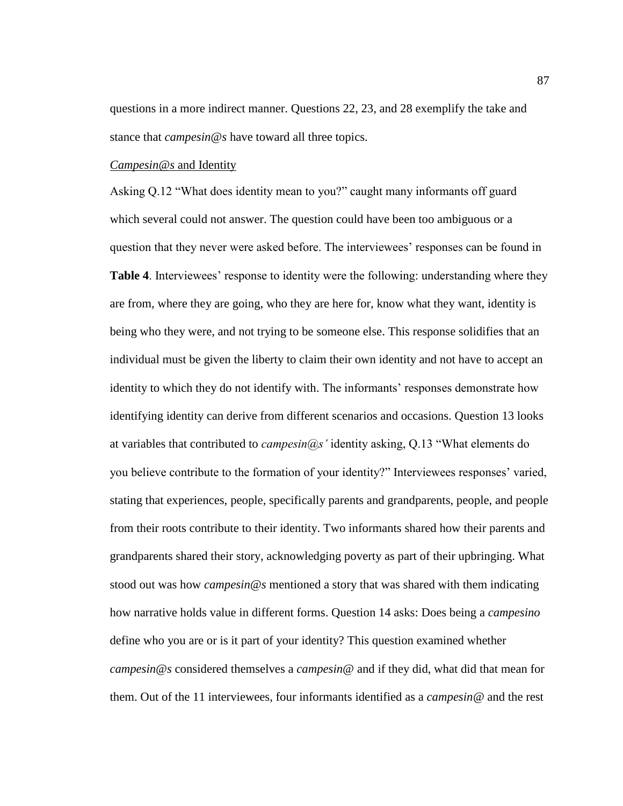questions in a more indirect manner. Questions 22, 23, and 28 exemplify the take and stance that *campesin@s* have toward all three topics.

#### *Campesin@s* and Identity

Asking Q.12 "What does identity mean to you?" caught many informants off guard which several could not answer. The question could have been too ambiguous or a question that they never were asked before. The interviewees' responses can be found in **Table 4**. Interviewees' response to identity were the following: understanding where they are from, where they are going, who they are here for, know what they want, identity is being who they were, and not trying to be someone else. This response solidifies that an individual must be given the liberty to claim their own identity and not have to accept an identity to which they do not identify with. The informants' responses demonstrate how identifying identity can derive from different scenarios and occasions. Question 13 looks at variables that contributed to *campesin@s'* identity asking, Q.13 "What elements do you believe contribute to the formation of your identity?" Interviewees responses' varied, stating that experiences, people, specifically parents and grandparents, people, and people from their roots contribute to their identity. Two informants shared how their parents and grandparents shared their story, acknowledging poverty as part of their upbringing. What stood out was how *campesin@s* mentioned a story that was shared with them indicating how narrative holds value in different forms. Question 14 asks: Does being a *campesino* define who you are or is it part of your identity? This question examined whether *campesin@s* considered themselves a *campesin@* and if they did, what did that mean for them. Out of the 11 interviewees, four informants identified as a *campesin@* and the rest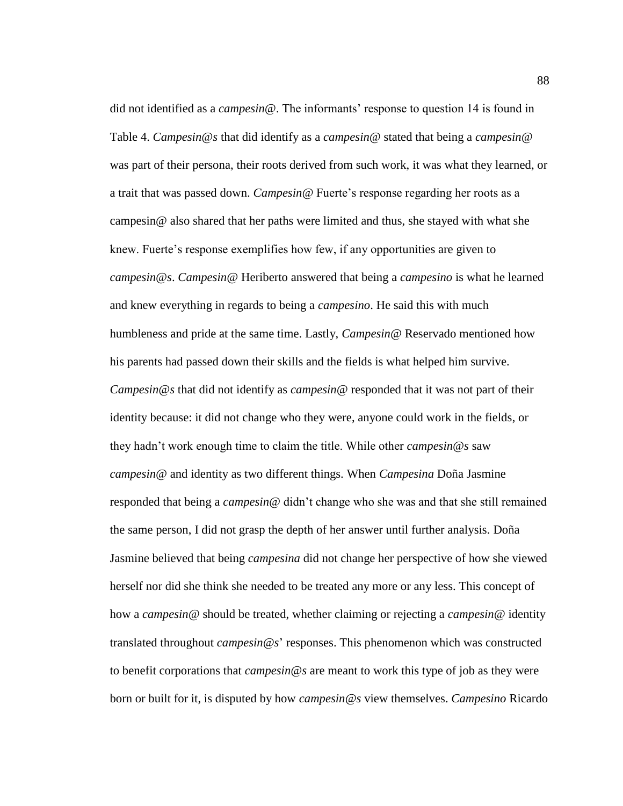did not identified as a *campesin@*. The informants' response to question 14 is found in Table 4. *Campesin@s* that did identify as a *campesin@* stated that being a *campesin@* was part of their persona, their roots derived from such work, it was what they learned, or a trait that was passed down. *Campesin@* Fuerte's response regarding her roots as a campesin@ also shared that her paths were limited and thus, she stayed with what she knew. Fuerte's response exemplifies how few, if any opportunities are given to *campesin@s*. *Campesin@* Heriberto answered that being a *campesino* is what he learned and knew everything in regards to being a *campesino*. He said this with much humbleness and pride at the same time. Lastly, *Campesin@* Reservado mentioned how his parents had passed down their skills and the fields is what helped him survive. *Campesin@s* that did not identify as *campesin@* responded that it was not part of their identity because: it did not change who they were, anyone could work in the fields, or they hadn't work enough time to claim the title. While other *campesin@s* saw *campesin@* and identity as two different things. When *Campesina* Doña Jasmine responded that being a *campesin@* didn't change who she was and that she still remained the same person, I did not grasp the depth of her answer until further analysis. Doña Jasmine believed that being *campesina* did not change her perspective of how she viewed herself nor did she think she needed to be treated any more or any less. This concept of how a *campesin@* should be treated, whether claiming or rejecting a *campesin@* identity translated throughout *campesin@s*' responses. This phenomenon which was constructed to benefit corporations that *campesin@s* are meant to work this type of job as they were born or built for it, is disputed by how *campesin@s* view themselves. *Campesino* Ricardo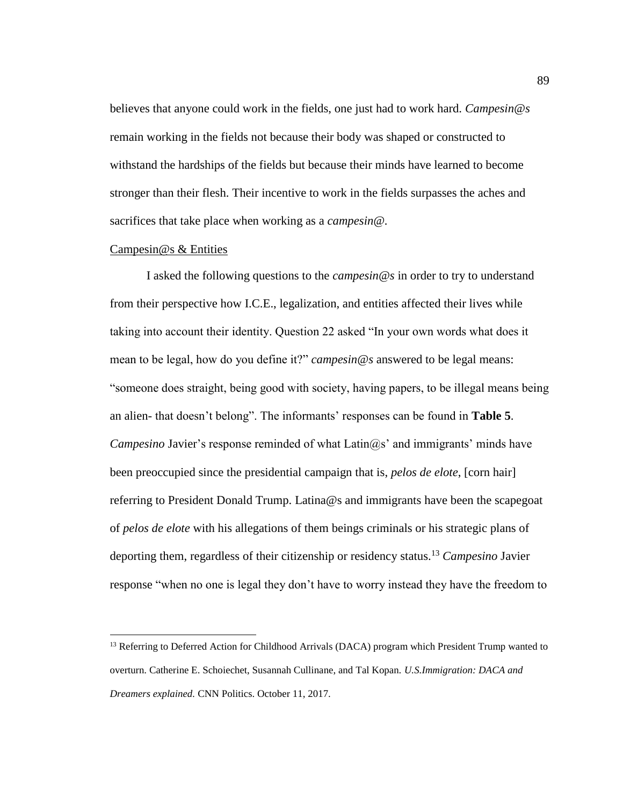believes that anyone could work in the fields, one just had to work hard. *Campesin@s*  remain working in the fields not because their body was shaped or constructed to withstand the hardships of the fields but because their minds have learned to become stronger than their flesh. Their incentive to work in the fields surpasses the aches and sacrifices that take place when working as a *campesin@.*

#### Campesin@s & Entities

 $\overline{a}$ 

I asked the following questions to the *campesin@s* in order to try to understand from their perspective how I.C.E., legalization, and entities affected their lives while taking into account their identity. Question 22 asked "In your own words what does it mean to be legal, how do you define it?" *campesin@s* answered to be legal means: "someone does straight, being good with society, having papers, to be illegal means being an alien- that doesn't belong". The informants' responses can be found in **Table 5**. *Campesino Javier's response reminded of what Latin@s' and immigrants' minds have* been preoccupied since the presidential campaign that is, *pelos de elote*, [corn hair] referring to President Donald Trump. Latina@s and immigrants have been the scapegoat of *pelos de elote* with his allegations of them beings criminals or his strategic plans of deporting them, regardless of their citizenship or residency status. <sup>13</sup> *Campesino* Javier response "when no one is legal they don't have to worry instead they have the freedom to

<sup>&</sup>lt;sup>13</sup> Referring to Deferred Action for Childhood Arrivals (DACA) program which President Trump wanted to overturn. Catherine E. Schoiechet, Susannah Cullinane, and Tal Kopan. *U.S.Immigration: DACA and Dreamers explained.* CNN Politics. October 11, 2017.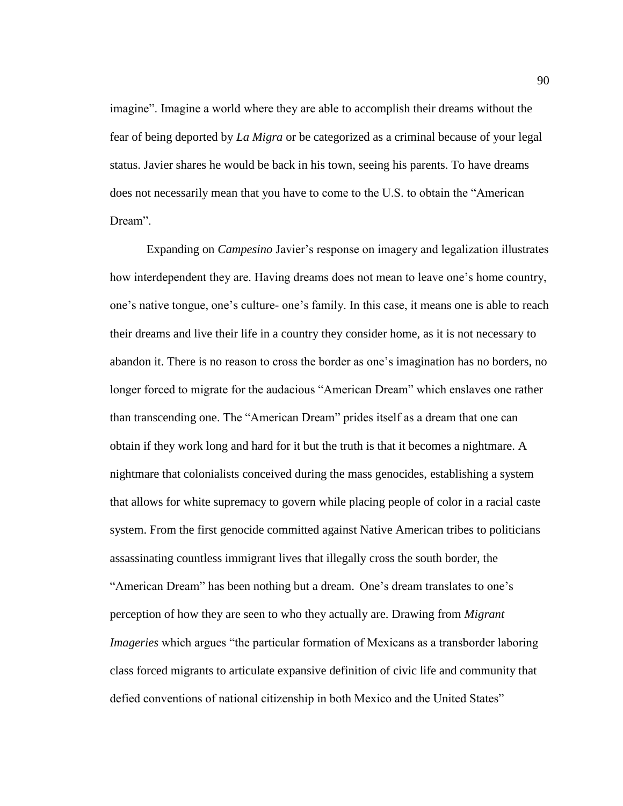imagine". Imagine a world where they are able to accomplish their dreams without the fear of being deported by *La Migra* or be categorized as a criminal because of your legal status. Javier shares he would be back in his town, seeing his parents. To have dreams does not necessarily mean that you have to come to the U.S. to obtain the "American Dream".

Expanding on *Campesino* Javier's response on imagery and legalization illustrates how interdependent they are. Having dreams does not mean to leave one's home country, one's native tongue, one's culture- one's family. In this case, it means one is able to reach their dreams and live their life in a country they consider home, as it is not necessary to abandon it. There is no reason to cross the border as one's imagination has no borders, no longer forced to migrate for the audacious "American Dream" which enslaves one rather than transcending one. The "American Dream" prides itself as a dream that one can obtain if they work long and hard for it but the truth is that it becomes a nightmare. A nightmare that colonialists conceived during the mass genocides, establishing a system that allows for white supremacy to govern while placing people of color in a racial caste system. From the first genocide committed against Native American tribes to politicians assassinating countless immigrant lives that illegally cross the south border, the "American Dream" has been nothing but a dream. One's dream translates to one's perception of how they are seen to who they actually are. Drawing from *Migrant Imageries* which argues "the particular formation of Mexicans as a transborder laboring class forced migrants to articulate expansive definition of civic life and community that defied conventions of national citizenship in both Mexico and the United States"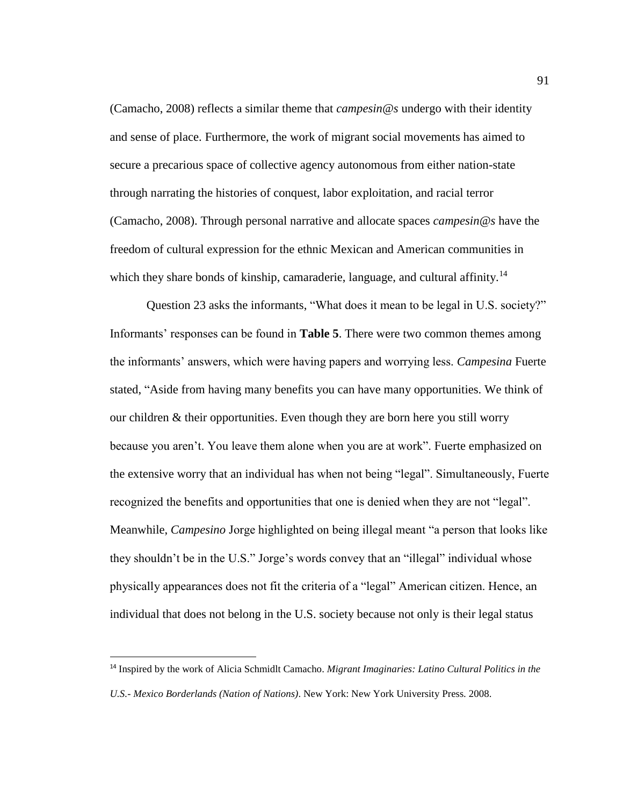(Camacho, 2008) reflects a similar theme that *campesin@s* undergo with their identity and sense of place. Furthermore, the work of migrant social movements has aimed to secure a precarious space of collective agency autonomous from either nation-state through narrating the histories of conquest, labor exploitation, and racial terror (Camacho, 2008). Through personal narrative and allocate spaces *campesin@s* have the freedom of cultural expression for the ethnic Mexican and American communities in which they share bonds of kinship, camaraderie, language, and cultural affinity.<sup>14</sup>

Question 23 asks the informants, "What does it mean to be legal in U.S. society?" Informants' responses can be found in **Table 5**. There were two common themes among the informants' answers, which were having papers and worrying less. *Campesina* Fuerte stated, "Aside from having many benefits you can have many opportunities. We think of our children & their opportunities. Even though they are born here you still worry because you aren't. You leave them alone when you are at work". Fuerte emphasized on the extensive worry that an individual has when not being "legal". Simultaneously, Fuerte recognized the benefits and opportunities that one is denied when they are not "legal". Meanwhile, *Campesino* Jorge highlighted on being illegal meant "a person that looks like they shouldn't be in the U.S." Jorge's words convey that an "illegal" individual whose physically appearances does not fit the criteria of a "legal" American citizen. Hence, an individual that does not belong in the U.S. society because not only is their legal status

 $\overline{a}$ 

<sup>14</sup> Inspired by the work of Alicia Schmidlt Camacho. *Migrant Imaginaries: Latino Cultural Politics in the U.S.- Mexico Borderlands (Nation of Nations)*. New York: New York University Press. 2008.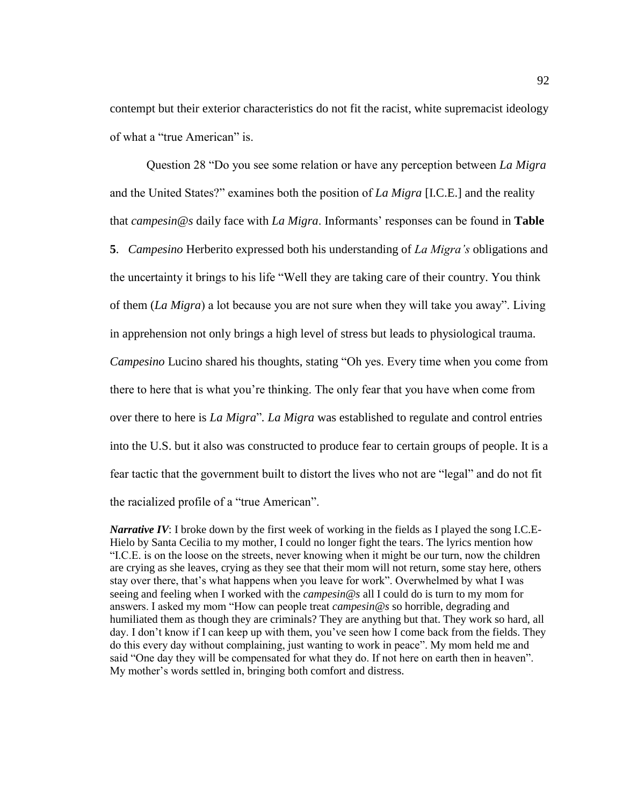contempt but their exterior characteristics do not fit the racist, white supremacist ideology of what a "true American" is.

Question 28 "Do you see some relation or have any perception between *La Migra* and the United States?" examines both the position of *La Migra* [I.C.E.] and the reality that *campesin@s* daily face with *La Migra*. Informants' responses can be found in **Table 5**. *Campesino* Herberito expressed both his understanding of *La Migra's* obligations and the uncertainty it brings to his life "Well they are taking care of their country. You think of them (*La Migra*) a lot because you are not sure when they will take you away". Living in apprehension not only brings a high level of stress but leads to physiological trauma. *Campesino* Lucino shared his thoughts, stating "Oh yes. Every time when you come from there to here that is what you're thinking. The only fear that you have when come from over there to here is *La Migra*"*. La Migra* was established to regulate and control entries into the U.S. but it also was constructed to produce fear to certain groups of people. It is a fear tactic that the government built to distort the lives who not are "legal" and do not fit the racialized profile of a "true American".

*Narrative IV*: I broke down by the first week of working in the fields as I played the song I.C.E-Hielo by Santa Cecilia to my mother, I could no longer fight the tears. The lyrics mention how "I.C.E. is on the loose on the streets, never knowing when it might be our turn, now the children are crying as she leaves, crying as they see that their mom will not return, some stay here, others stay over there, that's what happens when you leave for work". Overwhelmed by what I was seeing and feeling when I worked with the *campesin@s* all I could do is turn to my mom for answers. I asked my mom "How can people treat *campesin@s* so horrible, degrading and humiliated them as though they are criminals? They are anything but that. They work so hard, all day. I don't know if I can keep up with them, you've seen how I come back from the fields. They do this every day without complaining, just wanting to work in peace". My mom held me and said "One day they will be compensated for what they do. If not here on earth then in heaven". My mother's words settled in, bringing both comfort and distress.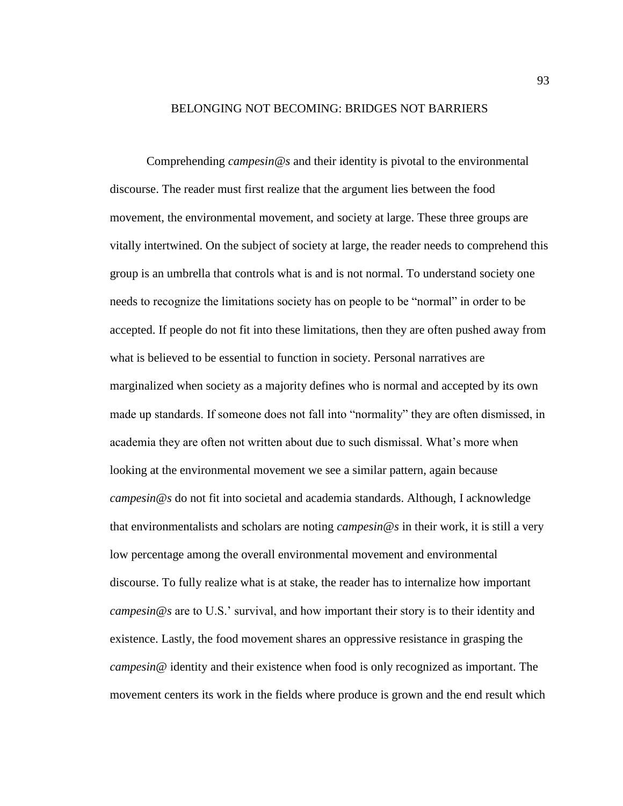#### BELONGING NOT BECOMING: BRIDGES NOT BARRIERS

Comprehending *campesin@s* and their identity is pivotal to the environmental discourse. The reader must first realize that the argument lies between the food movement, the environmental movement, and society at large. These three groups are vitally intertwined. On the subject of society at large, the reader needs to comprehend this group is an umbrella that controls what is and is not normal. To understand society one needs to recognize the limitations society has on people to be "normal" in order to be accepted. If people do not fit into these limitations, then they are often pushed away from what is believed to be essential to function in society. Personal narratives are marginalized when society as a majority defines who is normal and accepted by its own made up standards. If someone does not fall into "normality" they are often dismissed, in academia they are often not written about due to such dismissal. What's more when looking at the environmental movement we see a similar pattern, again because *campesin@s* do not fit into societal and academia standards. Although, I acknowledge that environmentalists and scholars are noting *campesin@s* in their work, it is still a very low percentage among the overall environmental movement and environmental discourse. To fully realize what is at stake, the reader has to internalize how important *campesin@s* are to U.S.' survival, and how important their story is to their identity and existence. Lastly, the food movement shares an oppressive resistance in grasping the *campesin@* identity and their existence when food is only recognized as important. The movement centers its work in the fields where produce is grown and the end result which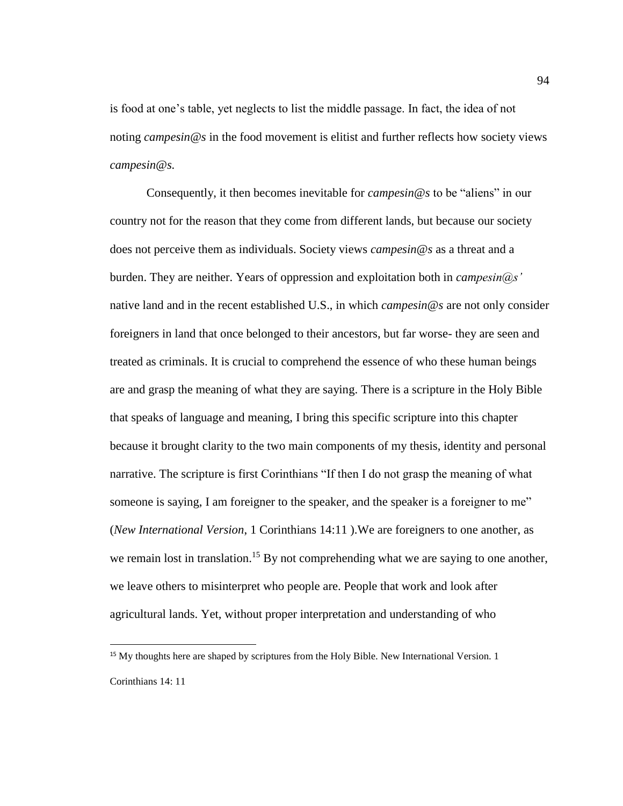is food at one's table, yet neglects to list the middle passage. In fact, the idea of not noting *campesin@s* in the food movement is elitist and further reflects how society views *campesin@s.*

Consequently, it then becomes inevitable for *campesin@s* to be "aliens" in our country not for the reason that they come from different lands, but because our society does not perceive them as individuals. Society views *campesin@s* as a threat and a burden. They are neither. Years of oppression and exploitation both in *campesin@s'* native land and in the recent established U.S., in which *campesin@s* are not only consider foreigners in land that once belonged to their ancestors, but far worse- they are seen and treated as criminals. It is crucial to comprehend the essence of who these human beings are and grasp the meaning of what they are saying. There is a scripture in the Holy Bible that speaks of language and meaning, I bring this specific scripture into this chapter because it brought clarity to the two main components of my thesis, identity and personal narrative. The scripture is first Corinthians "If then I do not grasp the meaning of what someone is saying, I am foreigner to the speaker, and the speaker is a foreigner to me" (*New International Version*, 1 Corinthians 14:11 ).We are foreigners to one another, as we remain lost in translation.<sup>15</sup> By not comprehending what we are saying to one another, we leave others to misinterpret who people are. People that work and look after agricultural lands. Yet, without proper interpretation and understanding of who

 $\overline{a}$ 

<sup>&</sup>lt;sup>15</sup> My thoughts here are shaped by scriptures from the Holy Bible. New International Version. 1 Corinthians 14: 11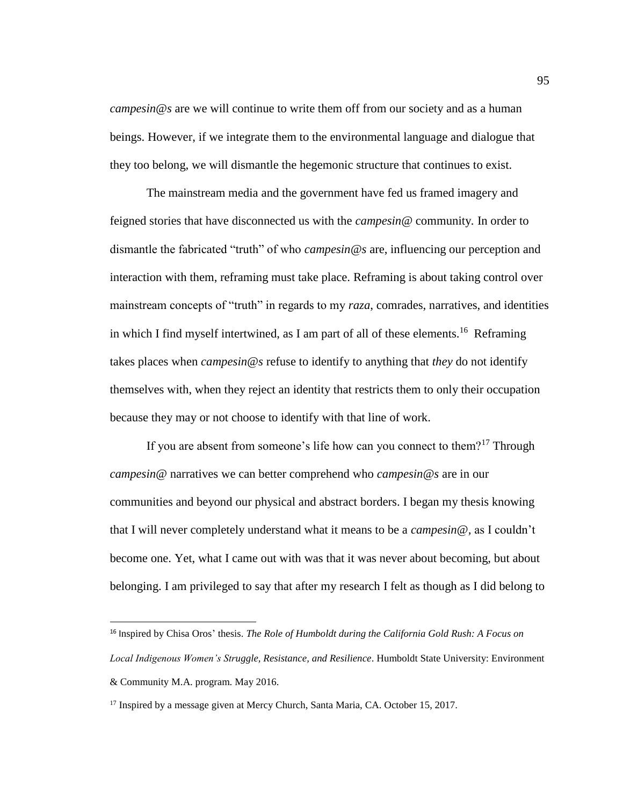*campesin@s* are we will continue to write them off from our society and as a human beings. However, if we integrate them to the environmental language and dialogue that they too belong, we will dismantle the hegemonic structure that continues to exist.

The mainstream media and the government have fed us framed imagery and feigned stories that have disconnected us with the *campesin@* community*.* In order to dismantle the fabricated "truth" of who *campesin@s* are, influencing our perception and interaction with them, reframing must take place. Reframing is about taking control over mainstream concepts of "truth" in regards to my *raza*, comrades, narratives, and identities in which I find myself intertwined, as I am part of all of these elements.<sup>16</sup> Reframing takes places when *campesin@s* refuse to identify to anything that *they* do not identify themselves with, when they reject an identity that restricts them to only their occupation because they may or not choose to identify with that line of work.

If you are absent from someone's life how can you connect to them?<sup>17</sup> Through *campesin@* narratives we can better comprehend who *campesin@s* are in our communities and beyond our physical and abstract borders. I began my thesis knowing that I will never completely understand what it means to be a *campesin@,* as I couldn't become one. Yet, what I came out with was that it was never about becoming, but about belonging. I am privileged to say that after my research I felt as though as I did belong to

 $\overline{a}$ 

<sup>16</sup> Inspired by Chisa Oros' thesis. *The Role of Humboldt during the California Gold Rush: A Focus on Local Indigenous Women's Struggle, Resistance, and Resilience*. Humboldt State University: Environment & Community M.A. program. May 2016.

<sup>&</sup>lt;sup>17</sup> Inspired by a message given at Mercy Church, Santa Maria, CA. October 15, 2017.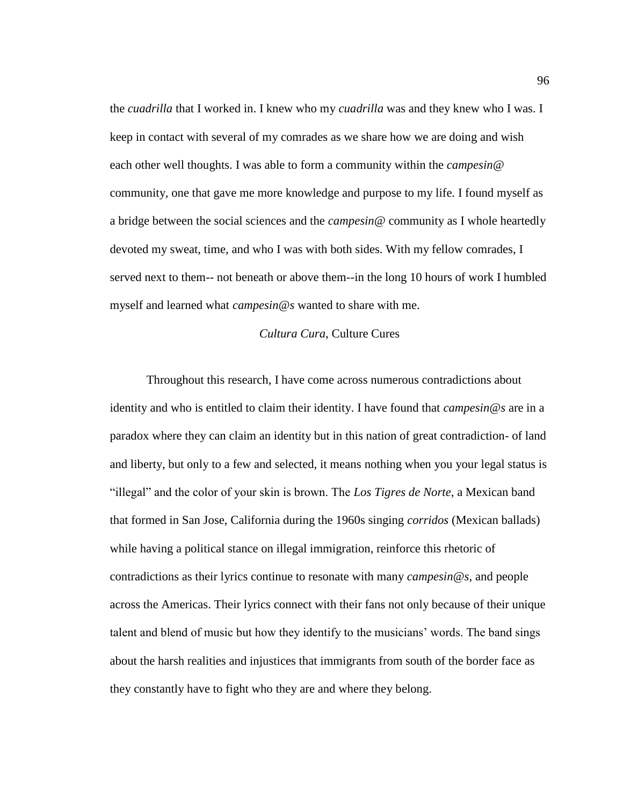the *cuadrilla* that I worked in. I knew who my *cuadrilla* was and they knew who I was. I keep in contact with several of my comrades as we share how we are doing and wish each other well thoughts. I was able to form a community within the *campesin@* community, one that gave me more knowledge and purpose to my life. I found myself as a bridge between the social sciences and the *campesin@* community as I whole heartedly devoted my sweat, time, and who I was with both sides. With my fellow comrades, I served next to them-- not beneath or above them--in the long 10 hours of work I humbled myself and learned what *campesin@s* wanted to share with me.

#### *Cultura Cura*, Culture Cures

Throughout this research, I have come across numerous contradictions about identity and who is entitled to claim their identity. I have found that *campesin@s* are in a paradox where they can claim an identity but in this nation of great contradiction- of land and liberty, but only to a few and selected, it means nothing when you your legal status is "illegal" and the color of your skin is brown. The *Los Tigres de Norte*, a Mexican band that formed in San Jose, California during the 1960s singing *corridos* (Mexican ballads) while having a political stance on illegal immigration, reinforce this rhetoric of contradictions as their lyrics continue to resonate with many *campesin@s*, and people across the Americas. Their lyrics connect with their fans not only because of their unique talent and blend of music but how they identify to the musicians' words. The band sings about the harsh realities and injustices that immigrants from south of the border face as they constantly have to fight who they are and where they belong.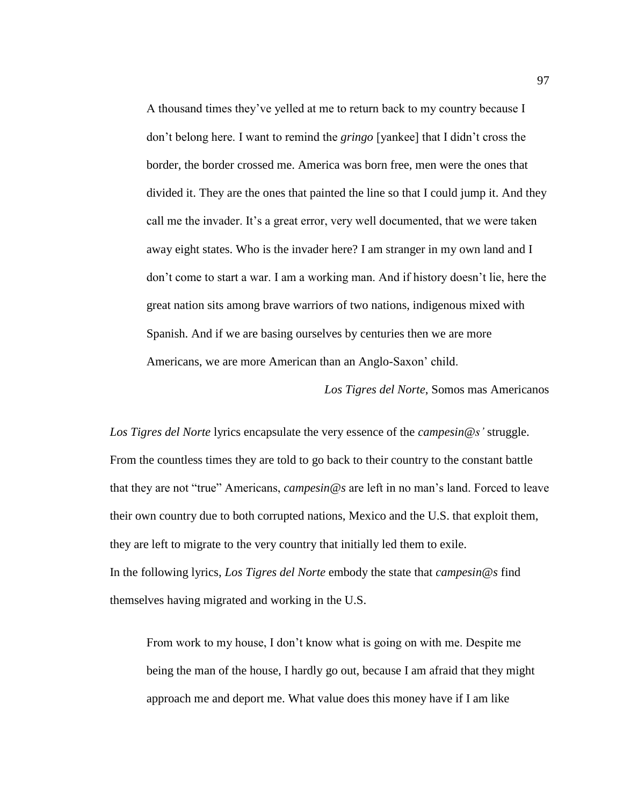A thousand times they've yelled at me to return back to my country because I don't belong here. I want to remind the *gringo* [yankee] that I didn't cross the border, the border crossed me. America was born free, men were the ones that divided it. They are the ones that painted the line so that I could jump it. And they call me the invader. It's a great error, very well documented, that we were taken away eight states. Who is the invader here? I am stranger in my own land and I don't come to start a war. I am a working man. And if history doesn't lie, here the great nation sits among brave warriors of two nations, indigenous mixed with Spanish. And if we are basing ourselves by centuries then we are more Americans, we are more American than an Anglo-Saxon' child.

*Los Tigres del Norte*, Somos mas Americanos

*Los Tigres del Norte* lyrics encapsulate the very essence of the *campesin@s'* struggle. From the countless times they are told to go back to their country to the constant battle that they are not "true" Americans, *campesin@s* are left in no man's land. Forced to leave their own country due to both corrupted nations, Mexico and the U.S. that exploit them, they are left to migrate to the very country that initially led them to exile. In the following lyrics, *Los Tigres del Norte* embody the state that *campesin@s* find themselves having migrated and working in the U.S.

From work to my house, I don't know what is going on with me. Despite me being the man of the house, I hardly go out, because I am afraid that they might approach me and deport me. What value does this money have if I am like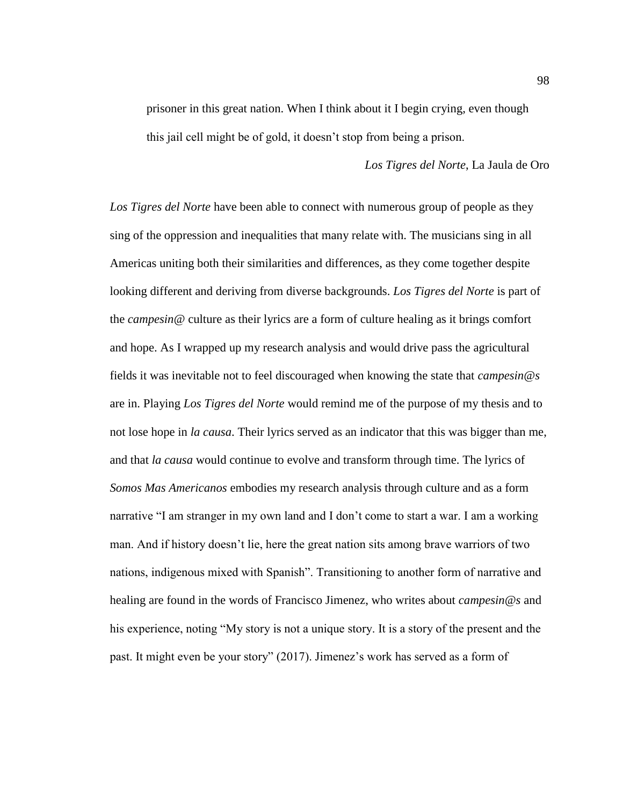prisoner in this great nation. When I think about it I begin crying, even though this jail cell might be of gold, it doesn't stop from being a prison.

#### *Los Tigres del Norte*, La Jaula de Oro

*Los Tigres del Norte* have been able to connect with numerous group of people as they sing of the oppression and inequalities that many relate with. The musicians sing in all Americas uniting both their similarities and differences, as they come together despite looking different and deriving from diverse backgrounds. *Los Tigres del Norte* is part of the *campesin@* culture as their lyrics are a form of culture healing as it brings comfort and hope. As I wrapped up my research analysis and would drive pass the agricultural fields it was inevitable not to feel discouraged when knowing the state that *campesin@s* are in. Playing *Los Tigres del Norte* would remind me of the purpose of my thesis and to not lose hope in *la causa*. Their lyrics served as an indicator that this was bigger than me, and that *la causa* would continue to evolve and transform through time. The lyrics of *Somos Mas Americanos* embodies my research analysis through culture and as a form narrative "I am stranger in my own land and I don't come to start a war. I am a working man. And if history doesn't lie, here the great nation sits among brave warriors of two nations, indigenous mixed with Spanish". Transitioning to another form of narrative and healing are found in the words of Francisco Jimenez, who writes about *campesin@s* and his experience, noting "My story is not a unique story. It is a story of the present and the past. It might even be your story" (2017). Jimenez's work has served as a form of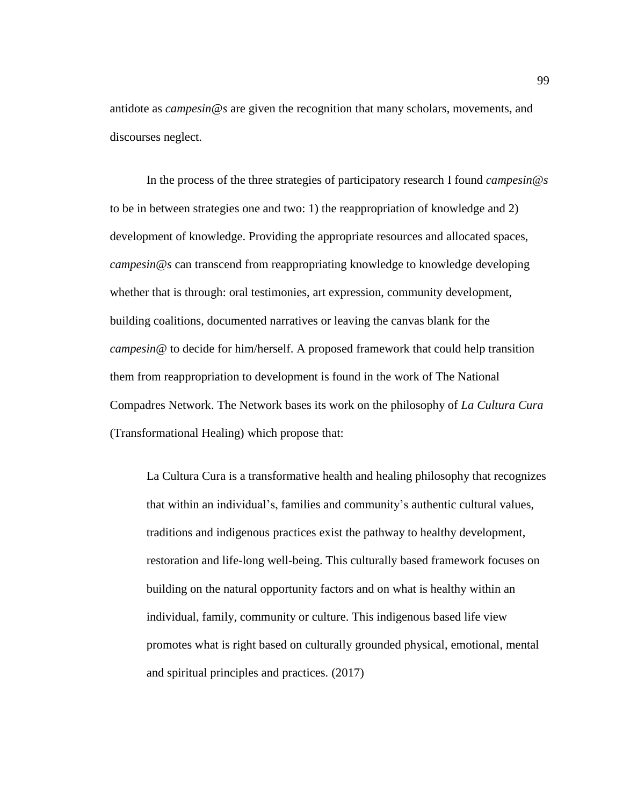antidote as *campesin@s* are given the recognition that many scholars, movements, and discourses neglect.

In the process of the three strategies of participatory research I found *campesin@s* to be in between strategies one and two: 1) the reappropriation of knowledge and 2) development of knowledge. Providing the appropriate resources and allocated spaces, *campesin@s* can transcend from reappropriating knowledge to knowledge developing whether that is through: oral testimonies, art expression, community development, building coalitions, documented narratives or leaving the canvas blank for the *campesin@* to decide for him/herself. A proposed framework that could help transition them from reappropriation to development is found in the work of The National Compadres Network. The Network bases its work on the philosophy of *La Cultura Cura* (Transformational Healing) which propose that:

La Cultura Cura is a transformative health and healing philosophy that recognizes that within an individual's, families and community's authentic cultural values, traditions and indigenous practices exist the pathway to healthy development, restoration and life-long well-being. This culturally based framework focuses on building on the natural opportunity factors and on what is healthy within an individual, family, community or culture. This indigenous based life view promotes what is right based on culturally grounded physical, emotional, mental and spiritual principles and practices. (2017)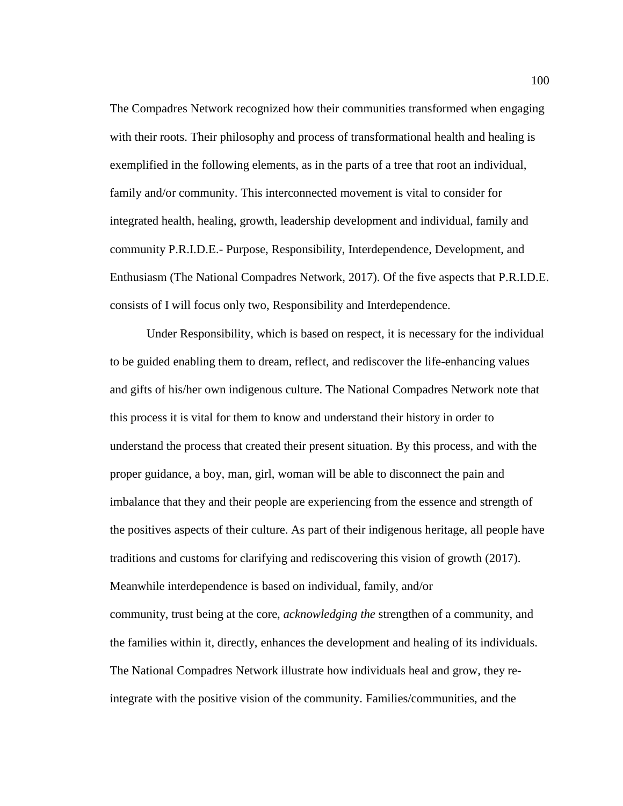The Compadres Network recognized how their communities transformed when engaging with their roots. Their philosophy and process of transformational health and healing is exemplified in the following elements, as in the parts of a tree that root an individual, family and/or community. This interconnected movement is vital to consider for integrated health, healing, growth, leadership development and individual, family and community P.R.I.D.E.- Purpose, Responsibility, Interdependence, Development, and Enthusiasm (The National Compadres Network, 2017). Of the five aspects that P.R.I.D.E. consists of I will focus only two, Responsibility and Interdependence.

Under Responsibility, which is based on respect, it is necessary for the individual to be guided enabling them to dream, reflect, and rediscover the life-enhancing values and gifts of his/her own indigenous culture. The National Compadres Network note that this process it is vital for them to know and understand their history in order to understand the process that created their present situation. By this process, and with the proper guidance, a boy, man, girl, woman will be able to disconnect the pain and imbalance that they and their people are experiencing from the essence and strength of the positives aspects of their culture. As part of their indigenous heritage, all people have traditions and customs for clarifying and rediscovering this vision of growth (2017). Meanwhile interdependence is based on individual, family, and/or community, trust being at the core, *acknowledging the* strengthen of a community, and the families within it, directly, enhances the development and healing of its individuals. The National Compadres Network illustrate how individuals heal and grow, they reintegrate with the positive vision of the community. Families/communities, and the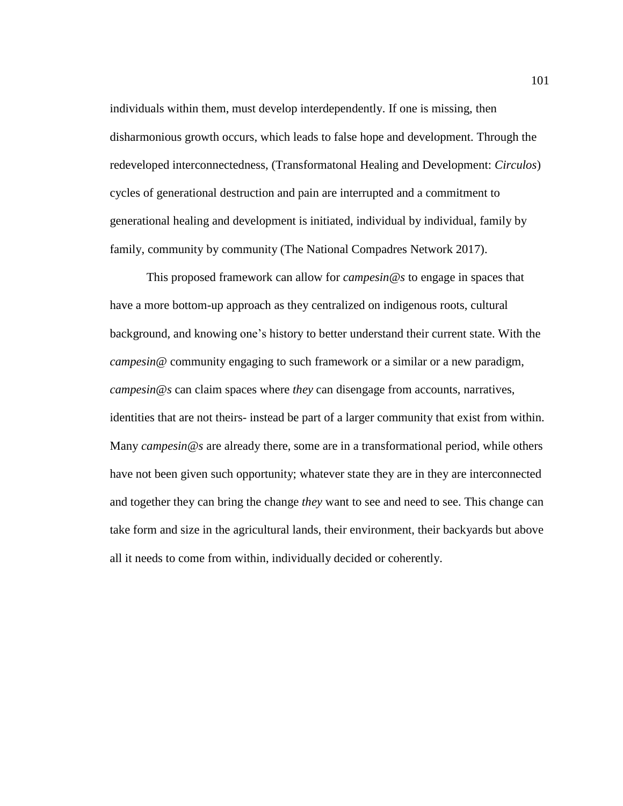individuals within them, must develop interdependently. If one is missing, then disharmonious growth occurs, which leads to false hope and development. Through the redeveloped interconnectedness, (Transformatonal Healing and Development: *Circulos*) cycles of generational destruction and pain are interrupted and a commitment to generational healing and development is initiated, individual by individual, family by family, community by community (The National Compadres Network 2017).

This proposed framework can allow for *campesin@s* to engage in spaces that have a more bottom-up approach as they centralized on indigenous roots, cultural background, and knowing one's history to better understand their current state. With the *campesin@* community engaging to such framework or a similar or a new paradigm, *campesin@s* can claim spaces where *they* can disengage from accounts, narratives, identities that are not theirs- instead be part of a larger community that exist from within. Many *campesin@s* are already there, some are in a transformational period, while others have not been given such opportunity; whatever state they are in they are interconnected and together they can bring the change *they* want to see and need to see. This change can take form and size in the agricultural lands, their environment, their backyards but above all it needs to come from within, individually decided or coherently.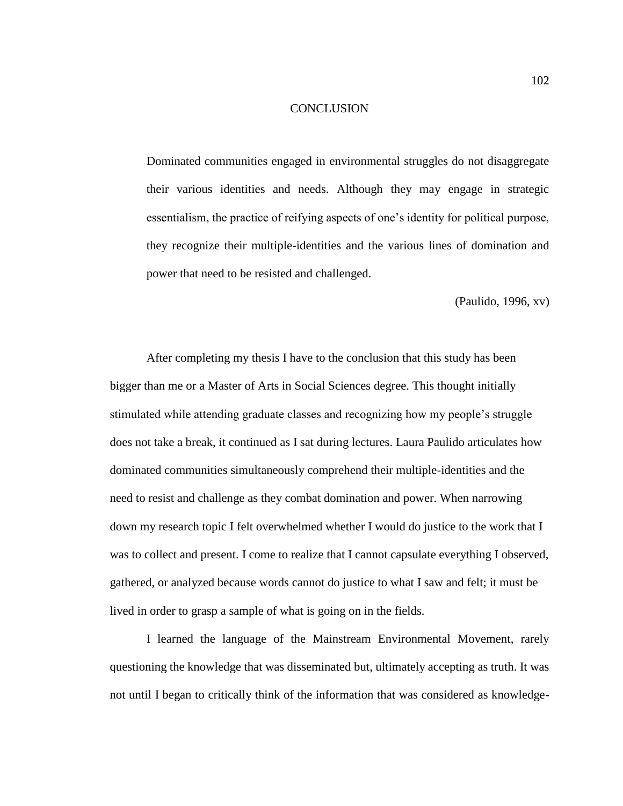## **CONCLUSION**

Dominated communities engaged in environmental struggles do not disaggregate their various identities and needs. Although they may engage in strategic essentialism, the practice of reifying aspects of one's identity for political purpose, they recognize their multiple-identities and the various lines of domination and power that need to be resisted and challenged.

(Paulido, 1996, xv)

After completing my thesis I have to the conclusion that this study has been bigger than me or a Master of Arts in Social Sciences degree. This thought initially stimulated while attending graduate classes and recognizing how my people's struggle does not take a break, it continued as I sat during lectures. Laura Paulido articulates how dominated communities simultaneously comprehend their multiple-identities and the need to resist and challenge as they combat domination and power. When narrowing down my research topic I felt overwhelmed whether I would do justice to the work that I was to collect and present. I come to realize that I cannot capsulate everything I observed, gathered, or analyzed because words cannot do justice to what I saw and felt; it must be lived in order to grasp a sample of what is going on in the fields.

I learned the language of the Mainstream Environmental Movement, rarely questioning the knowledge that was disseminated but, ultimately accepting as truth. It was not until I began to critically think of the information that was considered as knowledge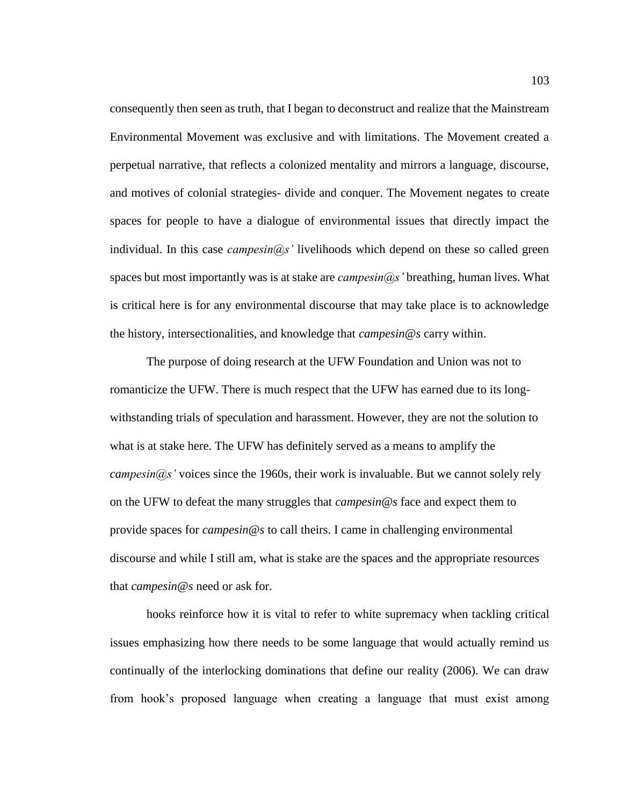consequently then seen as truth, that I began to deconstruct and realize that the Mainstream Environmental Movement was exclusive and with limitations. The Movement created a perpetual narrative, that reflects a colonized mentality and mirrors a language, discourse, and motives of colonial strategies- divide and conquer. The Movement negates to create spaces for people to have a dialogue of environmental issues that directly impact the individual. In this case *campesin@s'* livelihoods which depend on these so called green spaces but most importantly was is at stake are *campesin@s'* breathing, human lives. What is critical here is for any environmental discourse that may take place is to acknowledge the history, intersectionalities, and knowledge that *campesin@s* carry within.

The purpose of doing research at the UFW Foundation and Union was not to romanticize the UFW. There is much respect that the UFW has earned due to its longwithstanding trials of speculation and harassment. However, they are not the solution to what is at stake here. The UFW has definitely served as a means to amplify the *campesin@s'* voices since the 1960s, their work is invaluable. But we cannot solely rely on the UFW to defeat the many struggles that *campesin@s* face and expect them to provide spaces for *campesin@s* to call theirs. I came in challenging environmental discourse and while I still am, what is stake are the spaces and the appropriate resources that *campesin@s* need or ask for.

hooks reinforce how it is vital to refer to white supremacy when tackling critical issues emphasizing how there needs to be some language that would actually remind us continually of the interlocking dominations that define our reality (2006). We can draw from hook's proposed language when creating a language that must exist among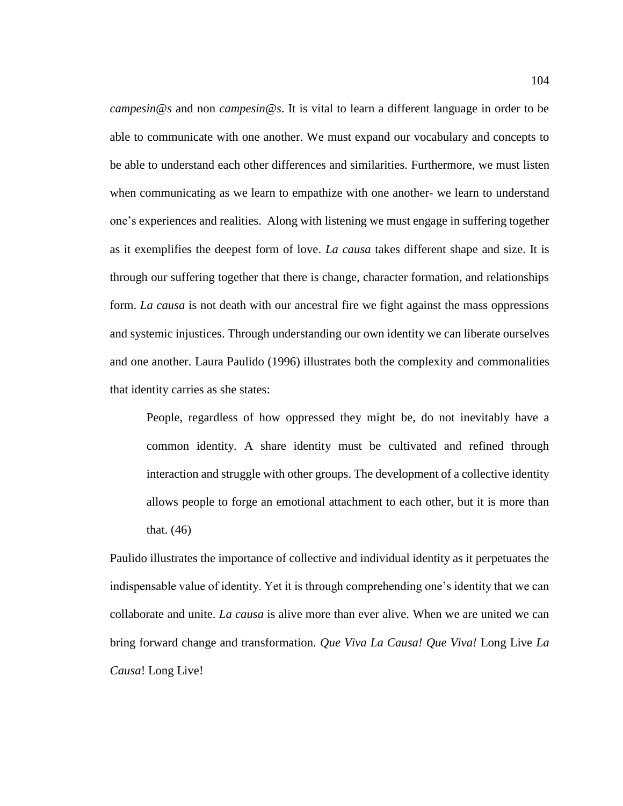*campesin@s* and non *campesin@s*. It is vital to learn a different language in order to be able to communicate with one another. We must expand our vocabulary and concepts to be able to understand each other differences and similarities. Furthermore, we must listen when communicating as we learn to empathize with one another- we learn to understand one's experiences and realities. Along with listening we must engage in suffering together as it exemplifies the deepest form of love. *La causa* takes different shape and size. It is through our suffering together that there is change, character formation, and relationships form. *La causa* is not death with our ancestral fire we fight against the mass oppressions and systemic injustices. Through understanding our own identity we can liberate ourselves and one another. Laura Paulido (1996) illustrates both the complexity and commonalities that identity carries as she states:

People, regardless of how oppressed they might be, do not inevitably have a common identity. A share identity must be cultivated and refined through interaction and struggle with other groups. The development of a collective identity allows people to forge an emotional attachment to each other, but it is more than that. (46)

Paulido illustrates the importance of collective and individual identity as it perpetuates the indispensable value of identity. Yet it is through comprehending one's identity that we can collaborate and unite. *La causa* is alive more than ever alive. When we are united we can bring forward change and transformation. *Que Viva La Causa! Que Viva!* Long Live *La Causa*! Long Live!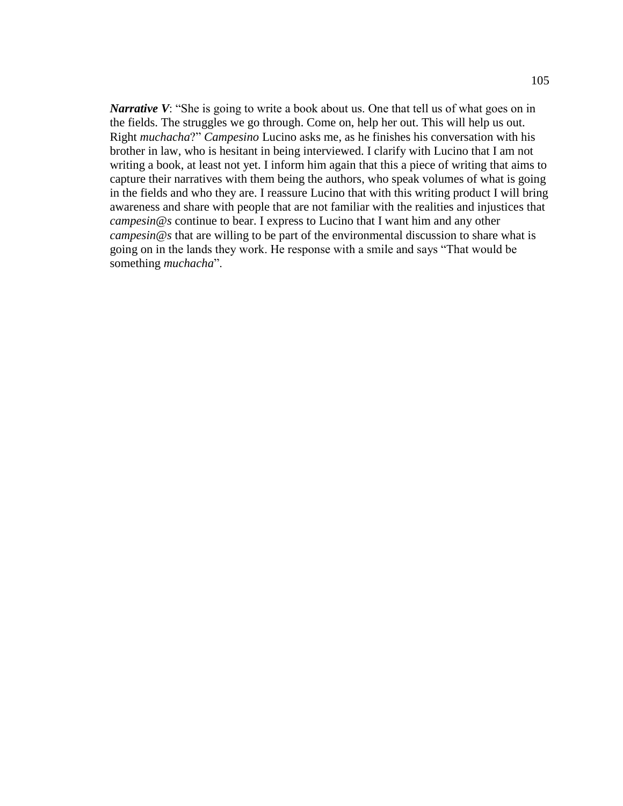*Narrative V*: "She is going to write a book about us. One that tell us of what goes on in the fields. The struggles we go through. Come on, help her out. This will help us out. Right *muchacha*?" *Campesino* Lucino asks me, as he finishes his conversation with his brother in law, who is hesitant in being interviewed. I clarify with Lucino that I am not writing a book, at least not yet. I inform him again that this a piece of writing that aims to capture their narratives with them being the authors, who speak volumes of what is going in the fields and who they are. I reassure Lucino that with this writing product I will bring awareness and share with people that are not familiar with the realities and injustices that *campesin@s* continue to bear. I express to Lucino that I want him and any other *campesin@s* that are willing to be part of the environmental discussion to share what is going on in the lands they work. He response with a smile and says "That would be something *muchacha*".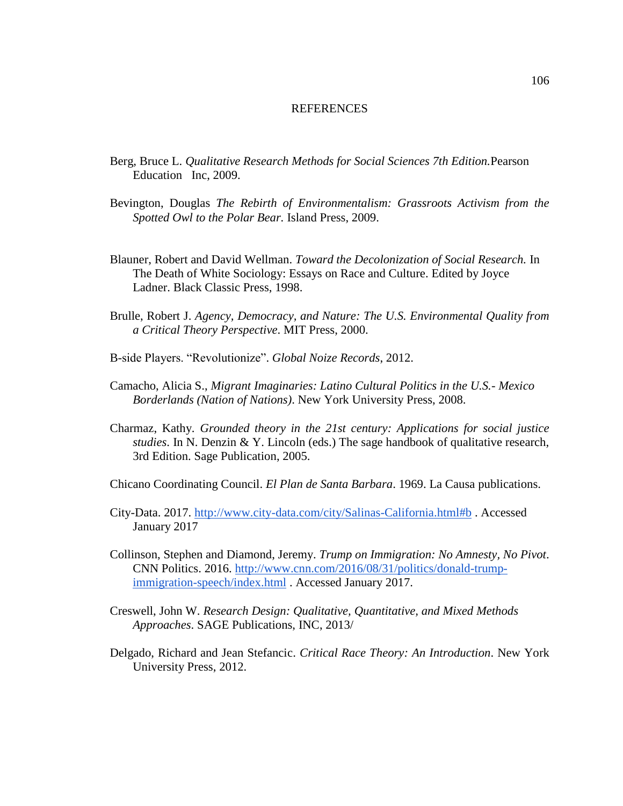## REFERENCES

- Berg, Bruce L. *Qualitative Research Methods for Social Sciences 7th Edition.*Pearson Education Inc, 2009.
- Bevington, Douglas *The Rebirth of Environmentalism: Grassroots Activism from the Spotted Owl to the Polar Bear.* Island Press, 2009.
- Blauner, Robert and David Wellman. *Toward the Decolonization of Social Research.* In The Death of White Sociology: Essays on Race and Culture. Edited by Joyce Ladner. Black Classic Press, 1998.
- Brulle, Robert J. *Agency, Democracy, and Nature: The U.S. Environmental Quality from a Critical Theory Perspective*. MIT Press, 2000.
- B-side Players. "Revolutionize". *Global Noize Records*, 2012.
- Camacho, Alicia S., *Migrant Imaginaries: Latino Cultural Politics in the U.S.- Mexico Borderlands (Nation of Nations)*. New York University Press, 2008.
- Charmaz, Kathy. *Grounded theory in the 21st century: Applications for social justice studies*. In N. Denzin & Y. Lincoln (eds.) The sage handbook of qualitative research, 3rd Edition. Sage Publication, 2005.
- Chicano Coordinating Council. *El Plan de Santa Barbara*. 1969. La Causa publications.
- City-Data. 2017. <http://www.city-data.com/city/Salinas-California.html#b> . Accessed January 2017
- Collinson, Stephen and Diamond, Jeremy. *Trump on Immigration: No Amnesty, No Pivot*. CNN Politics. 2016. [http://www.cnn.com/2016/08/31/politics/donald-trump](http://www.cnn.com/2016/08/31/politics/donald-trump-immigration-speech/index.html)[immigration-speech/index.html](http://www.cnn.com/2016/08/31/politics/donald-trump-immigration-speech/index.html) . Accessed January 2017.
- Creswell, John W. *Research Design: Qualitative, Quantitative, and Mixed Methods Approaches*. SAGE Publications, INC, 2013/
- Delgado, Richard and Jean Stefancic. *Critical Race Theory: An Introduction*. New York University Press, 2012.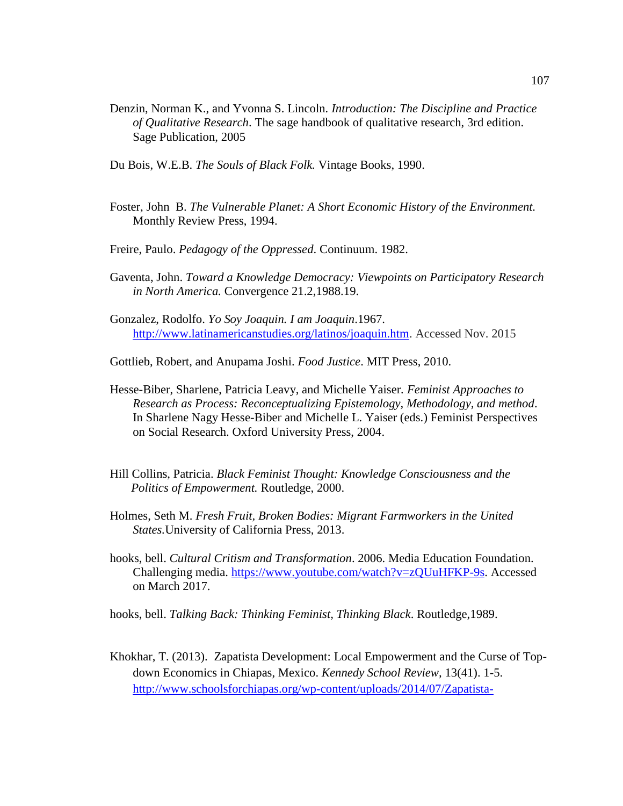- Denzin, Norman K., and Yvonna S. Lincoln*. Introduction: The Discipline and Practice of Qualitative Research*. The sage handbook of qualitative research, 3rd edition. Sage Publication, 2005
- Du Bois, W.E.B. *The Souls of Black Folk.* Vintage Books, 1990.
- Foster, John B. *The Vulnerable Planet: A Short Economic History of the Environment.* Monthly Review Press, 1994.
- Freire, Paulo. *Pedagogy of the Oppressed*. Continuum. 1982.
- Gaventa, John. *Toward a Knowledge Democracy: Viewpoints on Participatory Research in North America.* Convergence 21.2,1988.19.
- Gonzalez, Rodolfo. *Yo Soy Joaquin. I am Joaquin*.1967. [http://www.latinamericanstudies.org/latinos/joaquin.htm.](http://www.latinamericanstudies.org/latinos/joaquin.htm) Accessed Nov. 2015
- Gottlieb, Robert, and Anupama Joshi. *Food Justice*. MIT Press, 2010.
- Hesse-Biber, Sharlene, Patricia Leavy, and Michelle Yaiser*. Feminist Approaches to Research as Process: Reconceptualizing Epistemology, Methodology, and method*. In Sharlene Nagy Hesse-Biber and Michelle L. Yaiser (eds.) Feminist Perspectives on Social Research. Oxford University Press, 2004.
- Hill Collins, Patricia. *Black Feminist Thought: Knowledge Consciousness and the Politics of Empowerment.* Routledge, 2000.
- Holmes, Seth M. *Fresh Fruit, Broken Bodies: Migrant Farmworkers in the United States.*University of California Press, 2013.
- hooks, bell. *Cultural Critism and Transformation*. 2006. Media Education Foundation. Challenging media. [https://www.youtube.com/watch?v=zQUuHFKP-9s.](https://www.youtube.com/watch?v=zQUuHFKP-9s) Accessed on March 2017.
- hooks, bell. *Talking Back: Thinking Feminist, Thinking Black*. Routledge,1989.
- Khokhar, T. (2013). Zapatista Development: Local Empowerment and the Curse of Topdown Economics in Chiapas, Mexico. *Kennedy School Review,* 13(41). 1-5. [http://www.schoolsforchiapas.org/wp-content/uploads/2014/07/Zapatista-](http://www.schoolsforchiapas.org/wp-content/uploads/2014/07/Zapatista-Development-Local-Empowerment-and-the-Curse-of-Top-Down-Economics-in-Chiapas.pdf)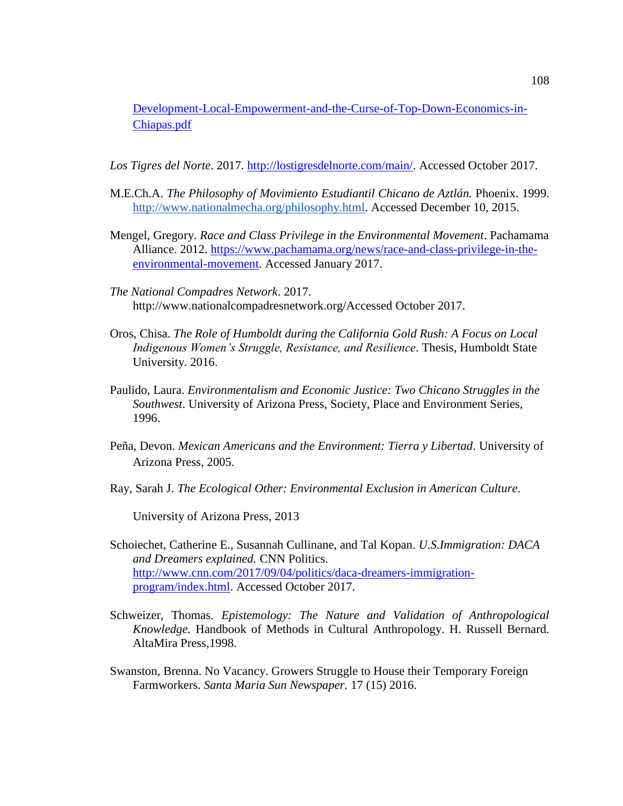[Development-Local-Empowerment-and-the-Curse-of-Top-Down-Economics-in-](http://www.schoolsforchiapas.org/wp-content/uploads/2014/07/Zapatista-Development-Local-Empowerment-and-the-Curse-of-Top-Down-Economics-in-Chiapas.pdf)[Chiapas.pdf](http://www.schoolsforchiapas.org/wp-content/uploads/2014/07/Zapatista-Development-Local-Empowerment-and-the-Curse-of-Top-Down-Economics-in-Chiapas.pdf)

*Los Tigres del Norte*. 2017. [http://lostigresdelnorte.com/main/.](http://lostigresdelnorte.com/main/) Accessed October 2017.

- M.E.Ch.A. *The Philosophy of Movimiento Estudiantil Chicano de Aztlán.* Phoenix. 1999. [http://www.nationalmecha.org/philosophy.html.](http://www.nationalmecha.org/philosophy.html) Accessed December 10, 2015.
- Mengel, Gregory. *Race and Class Privilege in the Environmental Movement*. Pachamama Alliance. 2012. [https://www.pachamama.org/news/race-and-class-privilege-in-the](https://www.pachamama.org/news/race-and-class-privilege-in-the-environmental-movement)[environmental-movement.](https://www.pachamama.org/news/race-and-class-privilege-in-the-environmental-movement) Accessed January 2017.
- *The National Compadres Network*. 2017. http://www.nationalcompadresnetwork.org/Accessed October 2017.
- Oros, Chisa. *The Role of Humboldt during the California Gold Rush: A Focus on Local Indigenous Women's Struggle, Resistance, and Resilience*. Thesis, Humboldt State University. 2016.
- Paulido, Laura. *Environmentalism and Economic Justice: Two Chicano Struggles in the Southwest*. University of Arizona Press, Society, Place and Environment Series, 1996.
- Peña, Devon. *Mexican Americans and the Environment: Tierra y Libertad*. University of Arizona Press, 2005.
- Ray, Sarah J. *The Ecological Other: Environmental Exclusion in American Culture*.

University of Arizona Press, 2013

- Schoiechet, Catherine E., Susannah Cullinane, and Tal Kopan. *U.S.Immigration: DACA and Dreamers explained.* CNN Politics. [http://www.cnn.com/2017/09/04/politics/daca-dreamers-immigration](http://www.cnn.com/2017/09/04/politics/daca-dreamers-immigration-program/index.html)[program/index.html.](http://www.cnn.com/2017/09/04/politics/daca-dreamers-immigration-program/index.html) Accessed October 2017.
- Schweizer, Thomas. *Epistemology: The Nature and Validation of Anthropological Knowledge.* Handbook of Methods in Cultural Anthropology. H. Russell Bernard. AltaMira Press,1998.
- Swanston, Brenna. No Vacancy. Growers Struggle to House their Temporary Foreign Farmworkers. *Santa Maria Sun Newspaper.* 17 (15) 2016.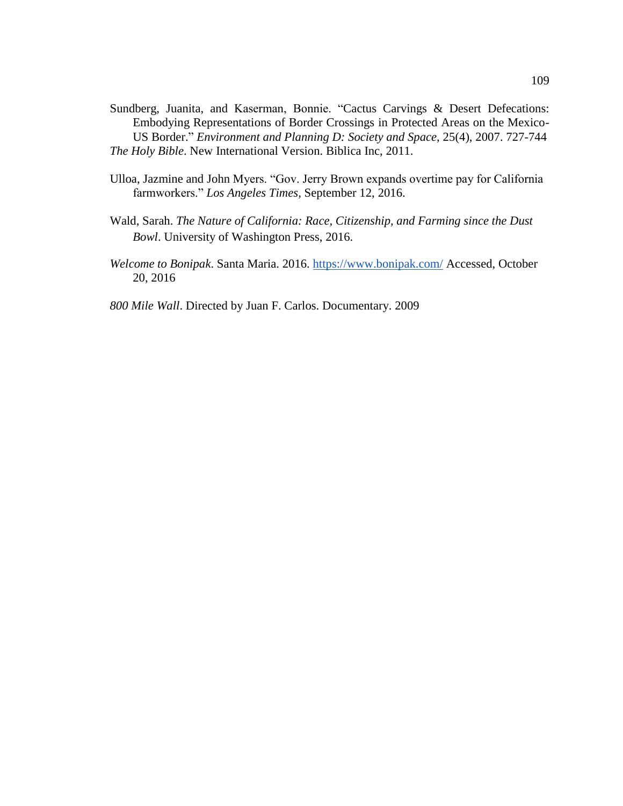- Sundberg, Juanita, and Kaserman, Bonnie. "Cactus Carvings & Desert Defecations: Embodying Representations of Border Crossings in Protected Areas on the Mexico-US Border." *Environment and Planning D: Society and Space,* 25(4), 2007. 727-744 *The Holy Bible*. New International Version. Biblica Inc, 2011.
- Ulloa, Jazmine and John Myers. "Gov. Jerry Brown expands overtime pay for California farmworkers." *Los Angeles Times,* September 12, 2016.
- Wald, Sarah. *The Nature of California: Race, Citizenship, and Farming since the Dust Bowl*. University of Washington Press, 2016.
- *Welcome to Bonipak*. Santa Maria. 2016. <https://www.bonipak.com/> Accessed, October 20, 2016
- *800 Mile Wall*. Directed by Juan F. Carlos. Documentary. 2009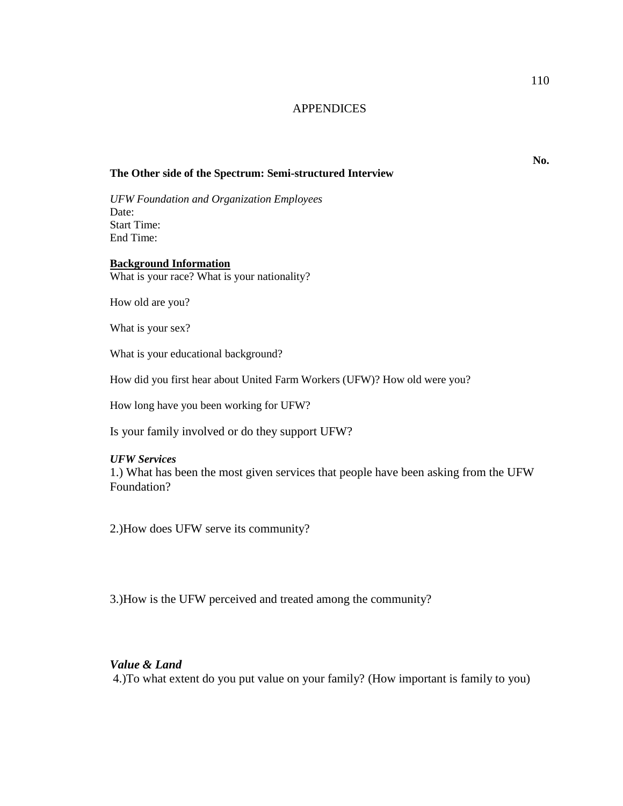# **APPENDICES**

# **The Other side of the Spectrum: Semi-structured Interview**

*UFW Foundation and Organization Employees* Date: Start Time: End Time:

## **Background Information**

What is your race? What is your nationality?

How old are you?

What is your sex?

What is your educational background?

How did you first hear about United Farm Workers (UFW)? How old were you?

How long have you been working for UFW?

Is your family involved or do they support UFW?

## *UFW Services*

1.) What has been the most given services that people have been asking from the UFW Foundation?

2.)How does UFW serve its community?

3.)How is the UFW perceived and treated among the community?

## *Value & Land*

4.)To what extent do you put value on your family? (How important is family to you)

**No.**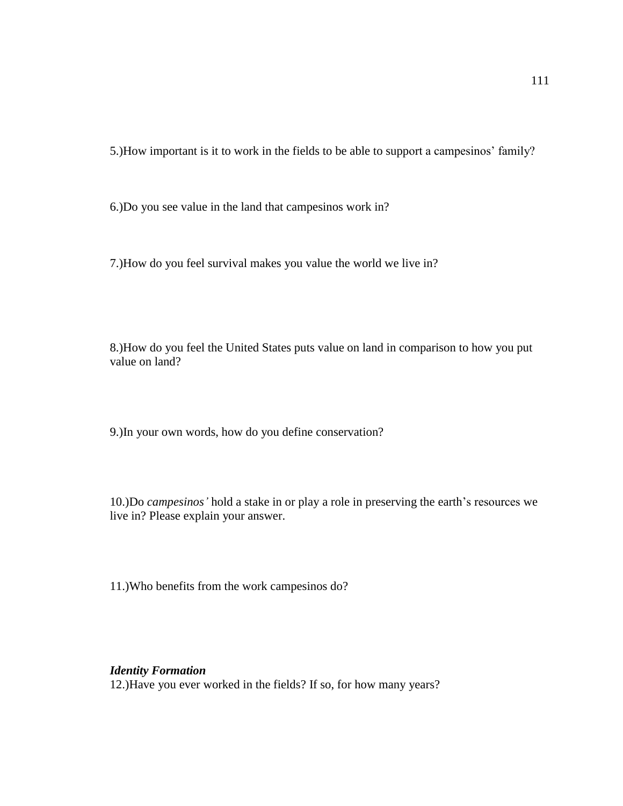5.)How important is it to work in the fields to be able to support a campesinos' family?

6.)Do you see value in the land that campesinos work in?

7.)How do you feel survival makes you value the world we live in?

8.)How do you feel the United States puts value on land in comparison to how you put value on land?

9.)In your own words, how do you define conservation?

10.)Do *campesinos'* hold a stake in or play a role in preserving the earth's resources we live in? Please explain your answer.

11.)Who benefits from the work campesinos do?

# *Identity Formation*

12.)Have you ever worked in the fields? If so, for how many years?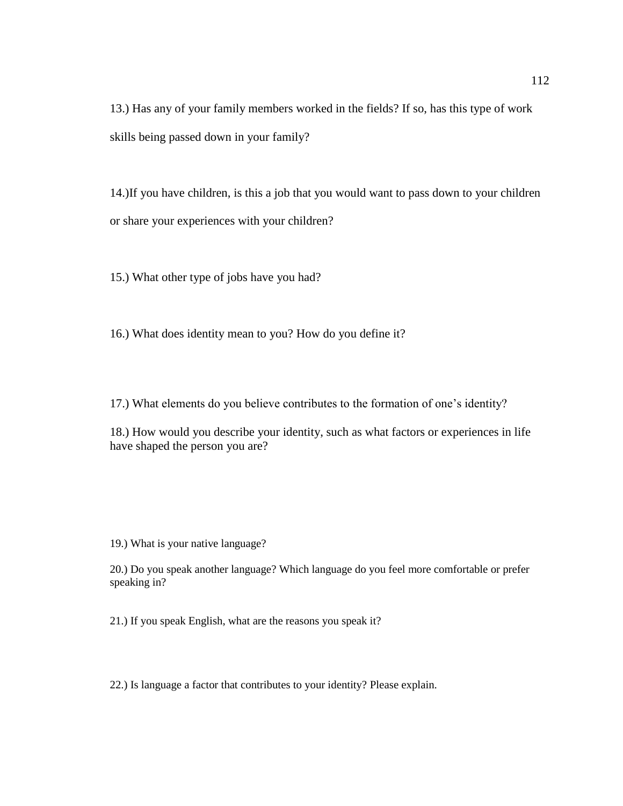13.) Has any of your family members worked in the fields? If so, has this type of work skills being passed down in your family?

14.)If you have children, is this a job that you would want to pass down to your children or share your experiences with your children?

15.) What other type of jobs have you had?

16.) What does identity mean to you? How do you define it?

17.) What elements do you believe contributes to the formation of one's identity?

18.) How would you describe your identity, such as what factors or experiences in life have shaped the person you are?

19.) What is your native language?

20.) Do you speak another language? Which language do you feel more comfortable or prefer speaking in?

21.) If you speak English, what are the reasons you speak it?

22.) Is language a factor that contributes to your identity? Please explain.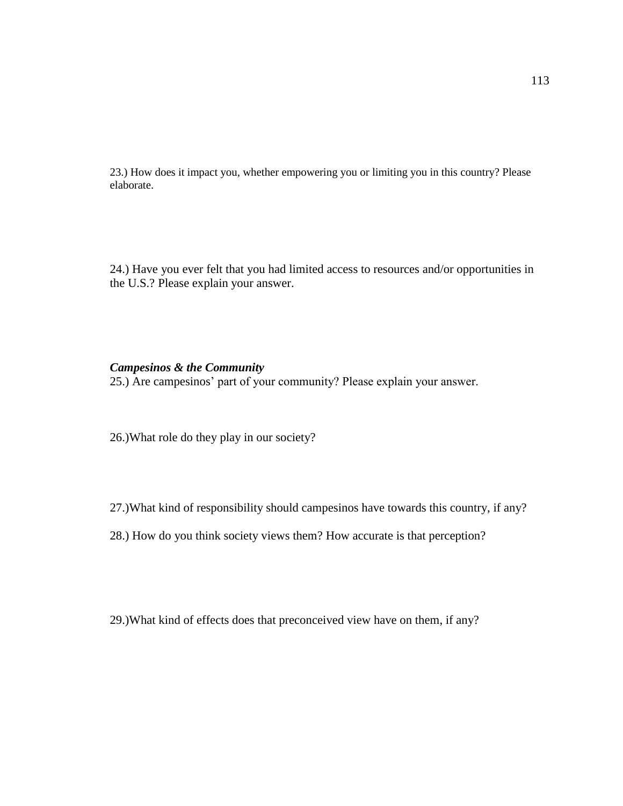23.) How does it impact you, whether empowering you or limiting you in this country? Please elaborate.

24.) Have you ever felt that you had limited access to resources and/or opportunities in the U.S.? Please explain your answer.

# *Campesinos & the Community*

25.) Are campesinos' part of your community? Please explain your answer.

26.)What role do they play in our society?

27.)What kind of responsibility should campesinos have towards this country, if any?

28.) How do you think society views them? How accurate is that perception?

29.)What kind of effects does that preconceived view have on them, if any?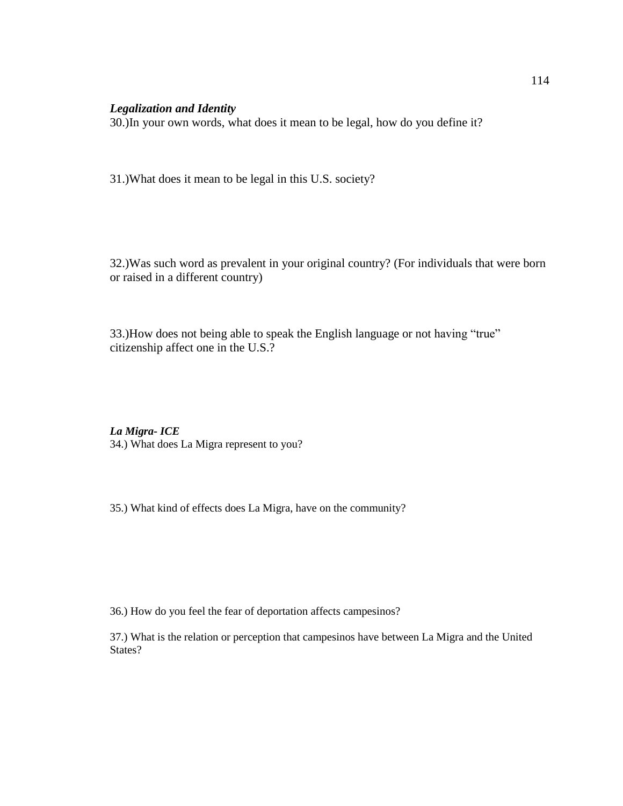# *Legalization and Identity*

30.)In your own words, what does it mean to be legal, how do you define it?

31.)What does it mean to be legal in this U.S. society?

32.)Was such word as prevalent in your original country? (For individuals that were born or raised in a different country)

33.)How does not being able to speak the English language or not having "true" citizenship affect one in the U.S.?

*La Migra- ICE* 34.) What does La Migra represent to you?

35.) What kind of effects does La Migra, have on the community?

36.) How do you feel the fear of deportation affects campesinos?

37.) What is the relation or perception that campesinos have between La Migra and the United States?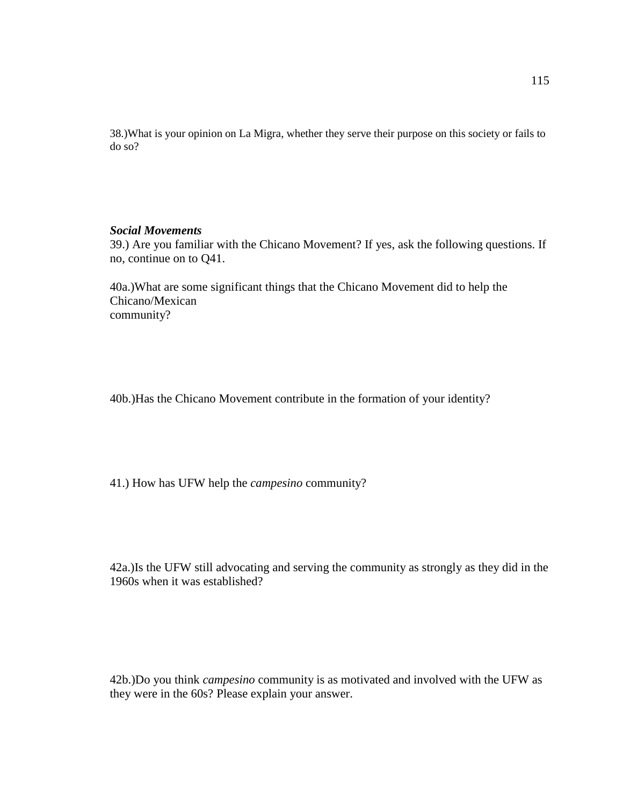38.)What is your opinion on La Migra, whether they serve their purpose on this society or fails to do so?

# *Social Movements*

39.) Are you familiar with the Chicano Movement? If yes, ask the following questions. If no, continue on to Q41.

40a.)What are some significant things that the Chicano Movement did to help the Chicano/Mexican community?

40b.)Has the Chicano Movement contribute in the formation of your identity?

41.) How has UFW help the *campesino* community?

42a.)Is the UFW still advocating and serving the community as strongly as they did in the 1960s when it was established?

42b.)Do you think *campesino* community is as motivated and involved with the UFW as they were in the 60s? Please explain your answer.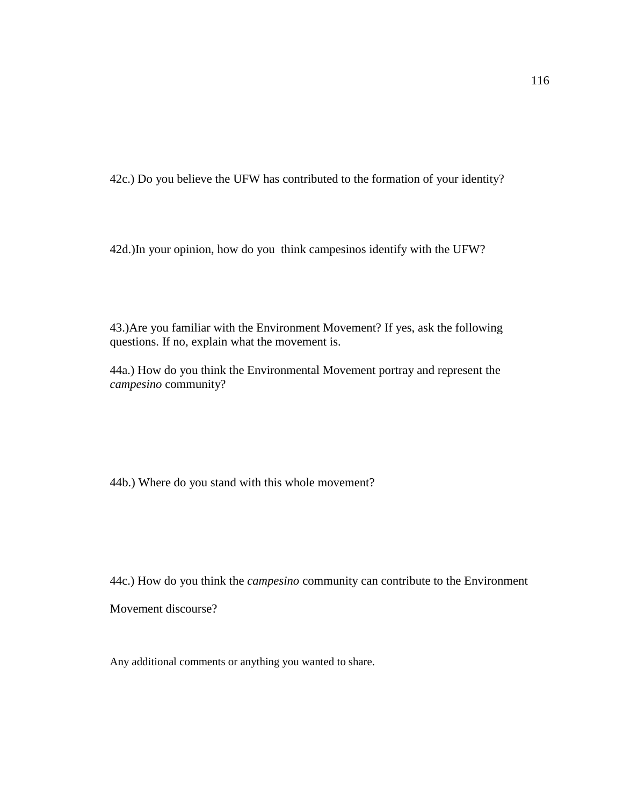42c.) Do you believe the UFW has contributed to the formation of your identity?

42d.)In your opinion, how do you think campesinos identify with the UFW?

43.)Are you familiar with the Environment Movement? If yes, ask the following questions. If no, explain what the movement is.

44a.) How do you think the Environmental Movement portray and represent the *campesino* community?

44b.) Where do you stand with this whole movement?

44c.) How do you think the *campesino* community can contribute to the Environment

Movement discourse?

Any additional comments or anything you wanted to share.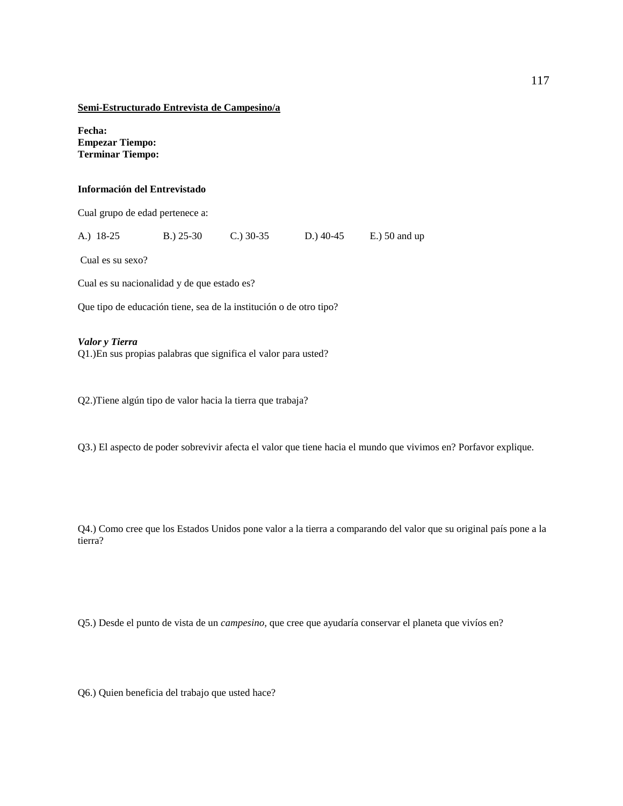#### **Semi-Estructurado Entrevista de Campesino/a**

**Fecha: Empezar Tiempo: Terminar Tiempo:**

## **Información del Entrevistado**

Cual grupo de edad pertenece a:

A.) 18-25 B.) 25-30 C.) 30-35 D.) 40-45 E.) 50 and up

Cual es su sexo?

Cual es su nacionalidad y de que estado es?

Que tipo de educación tiene, sea de la institución o de otro tipo?

#### *Valor y Tierra*

Q1.)En sus propias palabras que significa el valor para usted?

Q2.)Tiene algún tipo de valor hacia la tierra que trabaja?

Q3.) El aspecto de poder sobrevivir afecta el valor que tiene hacia el mundo que vivimos en? Porfavor explique.

Q4.) Como cree que los Estados Unidos pone valor a la tierra a comparando del valor que su original país pone a la tierra?

Q5.) Desde el punto de vista de un *campesino,* que cree que ayudaría conservar el planeta que vivíos en?

Q6.) Quien beneficia del trabajo que usted hace?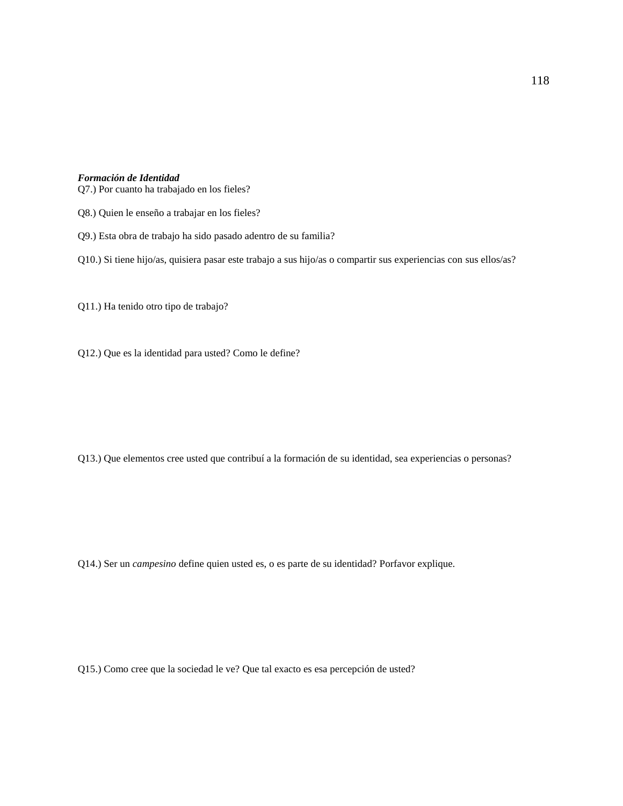#### *Formación de Identidad*

Q7.) Por cuanto ha trabajado en los fieles?

- Q8.) Quien le enseño a trabajar en los fieles?
- Q9.) Esta obra de trabajo ha sido pasado adentro de su familia?
- Q10.) Si tiene hijo/as, quisiera pasar este trabajo a sus hijo/as o compartir sus experiencias con sus ellos/as?

Q11.) Ha tenido otro tipo de trabajo?

Q12.) Que es la identidad para usted? Como le define?

Q13.) Que elementos cree usted que contribuí a la formación de su identidad, sea experiencias o personas?

Q14.) Ser un *campesino* define quien usted es, o es parte de su identidad? Porfavor explique.

Q15.) Como cree que la sociedad le ve? Que tal exacto es esa percepción de usted?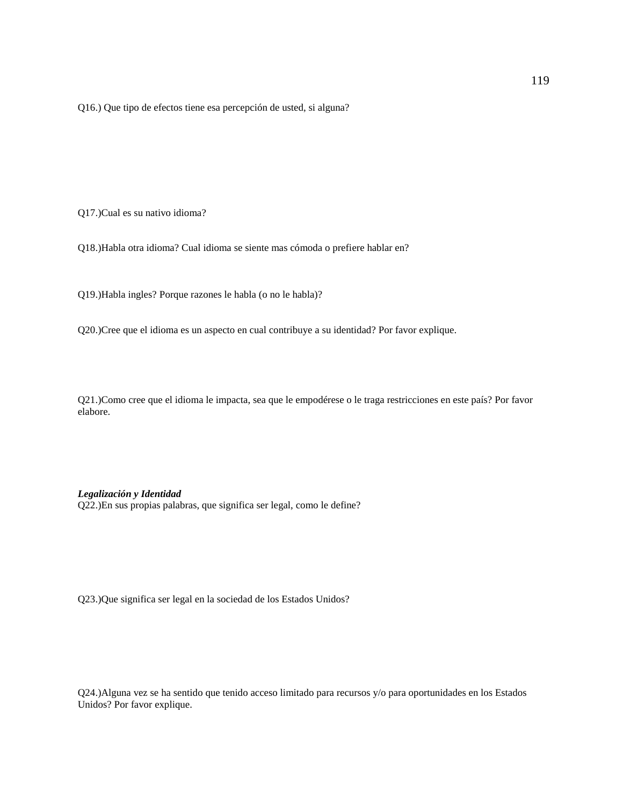Q16.) Que tipo de efectos tiene esa percepción de usted, si alguna?

Q17.)Cual es su nativo idioma?

Q18.)Habla otra idioma? Cual idioma se siente mas cómoda o prefiere hablar en?

Q19.)Habla ingles? Porque razones le habla (o no le habla)?

Q20.)Cree que el idioma es un aspecto en cual contribuye a su identidad? Por favor explique.

Q21.)Como cree que el idioma le impacta, sea que le empodérese o le traga restricciones en este país? Por favor elabore.

*Legalización y Identidad* Q22.)En sus propias palabras, que significa ser legal, como le define?

Q23.)Que significa ser legal en la sociedad de los Estados Unidos?

Q24.)Alguna vez se ha sentido que tenido acceso limitado para recursos y/o para oportunidades en los Estados Unidos? Por favor explique.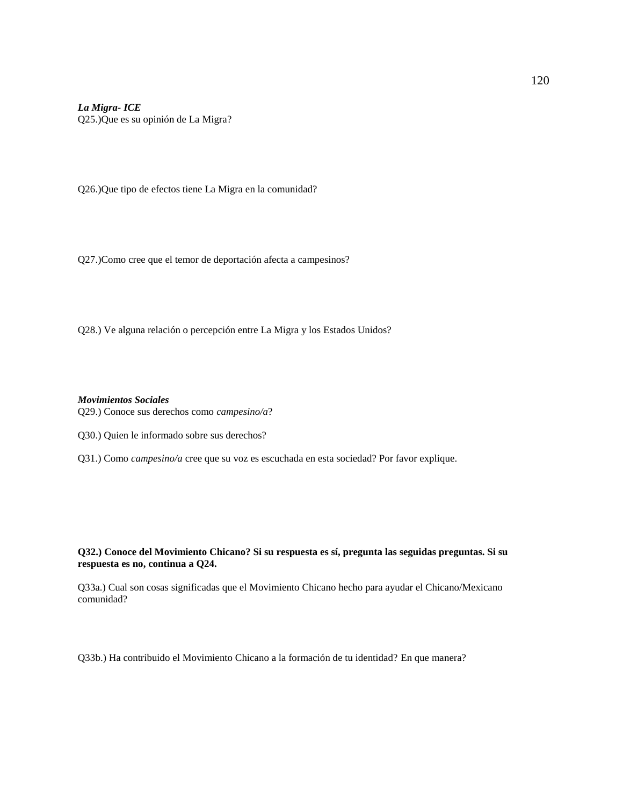*La Migra- ICE* Q25.)Que es su opinión de La Migra?

Q26.)Que tipo de efectos tiene La Migra en la comunidad?

Q27.)Como cree que el temor de deportación afecta a campesinos?

Q28.) Ve alguna relación o percepción entre La Migra y los Estados Unidos?

*Movimientos Sociales*  Q29.) Conoce sus derechos como *campesino/a*?

Q30.) Quien le informado sobre sus derechos?

Q31.) Como *campesino/a* cree que su voz es escuchada en esta sociedad? Por favor explique.

**Q32.) Conoce del Movimiento Chicano? Si su respuesta es sí, pregunta las seguidas preguntas. Si su respuesta es no, continua a Q24.** 

Q33a.) Cual son cosas significadas que el Movimiento Chicano hecho para ayudar el Chicano/Mexicano comunidad?

Q33b.) Ha contribuido el Movimiento Chicano a la formación de tu identidad? En que manera?